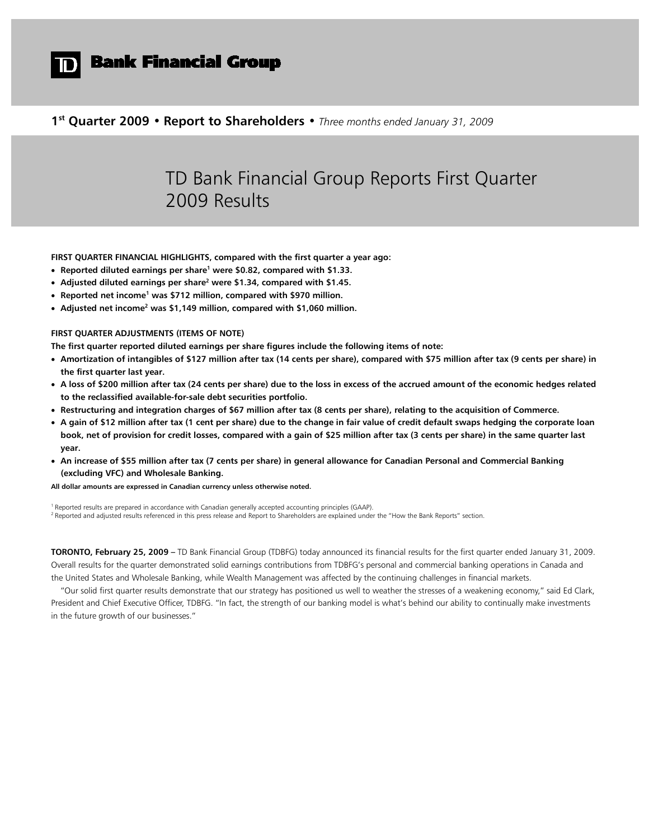

# **D** Bank Financial Group

**1st Quarter 2009 • Report to Shareholders •** *Three months ended January 31, 2009*

# TD Bank Financial Group Reports First Quarter 2009 Results

**FIRST QUARTER FINANCIAL HIGHLIGHTS, compared with the first quarter a year ago:**

- **Reported diluted earnings per share1 were \$0.82, compared with \$1.33.**
- **Adjusted diluted earnings per share2 were \$1.34, compared with \$1.45.**
- **Reported net income1 was \$712 million, compared with \$970 million.**
- **Adjusted net income2 was \$1,149 million, compared with \$1,060 million.**

# **FIRST QUARTER ADJUSTMENTS (ITEMS OF NOTE)**

**The first quarter reported diluted earnings per share figures include the following items of note:**

- **Amortization of intangibles of \$127 million after tax (14 cents per share), compared with \$75 million after tax (9 cents per share) in the first quarter last year.**
- **A loss of \$200 million after tax (24 cents per share) due to the loss in excess of the accrued amount of the economic hedges related to the reclassified available-for-sale debt securities portfolio.**
- **Restructuring and integration charges of \$67 million after tax (8 cents per share), relating to the acquisition of Commerce.**
- **A gain of \$12 million after tax (1 cent per share) due to the change in fair value of credit default swaps hedging the corporate loan book, net of provision for credit losses, compared with a gain of \$25 million after tax (3 cents per share) in the same quarter last year.**
- **An increase of \$55 million after tax (7 cents per share) in general allowance for Canadian Personal and Commercial Banking (excluding VFC) and Wholesale Banking.**

**All dollar amounts are expressed in Canadian currency unless otherwise noted.**

<sup>1</sup> Reported results are prepared in accordance with Canadian generally accepted accounting principles (GAAP). <sup>2</sup> Reported and adjusted results referenced in this press release and Report to Shareholders are explained under the "How the Bank Reports" section.

**TORONTO, February 25, 2009 –** TD Bank Financial Group (TDBFG) today announced its financial results for the first quarter ended January 31, 2009. Overall results for the quarter demonstrated solid earnings contributions from TDBFG's personal and commercial banking operations in Canada and the United States and Wholesale Banking, while Wealth Management was affected by the continuing challenges in financial markets.

"Our solid first quarter results demonstrate that our strategy has positioned us well to weather the stresses of a weakening economy," said Ed Clark, President and Chief Executive Officer, TDBFG. "In fact, the strength of our banking model is what's behind our ability to continually make investments in the future growth of our businesses."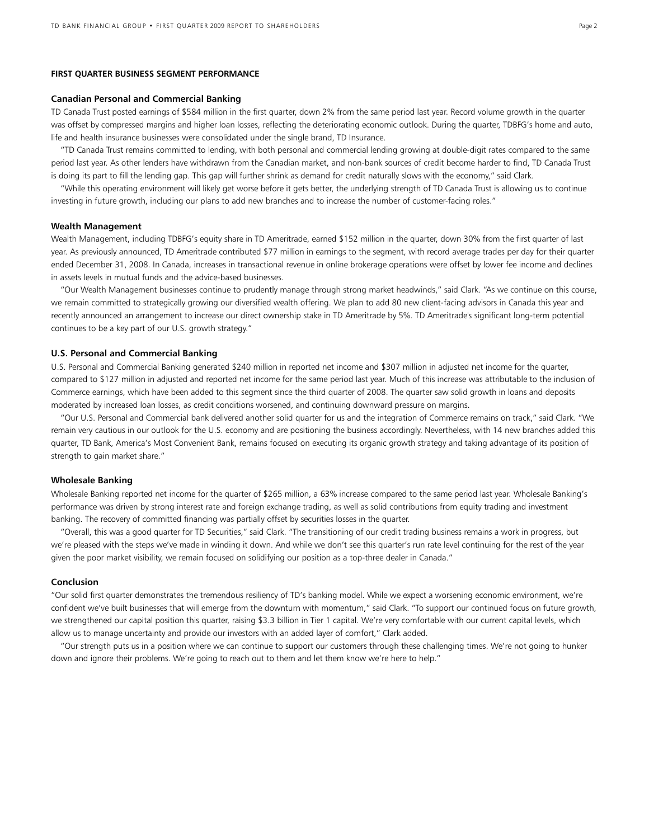### **FIRST QUARTER BUSINESS SEGMENT PERFORMANCE**

### **Canadian Personal and Commercial Banking**

TD Canada Trust posted earnings of \$584 million in the first quarter, down 2% from the same period last year. Record volume growth in the quarter was offset by compressed margins and higher loan losses, reflecting the deteriorating economic outlook. During the quarter, TDBFG's home and auto, life and health insurance businesses were consolidated under the single brand, TD Insurance.

"TD Canada Trust remains committed to lending, with both personal and commercial lending growing at double-digit rates compared to the same period last year. As other lenders have withdrawn from the Canadian market, and non-bank sources of credit become harder to find, TD Canada Trust is doing its part to fill the lending gap. This gap will further shrink as demand for credit naturally slows with the economy," said Clark.

"While this operating environment will likely get worse before it gets better, the underlying strength of TD Canada Trust is allowing us to continue investing in future growth, including our plans to add new branches and to increase the number of customer-facing roles."

#### **Wealth Management**

Wealth Management, including TDBFG's equity share in TD Ameritrade, earned \$152 million in the quarter, down 30% from the first quarter of last year. As previously announced, TD Ameritrade contributed \$77 million in earnings to the segment, with record average trades per day for their quarter ended December 31, 2008. In Canada, increases in transactional revenue in online brokerage operations were offset by lower fee income and declines in assets levels in mutual funds and the advice-based businesses.

"Our Wealth Management businesses continue to prudently manage through strong market headwinds," said Clark. "As we continue on this course, we remain committed to strategically growing our diversified wealth offering. We plan to add 80 new client-facing advisors in Canada this year and recently announced an arrangement to increase our direct ownership stake in TD Ameritrade by 5%. TD Ameritrade's significant long-term potential continues to be a key part of our U.S. growth strategy."

### **U.S. Personal and Commercial Banking**

U.S. Personal and Commercial Banking generated \$240 million in reported net income and \$307 million in adjusted net income for the quarter, compared to \$127 million in adjusted and reported net income for the same period last year. Much of this increase was attributable to the inclusion of Commerce earnings, which have been added to this segment since the third quarter of 2008. The quarter saw solid growth in loans and deposits moderated by increased loan losses, as credit conditions worsened, and continuing downward pressure on margins.

"Our U.S. Personal and Commercial bank delivered another solid quarter for us and the integration of Commerce remains on track," said Clark. "We remain very cautious in our outlook for the U.S. economy and are positioning the business accordingly. Nevertheless, with 14 new branches added this quarter, TD Bank, America's Most Convenient Bank, remains focused on executing its organic growth strategy and taking advantage of its position of strength to gain market share."

### **Wholesale Banking**

Wholesale Banking reported net income for the quarter of \$265 million, a 63% increase compared to the same period last year. Wholesale Banking's performance was driven by strong interest rate and foreign exchange trading, as well as solid contributions from equity trading and investment banking. The recovery of committed financing was partially offset by securities losses in the quarter.

"Overall, this was a good quarter for TD Securities," said Clark. "The transitioning of our credit trading business remains a work in progress, but we're pleased with the steps we've made in winding it down. And while we don't see this quarter's run rate level continuing for the rest of the year given the poor market visibility, we remain focused on solidifying our position as a top-three dealer in Canada."

### **Conclusion**

"Our solid first quarter demonstrates the tremendous resiliency of TD's banking model. While we expect a worsening economic environment, we're confident we've built businesses that will emerge from the downturn with momentum," said Clark. "To support our continued focus on future growth, we strengthened our capital position this quarter, raising \$3.3 billion in Tier 1 capital. We're very comfortable with our current capital levels, which allow us to manage uncertainty and provide our investors with an added layer of comfort," Clark added.

"Our strength puts us in a position where we can continue to support our customers through these challenging times. We're not going to hunker down and ignore their problems. We're going to reach out to them and let them know we're here to help."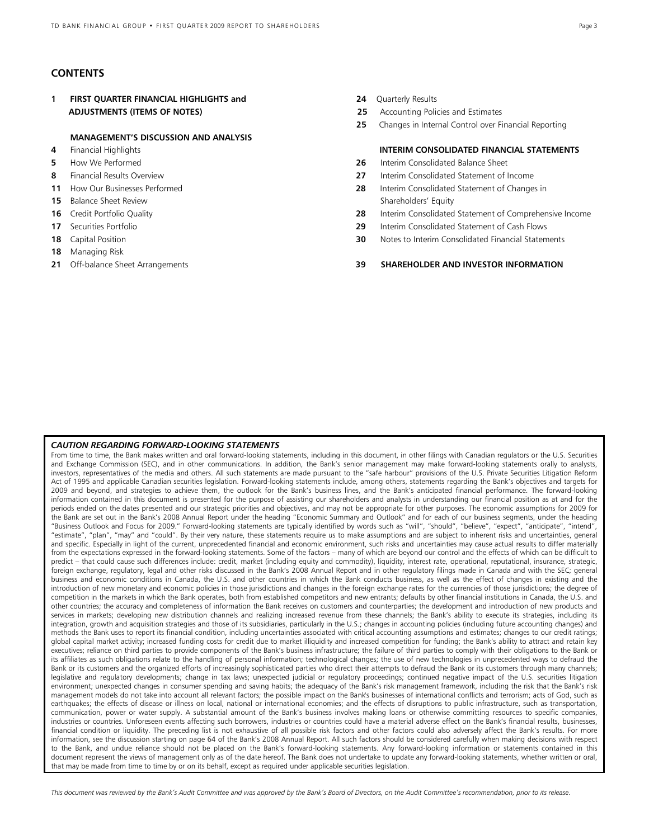# **CONTENTS**

**1 FIRST QUARTER FINANCIAL HIGHLIGHTS and 24** Quarterly Results  **ADJUSTMENTS (ITEMS OF NOTES) 25** Accounting Policies and Estimates

### **MANAGEMENT'S DISCUSSION AND ANALYSIS**

- 
- 
- 
- 
- 
- 
- 
- 
- **18** Managing Risk
- 
- 
- 
- **25** Changes in Internal Control over Financial Reporting

# **4** Financial Highlights **INTERIM CONSOLIDATED FINANCIAL STATEMENTS**

- **5** How We Performed **26** Interim Consolidated Balance Sheet
- **8** Financial Results Overview **27** Interim Consolidated Statement of Income
- **11** How Our Businesses Performed **28** Interim Consolidated Statement of Changes in **15** Balance Sheet Review Shareholders' Equity
- **16** Credit Portfolio Quality **28** Interim Consolidated Statement of Comprehensive Income
- **17** Securities Portfolio **29** Interim Consolidated Statement of Cash Flows
- **18** Capital Position **30** Notes to Interim Consolidated Financial Statements

# **21** Off-balance Sheet Arrangements **39 SHAREHOLDER AND INVESTOR INFORMATION**

### *CAUTION REGARDING FORWARD-LOOKING STATEMENTS*

From time to time, the Bank makes written and oral forward-looking statements, including in this document, in other filings with Canadian regulators or the U.S. Securities and Exchange Commission (SEC), and in other communications. In addition, the Bank's senior management may make forward-looking statements orally to analysts, investors, representatives of the media and others. All such statements are made pursuant to the "safe harbour" provisions of the U.S. Private Securities Litigation Reform Act of 1995 and applicable Canadian securities legislation. Forward-looking statements include, among others, statements regarding the Bank's objectives and targets for 2009 and beyond, and strategies to achieve them, the outlook for the Bank's business lines, and the Bank's anticipated financial performance. The forward-looking information contained in this document is presented for the purpose of assisting our shareholders and analysts in understanding our financial position as at and for the periods ended on the dates presented and our strategic priorities and objectives, and may not be appropriate for other purposes. The economic assumptions for 2009 for the Bank are set out in the Bank's 2008 Annual Report under the heading "Economic Summary and Outlook" and for each of our business segments, under the heading "Business Outlook and Focus for 2009." Forward-looking statements are typically identified by words such as "will", "should", "believe", "expect", "anticipate", "intend", "estimate", "plan", "may" and "could". By their very nature, these statements require us to make assumptions and are subject to inherent risks and uncertainties, general and specific. Especially in light of the current, unprecedented financial and economic environment, such risks and uncertainties may cause actual results to differ materially from the expectations expressed in the forward-looking statements. Some of the factors – many of which are beyond our control and the effects of which can be difficult to predict – that could cause such differences include: credit, market (including equity and commodity), liquidity, interest rate, operational, reputational, insurance, strategic, foreign exchange, regulatory, legal and other risks discussed in the Bank's 2008 Annual Report and in other regulatory filings made in Canada and with the SEC; general business and economic conditions in Canada, the U.S. and other countries in which the Bank conducts business, as well as the effect of changes in existing and the introduction of new monetary and economic policies in those jurisdictions and changes in the foreign exchange rates for the currencies of those jurisdictions; the degree of competition in the markets in which the Bank operates, both from established competitors and new entrants; defaults by other financial institutions in Canada, the U.S. and other countries; the accuracy and completeness of information the Bank receives on customers and counterparties; the development and introduction of new products and services in markets; developing new distribution channels and realizing increased revenue from these channels; the Bank's ability to execute its strategies, including its integration, growth and acquisition strategies and those of its subsidiaries, particularly in the U.S.; changes in accounting policies (including future accounting changes) and methods the Bank uses to report its financial condition, including uncertainties associated with critical accounting assumptions and estimates; changes to our credit ratings; global capital market activity; increased funding costs for credit due to market illiquidity and increased competition for funding; the Bank's ability to attract and retain key executives; reliance on third parties to provide components of the Bank's business infrastructure; the failure of third parties to comply with their obligations to the Bank or its affiliates as such obligations relate to the handling of personal information; technological changes; the use of new technologies in unprecedented ways to defraud the Bank or its customers and the organized efforts of increasingly sophisticated parties who direct their attempts to defraud the Bank or its customers through many channels; legislative and regulatory developments; change in tax laws; unexpected judicial or regulatory proceedings; continued negative impact of the U.S. securities litigation environment; unexpected changes in consumer spending and saving habits; the adequacy of the Bank's risk management framework, including the risk that the Bank's risk management models do not take into account all relevant factors; the possible impact on the Bank's businesses of international conflicts and terrorism; acts of God, such as earthquakes; the effects of disease or illness on local, national or international economies; and the effects of disruptions to public infrastructure, such as transportation, communication, power or water supply. A substantial amount of the Bank's business involves making loans or otherwise committing resources to specific companies, industries or countries. Unforeseen events affecting such borrowers, industries or countries could have a material adverse effect on the Bank's financial results, businesses, financial condition or liquidity. The preceding list is not exhaustive of all possible risk factors and other factors could also adversely affect the Bank's results. For more information, see the discussion starting on page 64 of the Bank's 2008 Annual Report. All such factors should be considered carefully when making decisions with respect to the Bank, and undue reliance should not be placed on the Bank's forward-looking statements. Any forward-looking information or statements contained in this document represent the views of management only as of the date hereof. The Bank does not undertake to update any forward-looking statements, whether written or oral, that may be made from time to time by or on its behalf, except as required under applicable securities legislation.

*This document was reviewed by the Bank's Audit Committee and was approved by the Bank's Board of Directors, on the Audit Committee's recommendation, prior to its release.*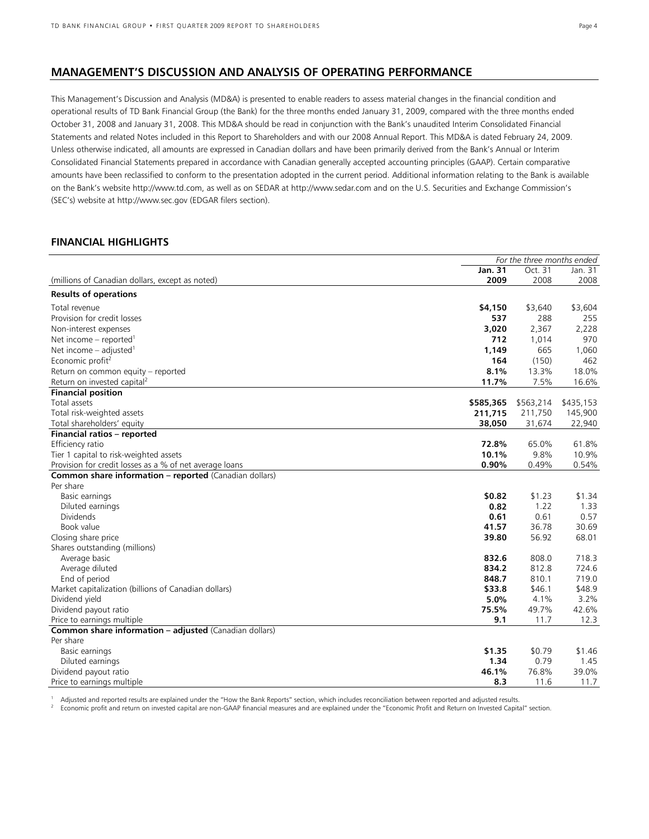# **MANAGEMENT'S DISCUSSION AND ANALYSIS OF OPERATING PERFORMANCE**

This Management's Discussion and Analysis (MD&A) is presented to enable readers to assess material changes in the financial condition and operational results of TD Bank Financial Group (the Bank) for the three months ended January 31, 2009, compared with the three months ended October 31, 2008 and January 31, 2008. This MD&A should be read in conjunction with the Bank's unaudited Interim Consolidated Financial Statements and related Notes included in this Report to Shareholders and with our 2008 Annual Report. This MD&A is dated February 24, 2009. Unless otherwise indicated, all amounts are expressed in Canadian dollars and have been primarily derived from the Bank's Annual or Interim Consolidated Financial Statements prepared in accordance with Canadian generally accepted accounting principles (GAAP). Certain comparative amounts have been reclassified to conform to the presentation adopted in the current period. Additional information relating to the Bank is available on the Bank's website http:/[/www.td.com](http://www.td.com/), as well as on SEDAR at http:[//www.sedar.com](http://www.sedar.com/) and on the U.S. Securities and Exchange Commission's (SEC's) website at http:[//www.sec.gov](http://www.sec.gov/) (EDGAR filers section).

# **FINANCIAL HIGHLIGHTS**

|                                                               |           | For the three months ended |           |
|---------------------------------------------------------------|-----------|----------------------------|-----------|
|                                                               | Jan. 31   | Oct. 31                    | Jan. 31   |
| (millions of Canadian dollars, except as noted)               | 2009      | 2008                       | 2008      |
| <b>Results of operations</b>                                  |           |                            |           |
| Total revenue                                                 | \$4,150   | \$3,640                    | \$3,604   |
| Provision for credit losses                                   | 537       | 288                        | 255       |
| Non-interest expenses                                         | 3,020     | 2,367                      | 2,228     |
| Net income – reported <sup>1</sup>                            | 712       | 1,014                      | 970       |
| Net income $-$ adjusted <sup>1</sup>                          | 1,149     | 665                        | 1,060     |
| Economic profit <sup>2</sup>                                  | 164       | (150)                      | 462       |
| Return on common equity – reported                            | 8.1%      | 13.3%                      | 18.0%     |
| Return on invested capital <sup>2</sup>                       | 11.7%     | 7.5%                       | 16.6%     |
| <b>Financial position</b>                                     |           |                            |           |
| Total assets                                                  | \$585,365 | \$563,214                  | \$435,153 |
| Total risk-weighted assets                                    | 211,715   | 211,750                    | 145,900   |
| Total shareholders' equity                                    | 38,050    | 31,674                     | 22,940    |
| Financial ratios - reported                                   |           |                            |           |
| Efficiency ratio                                              | 72.8%     | 65.0%                      | 61.8%     |
| Tier 1 capital to risk-weighted assets                        | 10.1%     | 9.8%                       | 10.9%     |
| Provision for credit losses as a % of net average loans       | 0.90%     | 0.49%                      | 0.54%     |
| <b>Common share information - reported</b> (Canadian dollars) |           |                            |           |
| Per share                                                     |           |                            |           |
| Basic earnings                                                | \$0.82    | \$1.23                     | \$1.34    |
| Diluted earnings                                              | 0.82      | 1.22                       | 1.33      |
| <b>Dividends</b>                                              | 0.61      | 0.61                       | 0.57      |
| Book value                                                    | 41.57     | 36.78                      | 30.69     |
| Closing share price                                           | 39.80     | 56.92                      | 68.01     |
| Shares outstanding (millions)                                 |           |                            |           |
| Average basic                                                 | 832.6     | 808.0                      | 718.3     |
| Average diluted                                               | 834.2     | 812.8                      | 724.6     |
| End of period                                                 | 848.7     | 810.1                      | 719.0     |
| Market capitalization (billions of Canadian dollars)          | \$33.8    | \$46.1                     | \$48.9    |
| Dividend yield                                                | 5.0%      | 4.1%                       | 3.2%      |
| Dividend payout ratio                                         | 75.5%     | 49.7%                      | 42.6%     |
| Price to earnings multiple                                    | 9.1       | 11.7                       | 12.3      |
| <b>Common share information - adjusted (Canadian dollars)</b> |           |                            |           |
| Per share                                                     |           |                            |           |
| Basic earnings                                                | \$1.35    | \$0.79                     | \$1.46    |
| Diluted earnings                                              | 1.34      | 0.79                       | 1.45      |
| Dividend payout ratio                                         | 46.1%     | 76.8%                      | 39.0%     |
| Price to earnings multiple                                    | 8.3       | 11.6                       | 11.7      |

1 Adjusted and reported results are explained under the "How the Bank Reports" section, which includes reconciliation between reported and adjusted results.<br><sup>2</sup> Economic profit and return on invested capital are non GAAB f

<sup>2</sup> Economic profit and return on invested capital are non-GAAP financial measures and are explained under the "Economic Profit and Return on Invested Capital" section.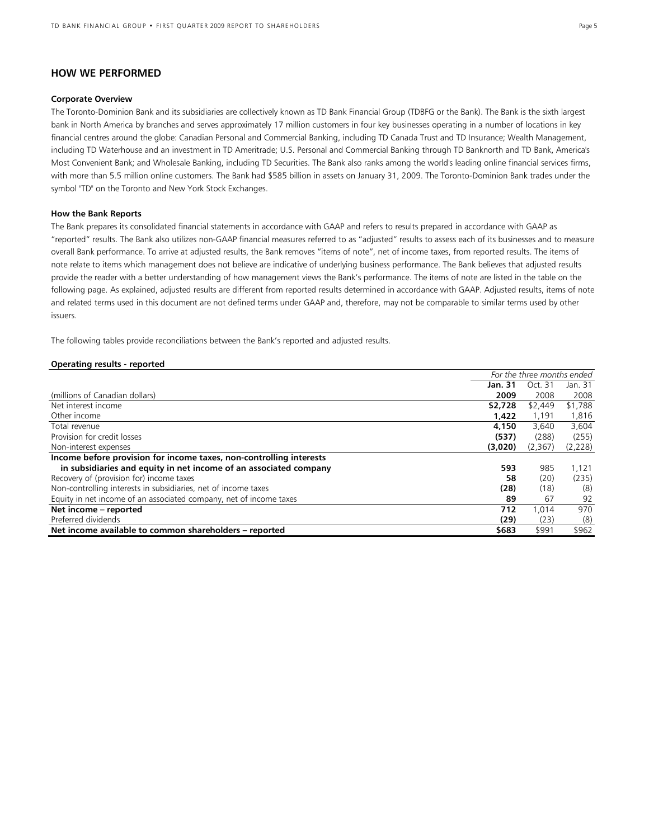# **HOW WE PERFORMED**

### **Corporate Overview**

The Toronto-Dominion Bank and its subsidiaries are collectively known as TD Bank Financial Group (TDBFG or the Bank). The Bank is the sixth largest bank in North America by branches and serves approximately 17 million customers in four key businesses operating in a number of locations in key financial centres around the globe: Canadian Personal and Commercial Banking, including TD Canada Trust and TD Insurance; Wealth Management, including TD Waterhouse and an investment in TD Ameritrade; U.S. Personal and Commercial Banking through TD Banknorth and TD Bank, America's Most Convenient Bank; and Wholesale Banking, including TD Securities. The Bank also ranks among the world's leading online financial services firms, with more than 5.5 million online customers. The Bank had \$585 billion in assets on January 31, 2009. The Toronto-Dominion Bank trades under the symbol "TD" on the Toronto and New York Stock Exchanges.

### **How the Bank Reports**

The Bank prepares its consolidated financial statements in accordance with GAAP and refers to results prepared in accordance with GAAP as "reported" results. The Bank also utilizes non-GAAP financial measures referred to as "adjusted" results to assess each of its businesses and to measure overall Bank performance. To arrive at adjusted results, the Bank removes "items of note", net of income taxes, from reported results. The items of note relate to items which management does not believe are indicative of underlying business performance. The Bank believes that adjusted results provide the reader with a better understanding of how management views the Bank's performance. The items of note are listed in the table on the following page. As explained, adjusted results are different from reported results determined in accordance with GAAP. Adjusted results, items of note and related terms used in this document are not defined terms under GAAP and, therefore, may not be comparable to similar terms used by other issuers.

The following tables provide reconciliations between the Bank's reported and adjusted results.

### **Operating results - reported**

|                                                                     | For the three months ended |         |         |
|---------------------------------------------------------------------|----------------------------|---------|---------|
|                                                                     | Jan. 31                    | Oct. 31 | Jan. 31 |
| (millions of Canadian dollars)                                      | 2009                       | 2008    | 2008    |
| Net interest income                                                 | \$2,728                    | \$2,449 | \$1,788 |
| Other income                                                        | 1,422                      | 1,191   | 1,816   |
| Total revenue                                                       | 4,150                      | 3,640   | 3,604   |
| Provision for credit losses                                         | (537)                      | (288)   | (255)   |
| Non-interest expenses                                               | (3,020)                    | (2,367) | (2,228) |
| Income before provision for income taxes, non-controlling interests |                            |         |         |
| in subsidiaries and equity in net income of an associated company   | 593                        | 985     | 1,121   |
| Recovery of (provision for) income taxes                            | 58                         | (20)    | (235)   |
| Non-controlling interests in subsidiaries, net of income taxes      | (28)                       | (18)    | (8)     |
| Equity in net income of an associated company, net of income taxes  | 89                         | 67      | 92      |
| Net income - reported                                               | 712                        | 1.014   | 970     |
| Preferred dividends                                                 | (29)                       | (23)    | (8)     |
| Net income available to common shareholders - reported              | \$683                      | \$991   | \$962   |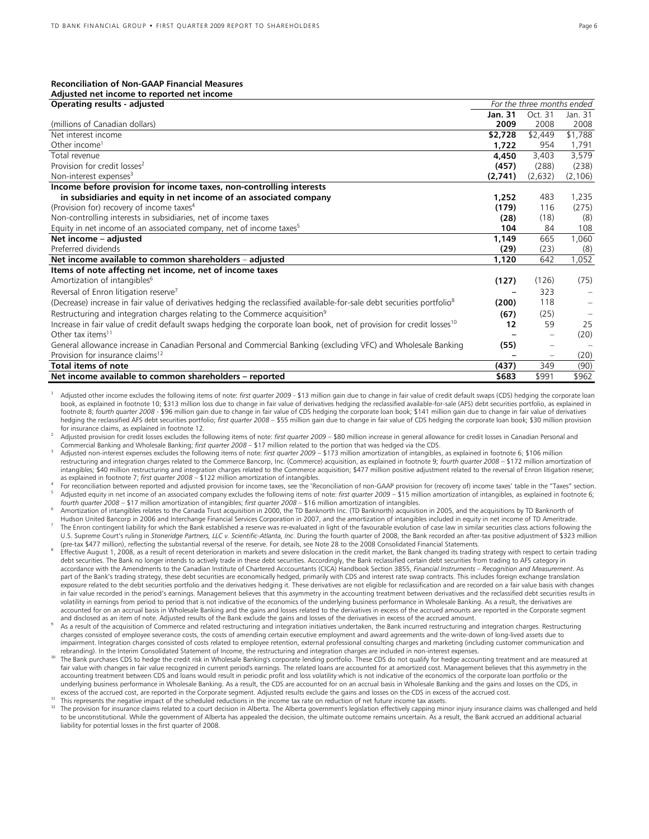# **Reconciliation of Non-GAAP Financial Measures**

### **Adjusted net income to reported net income**

| Operating results - adjusted                                                                                                        |         | For the three months ended |          |
|-------------------------------------------------------------------------------------------------------------------------------------|---------|----------------------------|----------|
|                                                                                                                                     | Jan. 31 | Oct. 31                    | Jan. 31  |
| (millions of Canadian dollars)                                                                                                      | 2009    | 2008                       | 2008     |
| Net interest income                                                                                                                 | \$2,728 | \$2,449                    | \$1,788  |
| Other income <sup>1</sup>                                                                                                           | 1.722   | 954                        | 1,791    |
| Total revenue                                                                                                                       | 4,450   | 3,403                      | 3,579    |
| Provision for credit losses <sup>2</sup>                                                                                            | (457)   | (288)                      | (238)    |
| Non-interest expenses <sup>3</sup>                                                                                                  | (2,741) | (2,632)                    | (2, 106) |
| Income before provision for income taxes, non-controlling interests                                                                 |         |                            |          |
| in subsidiaries and equity in net income of an associated company                                                                   | 1,252   | 483                        | 1,235    |
| (Provision for) recovery of income taxes <sup>4</sup>                                                                               | (179)   | 116                        | (275)    |
| Non-controlling interests in subsidiaries, net of income taxes                                                                      | (28)    | (18)                       | (8)      |
| Equity in net income of an associated company, net of income taxes <sup>5</sup>                                                     | 104     | 84                         | 108      |
| Net income - adjusted                                                                                                               | 1,149   | 665                        | 1,060    |
| Preferred dividends                                                                                                                 | (29)    | (23)                       | (8)      |
| Net income available to common shareholders - adjusted                                                                              | 1,120   | 642                        | 1,052    |
| Items of note affecting net income, net of income taxes                                                                             |         |                            |          |
| Amortization of intangibles <sup>6</sup>                                                                                            | (127)   | (126)                      | (75)     |
| Reversal of Enron litigation reserve <sup>7</sup>                                                                                   |         | 323                        |          |
| (Decrease) increase in fair value of derivatives hedging the reclassified available-for-sale debt securities portfolio <sup>8</sup> | (200)   | 118                        |          |
| Restructuring and integration charges relating to the Commerce acquisition <sup>9</sup>                                             | (67)    | (25)                       |          |
| Increase in fair value of credit default swaps hedging the corporate loan book, net of provision for credit losses <sup>10</sup>    | 12      | 59                         | 25       |
| Other tax items <sup>11</sup>                                                                                                       |         |                            | (20)     |
| General allowance increase in Canadian Personal and Commercial Banking (excluding VFC) and Wholesale Banking                        | (55)    |                            |          |
| Provision for insurance claims <sup>12</sup>                                                                                        |         | $\overline{\phantom{m}}$   | (20)     |
| Total items of note                                                                                                                 | (437)   | 349                        | (90)     |
| Net income available to common shareholders - reported                                                                              | \$683   | \$991                      | \$962    |

Adjusted other income excludes the following items of note: first quarter 2009 - \$13 million gain due to change in fair value of credit default swaps (CDS) hedging the corporate loan book, as explained in footnote 10; \$313 million loss due to change in fair value of derivatives hedging the reclassified available-for-sale (AFS) debt securities portfolio, as explained in footnote 8; *fourth quarter 2008* - \$96 million gain due to change in fair value of CDS hedging the corporate loan book; \$141 million gain due to change in fair value of derivatives hedging the reclassified AFS debt securities portfolio; *first quarter 2008 –* \$55 million gain due to change in fair value of CDS hedging the corporate loan book; \$30 million provision for insurance claims, as explained in footnote 12.

Adjusted provision for credit losses excludes the following items of note: *first quarter 2009* – \$80 million increase in general allowance for credit losses in Canadian Personal and Commercial Banking and Wholesale Banking; *first quarter 2008* – \$17 million related to the portion that was hedged via the CDS.

<sup>3</sup> Adjusted non-interest expenses excludes the following items of note: *first quarter 2009* – \$173 million amortization of intangibles, as explained in footnote 6; \$106 million restructuring and integration charges related to the Commerce Bancorp, Inc. (Commerce) acquisition, as explained in footnote 9; *fourth quarter 2008* – \$172 million amortization of intangibles; \$40 million restructuring and integration charges related to the Commerce acquisition; \$477 million positive adjustment related to the reversal of Enron litigation reserve; as explained in footnote 7; *first quarter 2008* – \$122 million amortization of intangibles.

For reconciliation between reported and adjusted provision for income taxes, see the 'Reconciliation of non-GAAP provision for (recovery of) income taxes' table in the "Taxes" section. Adjusted equity in net income of an associated company excludes the following items of note: *first quarter 2009* – \$15 million amortization of intangibles, as explained in footnote 6; *fourth quarter 2008* – \$17 million amortization of intangibles; *first quarter 2008* – \$16 million amortization of intangibles.

Amortization of intangibles relates to the Canada Trust acquisition in 2000, the TD Banknorth Inc. (TD Banknorth) acquisition in 2005, and the acquisitions by TD Banknorth of Hudson United Bancorp in 2006 and Interchange Financial Services Corporation in 2007, and the amortization of intangibles included in equity in net income of TD Ameritrade.

The Enron contingent liability for which the Bank established a reserve was re-evaluated in light of the favourable evolution of case law in similar securities class actions following the U.S. Supreme Court's ruling in *Stoneridge Partners, LLC v. Scientific-Atlanta, Inc*. During the fourth quarter of 2008, the Bank recorded an after-tax positive adjustment of \$323 million (pre-tax \$477 million), reflecting the substantial reversal of the reserve. For details, see Note 28 to the 2008 Consolidated Financial Statements.

- Effective August 1, 2008, as a result of recent deterioration in markets and severe dislocation in the credit market, the Bank changed its trading strategy with respect to certain trading debt securities. The Bank no longer intends to actively trade in these debt securities. Accordingly, the Bank reclassified certain debt securities from trading to AFS category in accordance with the Amendments to the Canadian Institute of Chartered Acccountants (CICA) Handbook Section 3855, *Financial Instruments – Recognition and Measurement*. As part of the Bank's trading strategy, these debt securities are economically hedged, primarily with CDS and interest rate swap contracts. This includes foreign exchange translation exposure related to the debt securities portfolio and the derivatives hedging it. These derivatives are not eligible for reclassification and are recorded on a fair value basis with changes in fair value recorded in the period's earnings. Management believes that this asymmetry in the accounting treatment between derivatives and the reclassified debt securities results in volatility in earnings from period to period that is not indicative of the economics of the underlying business performance in Wholesale Banking. As a result, the derivatives are accounted for on an accrual basis in Wholesale Banking and the gains and losses related to the derivatives in excess of the accrued amounts are reported in the Corporate segment and disclosed as an item of note. Adjusted results of the Bank exclude the gains and losses of the derivatives in excess of the accrued amount.
- As a result of the acquisition of Commerce and related restructuring and integration initiatives undertaken, the Bank incurred restructuring and integration charges. Restructuring charges consisted of employee severance costs, the costs of amending certain executive employment and award agreements and the write-down of long-lived assets due to impairment. Integration charges consisted of costs related to employee retention, external professional consulting charges and marketing (including customer communication and rebranding). In the Interim Consolidated Statement of Income, the restructuring and integration charges are included in non-interest expenses.
- The Bank purchases CDS to hedge the credit risk in Wholesale Banking's corporate lending portfolio. These CDS do not qualify for hedge accounting treatment and are measured at fair value with changes in fair value recognized in current period's earnings. The related loans are accounted for at amortized cost. Management believes that this asymmetry in the accounting treatment between CDS and loans would result in periodic profit and loss volatility which is not indicative of the economics of the corporate loan portfolio or the underlying business performance in Wholesale Banking. As a result, the CDS are accounted for on an accrual basis in Wholesale Banking and the gains and losses on the CDS, in excess of the accrued cost, are reported in the Corporate segment. Adjusted results exclude the gains and losses on the CDS in excess of the accrued cost.

<sup>11</sup> This represents the negative impact of the scheduled reductions in the income tax rate on reduction of net future income tax assets.<br><sup>12</sup>  $\pm$ <sup>12</sup> The provision for insurance claims related to a court decision in Alberta. The Alberta government's legislation effectively capping minor injury insurance claims was challenged and held to be unconstitutional. While the government of Alberta has appealed the decision, the ultimate outcome remains uncertain. As a result, the Bank accrued an additional actuarial liability for potential losses in the first quarter of 2008.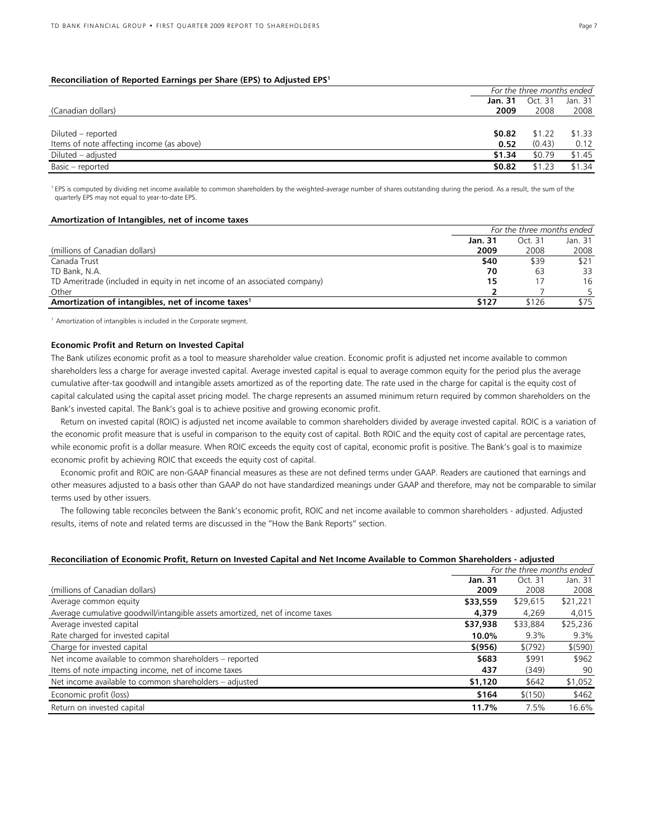# **Reconciliation of Reported Earnings per Share (EPS) to Adjusted EPS1**

|                                           |         | For the three months ended |         |  |  |
|-------------------------------------------|---------|----------------------------|---------|--|--|
|                                           | Jan. 31 | Oct. 31                    | Jan. 31 |  |  |
| (Canadian dollars)                        | 2009    | 2008                       | 2008    |  |  |
|                                           |         |                            |         |  |  |
| Diluted – reported                        | \$0.82  | \$1.22                     | \$1.33  |  |  |
| Items of note affecting income (as above) | 0.52    | (0.43)                     | 0.12    |  |  |
| Diluted – adjusted                        | \$1.34  | \$0.79                     | \$1.45  |  |  |
| Basic - reported                          | \$0.82  | \$1.23                     | \$1.34  |  |  |

<sup>1</sup> EPS is computed by dividing net income available to common shareholders by the weighted-average number of shares outstanding during the period. As a result, the sum of the quarterly EPS may not equal to year-to-date EPS.

### **Amortization of Intangibles, net of income taxes**

|                                                                           | For the three months ended |         |         |
|---------------------------------------------------------------------------|----------------------------|---------|---------|
|                                                                           | Jan. 31                    | Oct. 31 | Jan. 31 |
| (millions of Canadian dollars)                                            | 2009                       | 2008    | 2008    |
| Canada Trust                                                              | \$40                       | \$39    | \$21    |
| TD Bank, N.A.                                                             | 70                         | 63      | 33      |
| TD Ameritrade (included in equity in net income of an associated company) | 15                         |         | 16      |
| Other                                                                     |                            |         |         |
| Amortization of intangibles, net of income taxes <sup>1</sup>             | \$127                      | \$126   | \$75    |

<sup>1</sup> Amortization of intangibles is included in the Corporate segment.

# **Economic Profit and Return on Invested Capital**

The Bank utilizes economic profit as a tool to measure shareholder value creation. Economic profit is adjusted net income available to common shareholders less a charge for average invested capital. Average invested capital is equal to average common equity for the period plus the average cumulative after-tax goodwill and intangible assets amortized as of the reporting date. The rate used in the charge for capital is the equity cost of capital calculated using the capital asset pricing model. The charge represents an assumed minimum return required by common shareholders on the Bank's invested capital. The Bank's goal is to achieve positive and growing economic profit.

Return on invested capital (ROIC) is adjusted net income available to common shareholders divided by average invested capital. ROIC is a variation of the economic profit measure that is useful in comparison to the equity cost of capital. Both ROIC and the equity cost of capital are percentage rates, while economic profit is a dollar measure. When ROIC exceeds the equity cost of capital, economic profit is positive. The Bank's goal is to maximize economic profit by achieving ROIC that exceeds the equity cost of capital.

Economic profit and ROIC are non-GAAP financial measures as these are not defined terms under GAAP. Readers are cautioned that earnings and other measures adjusted to a basis other than GAAP do not have standardized meanings under GAAP and therefore, may not be comparable to similar terms used by other issuers.

The following table reconciles between the Bank's economic profit, ROIC and net income available to common shareholders - adjusted. Adjusted results, items of note and related terms are discussed in the "How the Bank Reports" section.

## **Reconciliation of Economic Profit, Return on Invested Capital and Net Income Available to Common Shareholders - adjusted**

|                                                                              | For the three months ended |          |          |
|------------------------------------------------------------------------------|----------------------------|----------|----------|
|                                                                              | Jan. 31                    | Oct. 31  | Jan. 31  |
| (millions of Canadian dollars)                                               | 2009                       | 2008     | 2008     |
| Average common equity                                                        | \$33,559                   | \$29,615 | \$21,221 |
| Average cumulative goodwill/intangible assets amortized, net of income taxes | 4,379                      | 4,269    | 4,015    |
| Average invested capital                                                     | \$37,938                   | \$33,884 | \$25,236 |
| Rate charged for invested capital                                            | 10.0%                      | 9.3%     | $9.3\%$  |
| Charge for invested capital                                                  | \$(956)                    | \$(792)  | \$ (590) |
| Net income available to common shareholders – reported                       | \$683                      | \$991    | \$962    |
| Items of note impacting income, net of income taxes                          | 437                        | (349)    | 90       |
| Net income available to common shareholders – adjusted                       | \$1,120                    | \$642    | \$1,052  |
| Economic profit (loss)                                                       | \$164                      | \$(150)  | \$462    |
| Return on invested capital                                                   | 11.7%                      | 7.5%     | 16.6%    |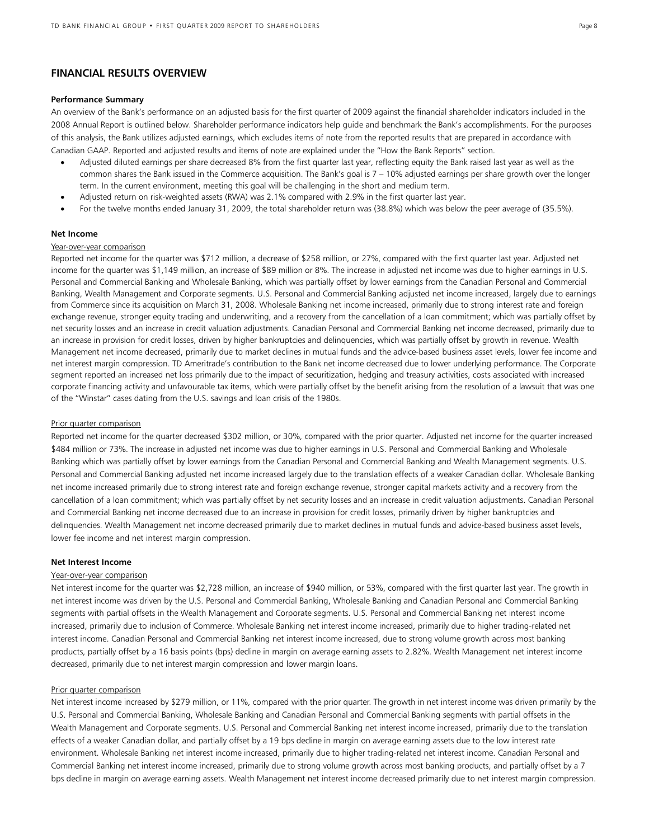# **FINANCIAL RESULTS OVERVIEW**

### **Performance Summary**

An overview of the Bank's performance on an adjusted basis for the first quarter of 2009 against the financial shareholder indicators included in the 2008 Annual Report is outlined below. Shareholder performance indicators help guide and benchmark the Bank's accomplishments. For the purposes of this analysis, the Bank utilizes adjusted earnings, which excludes items of note from the reported results that are prepared in accordance with Canadian GAAP. Reported and adjusted results and items of note are explained under the "How the Bank Reports" section.

- Adjusted diluted earnings per share decreased 8% from the first quarter last year, reflecting equity the Bank raised last year as well as the common shares the Bank issued in the Commerce acquisition. The Bank's goal is 7 – 10% adjusted earnings per share growth over the longer term. In the current environment, meeting this goal will be challenging in the short and medium term.
- Adjusted return on risk-weighted assets (RWA) was 2.1% compared with 2.9% in the first quarter last year.
- For the twelve months ended January 31, 2009, the total shareholder return was (38.8%) which was below the peer average of (35.5%).

### **Net Income**

### Year-over-year comparison

Reported net income for the quarter was \$712 million, a decrease of \$258 million, or 27%, compared with the first quarter last year. Adjusted net income for the quarter was \$1,149 million, an increase of \$89 million or 8%. The increase in adjusted net income was due to higher earnings in U.S. Personal and Commercial Banking and Wholesale Banking, which was partially offset by lower earnings from the Canadian Personal and Commercial Banking, Wealth Management and Corporate segments. U.S. Personal and Commercial Banking adjusted net income increased, largely due to earnings from Commerce since its acquisition on March 31, 2008. Wholesale Banking net income increased, primarily due to strong interest rate and foreign exchange revenue, stronger equity trading and underwriting, and a recovery from the cancellation of a loan commitment; which was partially offset by net security losses and an increase in credit valuation adjustments. Canadian Personal and Commercial Banking net income decreased, primarily due to an increase in provision for credit losses, driven by higher bankruptcies and delinquencies, which was partially offset by growth in revenue. Wealth Management net income decreased, primarily due to market declines in mutual funds and the advice-based business asset levels, lower fee income and net interest margin compression. TD Ameritrade's contribution to the Bank net income decreased due to lower underlying performance. The Corporate segment reported an increased net loss primarily due to the impact of securitization, hedging and treasury activities, costs associated with increased corporate financing activity and unfavourable tax items, which were partially offset by the benefit arising from the resolution of a lawsuit that was one of the "Winstar" cases dating from the U.S. savings and loan crisis of the 1980s.

#### Prior quarter comparison

Reported net income for the quarter decreased \$302 million, or 30%, compared with the prior quarter. Adjusted net income for the quarter increased \$484 million or 73%. The increase in adjusted net income was due to higher earnings in U.S. Personal and Commercial Banking and Wholesale Banking which was partially offset by lower earnings from the Canadian Personal and Commercial Banking and Wealth Management segments. U.S. Personal and Commercial Banking adjusted net income increased largely due to the translation effects of a weaker Canadian dollar. Wholesale Banking net income increased primarily due to strong interest rate and foreign exchange revenue, stronger capital markets activity and a recovery from the cancellation of a loan commitment; which was partially offset by net security losses and an increase in credit valuation adjustments. Canadian Personal and Commercial Banking net income decreased due to an increase in provision for credit losses, primarily driven by higher bankruptcies and delinquencies. Wealth Management net income decreased primarily due to market declines in mutual funds and advice-based business asset levels, lower fee income and net interest margin compression.

### **Net Interest Income**

### Year-over-year comparison

Net interest income for the quarter was \$2,728 million, an increase of \$940 million, or 53%, compared with the first quarter last year. The growth in net interest income was driven by the U.S. Personal and Commercial Banking, Wholesale Banking and Canadian Personal and Commercial Banking segments with partial offsets in the Wealth Management and Corporate segments. U.S. Personal and Commercial Banking net interest income increased, primarily due to inclusion of Commerce. Wholesale Banking net interest income increased, primarily due to higher trading-related net interest income. Canadian Personal and Commercial Banking net interest income increased, due to strong volume growth across most banking products, partially offset by a 16 basis points (bps) decline in margin on average earning assets to 2.82%. Wealth Management net interest income decreased, primarily due to net interest margin compression and lower margin loans.

#### Prior quarter comparison

Net interest income increased by \$279 million, or 11%, compared with the prior quarter. The growth in net interest income was driven primarily by the U.S. Personal and Commercial Banking, Wholesale Banking and Canadian Personal and Commercial Banking segments with partial offsets in the Wealth Management and Corporate segments. U.S. Personal and Commercial Banking net interest income increased, primarily due to the translation effects of a weaker Canadian dollar, and partially offset by a 19 bps decline in margin on average earning assets due to the low interest rate environment. Wholesale Banking net interest income increased, primarily due to higher trading-related net interest income. Canadian Personal and Commercial Banking net interest income increased, primarily due to strong volume growth across most banking products, and partially offset by a 7 bps decline in margin on average earning assets. Wealth Management net interest income decreased primarily due to net interest margin compression.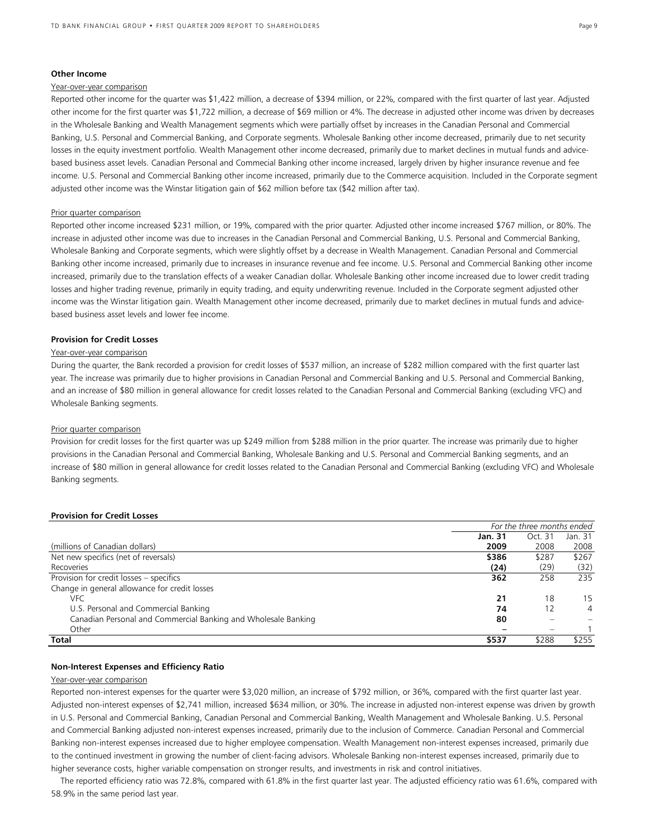## **Other Income**

# Year-over-year comparison

Reported other income for the quarter was \$1,422 million, a decrease of \$394 million, or 22%, compared with the first quarter of last year. Adjusted other income for the first quarter was \$1,722 million, a decrease of \$69 million or 4%. The decrease in adjusted other income was driven by decreases in the Wholesale Banking and Wealth Management segments which were partially offset by increases in the Canadian Personal and Commercial Banking, U.S. Personal and Commercial Banking, and Corporate segments. Wholesale Banking other income decreased, primarily due to net security losses in the equity investment portfolio. Wealth Management other income decreased, primarily due to market declines in mutual funds and advicebased business asset levels. Canadian Personal and Commecial Banking other income increased, largely driven by higher insurance revenue and fee income. U.S. Personal and Commercial Banking other income increased, primarily due to the Commerce acquisition. Included in the Corporate segment adjusted other income was the Winstar litigation gain of \$62 million before tax (\$42 million after tax).

### Prior quarter comparison

Reported other income increased \$231 million, or 19%, compared with the prior quarter. Adjusted other income increased \$767 million, or 80%. The increase in adjusted other income was due to increases in the Canadian Personal and Commercial Banking, U.S. Personal and Commercial Banking, Wholesale Banking and Corporate segments, which were slightly offset by a decrease in Wealth Management. Canadian Personal and Commercial Banking other income increased, primarily due to increases in insurance revenue and fee income. U.S. Personal and Commercial Banking other income increased, primarily due to the translation effects of a weaker Canadian dollar. Wholesale Banking other income increased due to lower credit trading losses and higher trading revenue, primarily in equity trading, and equity underwriting revenue. Included in the Corporate segment adjusted other income was the Winstar litigation gain. Wealth Management other income decreased, primarily due to market declines in mutual funds and advicebased business asset levels and lower fee income.

### **Provision for Credit Losses**

### Year-over-year comparison

During the quarter, the Bank recorded a provision for credit losses of \$537 million, an increase of \$282 million compared with the first quarter last year. The increase was primarily due to higher provisions in Canadian Personal and Commercial Banking and U.S. Personal and Commercial Banking, and an increase of \$80 million in general allowance for credit losses related to the Canadian Personal and Commercial Banking (excluding VFC) and Wholesale Banking segments.

# Prior quarter comparison

Provision for credit losses for the first quarter was up \$249 million from \$288 million in the prior quarter. The increase was primarily due to higher provisions in the Canadian Personal and Commercial Banking, Wholesale Banking and U.S. Personal and Commercial Banking segments, and an increase of \$80 million in general allowance for credit losses related to the Canadian Personal and Commercial Banking (excluding VFC) and Wholesale Banking segments.

#### **Provision for Credit Losses**

|                                                                | For the three months ended |         |         |
|----------------------------------------------------------------|----------------------------|---------|---------|
|                                                                | Jan. 31                    | Oct. 31 | Jan. 31 |
| (millions of Canadian dollars)                                 | 2009                       | 2008    | 2008    |
| Net new specifics (net of reversals)                           | \$386                      | \$287   | \$267   |
| Recoveries                                                     | (24)                       | (29)    | (32)    |
| Provision for credit losses – specifics                        | 362                        | 258     | 235     |
| Change in general allowance for credit losses                  |                            |         |         |
| VFC                                                            | 21                         | 18      | 15      |
| U.S. Personal and Commercial Banking                           | 74                         | 12      | 4       |
| Canadian Personal and Commercial Banking and Wholesale Banking | 80                         |         |         |
| Other                                                          |                            |         |         |
| Total                                                          | \$537                      | \$288   | \$255   |

### **Non-Interest Expenses and Efficiency Ratio**

# Year-over-year comparison

Reported non-interest expenses for the quarter were \$3,020 million, an increase of \$792 million, or 36%, compared with the first quarter last year. Adjusted non-interest expenses of \$2,741 million, increased \$634 million, or 30%. The increase in adjusted non-interest expense was driven by growth in U.S. Personal and Commercial Banking, Canadian Personal and Commercial Banking, Wealth Management and Wholesale Banking. U.S. Personal and Commercial Banking adjusted non-interest expenses increased, primarily due to the inclusion of Commerce. Canadian Personal and Commercial Banking non-interest expenses increased due to higher employee compensation. Wealth Management non-interest expenses increased, primarily due to the continued investment in growing the number of client-facing advisors. Wholesale Banking non-interest expenses increased, primarily due to higher severance costs, higher variable compensation on stronger results, and investments in risk and control initiatives.

The reported efficiency ratio was 72.8%, compared with 61.8% in the first quarter last year. The adjusted efficiency ratio was 61.6%, compared with 58.9% in the same period last year.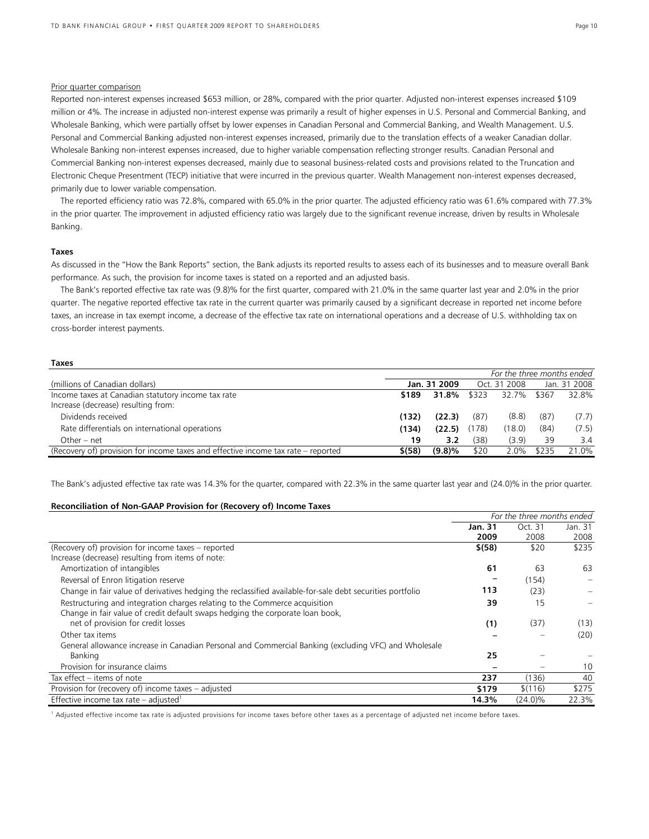# Prior quarter comparison

Reported non-interest expenses increased \$653 million, or 28%, compared with the prior quarter. Adjusted non-interest expenses increased \$109 million or 4%. The increase in adjusted non-interest expense was primarily a result of higher expenses in U.S. Personal and Commercial Banking, and Wholesale Banking, which were partially offset by lower expenses in Canadian Personal and Commercial Banking, and Wealth Management. U.S. Personal and Commercial Banking adjusted non-interest expenses increased, primarily due to the translation effects of a weaker Canadian dollar. Wholesale Banking non-interest expenses increased, due to higher variable compensation reflecting stronger results. Canadian Personal and Commercial Banking non-interest expenses decreased, mainly due to seasonal business-related costs and provisions related to the Truncation and Electronic Cheque Presentment (TECP) initiative that were incurred in the previous quarter. Wealth Management non-interest expenses decreased, primarily due to lower variable compensation.

The reported efficiency ratio was 72.8%, compared with 65.0% in the prior quarter. The adjusted efficiency ratio was 61.6% compared with 77.3% in the prior quarter. The improvement in adjusted efficiency ratio was largely due to the significant revenue increase, driven by results in Wholesale Banking.

#### **Taxes**

As discussed in the "How the Bank Reports" section, the Bank adjusts its reported results to assess each of its businesses and to measure overall Bank performance. As such, the provision for income taxes is stated on a reported and an adjusted basis.

The Bank's reported effective tax rate was (9.8)% for the first quarter, compared with 21.0% in the same quarter last year and 2.0% in the prior quarter. The negative reported effective tax rate in the current quarter was primarily caused by a significant decrease in reported net income before taxes, an increase in tax exempt income, a decrease of the effective tax rate on international operations and a decrease of U.S. withholding tax on cross-border interest payments.

| <b>Taxes</b>                                                                      |            |              |       |                            |       |              |
|-----------------------------------------------------------------------------------|------------|--------------|-------|----------------------------|-------|--------------|
|                                                                                   |            |              |       | For the three months ended |       |              |
| (millions of Canadian dollars)                                                    |            | Jan. 31 2009 |       | Oct. 31 2008               |       | Jan. 31 2008 |
| Income taxes at Canadian statutory income tax rate                                | \$189      | 31.8%        | \$323 | 32.7%                      | \$367 | 32.8%        |
| Increase (decrease) resulting from:                                               |            |              |       |                            |       |              |
| Dividends received                                                                | (132)      | (22.3)       | (87)  | (8.8)                      | (87)  | (7.7)        |
| Rate differentials on international operations                                    | (134)      | (22.5)       | (178) | (18.0)                     | (84)  | (7.5)        |
| Other – net                                                                       | 19         | 3.2          | (38)  | (3.9)                      | 39    | 3.4          |
| (Recovery of) provision for income taxes and effective income tax rate – reported | $$^{(58)}$ | (9.8)%       | \$20  | 2.0%                       | \$235 | 21.0%        |
|                                                                                   |            |              |       |                            |       |              |

The Bank's adjusted effective tax rate was 14.3% for the quarter, compared with 22.3% in the same quarter last year and (24.0)% in the prior quarter.

# **Reconciliation of Non-GAAP Provision for (Recovery of) Income Taxes**

|                                                                                                           |         | For the three months ended |         |
|-----------------------------------------------------------------------------------------------------------|---------|----------------------------|---------|
|                                                                                                           | Jan. 31 | Oct. 31                    | Jan. 31 |
|                                                                                                           | 2009    | 2008                       | 2008    |
| (Recovery of) provision for income taxes – reported                                                       | \$ (58) | \$20                       | \$235   |
| Increase (decrease) resulting from items of note:                                                         |         |                            |         |
| Amortization of intangibles                                                                               | 61      | 63                         | 63      |
| Reversal of Enron litigation reserve                                                                      |         | (154)                      |         |
| Change in fair value of derivatives hedging the reclassified available-for-sale debt securities portfolio | 113     | (23)                       |         |
| Restructuring and integration charges relating to the Commerce acquisition                                | 39      | 15                         |         |
| Change in fair value of credit default swaps hedging the corporate loan book,                             |         |                            |         |
| net of provision for credit losses                                                                        | (1)     | (37)                       | (13)    |
| Other tax items                                                                                           |         |                            | (20)    |
| General allowance increase in Canadian Personal and Commercial Banking (excluding VFC) and Wholesale      |         |                            |         |
| Banking                                                                                                   | 25      |                            |         |
| Provision for insurance claims                                                                            |         |                            | 10      |
| Tax effect - items of note                                                                                | 237     | (136)                      | 40      |
| Provision for (recovery of) income taxes – adjusted                                                       | \$179   | \$(116)                    | \$275   |
| Effective income tax rate – adjusted <sup>1</sup>                                                         | 14.3%   | $(24.0)\%$                 | 22.3%   |

<sup>1</sup> Adjusted effective income tax rate is adjusted provisions for income taxes before other taxes as a percentage of adjusted net income before taxes.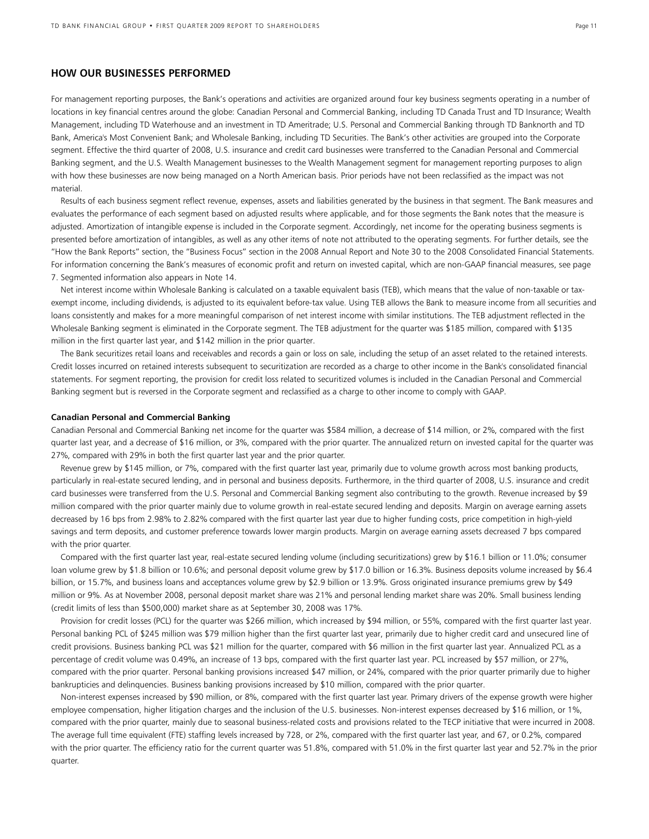# **HOW OUR BUSINESSES PERFORMED**

For management reporting purposes, the Bank's operations and activities are organized around four key business segments operating in a number of locations in key financial centres around the globe: Canadian Personal and Commercial Banking, including TD Canada Trust and TD Insurance; Wealth Management, including TD Waterhouse and an investment in TD Ameritrade; U.S. Personal and Commercial Banking through TD Banknorth and TD Bank, America's Most Convenient Bank; and Wholesale Banking, including TD Securities. The Bank's other activities are grouped into the Corporate segment. Effective the third quarter of 2008, U.S. insurance and credit card businesses were transferred to the Canadian Personal and Commercial Banking segment, and the U.S. Wealth Management businesses to the Wealth Management segment for management reporting purposes to align with how these businesses are now being managed on a North American basis. Prior periods have not been reclassified as the impact was not material.

Results of each business segment reflect revenue, expenses, assets and liabilities generated by the business in that segment. The Bank measures and evaluates the performance of each segment based on adjusted results where applicable, and for those segments the Bank notes that the measure is adjusted. Amortization of intangible expense is included in the Corporate segment. Accordingly, net income for the operating business segments is presented before amortization of intangibles, as well as any other items of note not attributed to the operating segments. For further details, see the "How the Bank Reports" section, the "Business Focus" section in the 2008 Annual Report and Note 30 to the 2008 Consolidated Financial Statements. For information concerning the Bank's measures of economic profit and return on invested capital, which are non-GAAP financial measures, see page 7. Segmented information also appears in Note 14.

Net interest income within Wholesale Banking is calculated on a taxable equivalent basis (TEB), which means that the value of non-taxable or taxexempt income, including dividends, is adjusted to its equivalent before-tax value. Using TEB allows the Bank to measure income from all securities and loans consistently and makes for a more meaningful comparison of net interest income with similar institutions. The TEB adjustment reflected in the Wholesale Banking segment is eliminated in the Corporate segment. The TEB adjustment for the quarter was \$185 million, compared with \$135 million in the first quarter last year, and \$142 million in the prior quarter.

The Bank securitizes retail loans and receivables and records a gain or loss on sale, including the setup of an asset related to the retained interests. Credit losses incurred on retained interests subsequent to securitization are recorded as a charge to other income in the Bank's consolidated financial statements. For segment reporting, the provision for credit loss related to securitized volumes is included in the Canadian Personal and Commercial Banking segment but is reversed in the Corporate segment and reclassified as a charge to other income to comply with GAAP.

### **Canadian Personal and Commercial Banking**

Canadian Personal and Commercial Banking net income for the quarter was \$584 million, a decrease of \$14 million, or 2%, compared with the first quarter last year, and a decrease of \$16 million, or 3%, compared with the prior quarter. The annualized return on invested capital for the quarter was 27%, compared with 29% in both the first quarter last year and the prior quarter.

Revenue grew by \$145 million, or 7%, compared with the first quarter last year, primarily due to volume growth across most banking products, particularly in real-estate secured lending, and in personal and business deposits. Furthermore, in the third quarter of 2008, U.S. insurance and credit card businesses were transferred from the U.S. Personal and Commercial Banking segment also contributing to the growth. Revenue increased by \$9 million compared with the prior quarter mainly due to volume growth in real-estate secured lending and deposits. Margin on average earning assets decreased by 16 bps from 2.98% to 2.82% compared with the first quarter last year due to higher funding costs, price competition in high-yield savings and term deposits, and customer preference towards lower margin products. Margin on average earning assets decreased 7 bps compared with the prior quarter.

Compared with the first quarter last year, real-estate secured lending volume (including securitizations) grew by \$16.1 billion or 11.0%; consumer loan volume grew by \$1.8 billion or 10.6%; and personal deposit volume grew by \$17.0 billion or 16.3%. Business deposits volume increased by \$6.4 billion, or 15.7%, and business loans and acceptances volume grew by \$2.9 billion or 13.9%. Gross originated insurance premiums grew by \$49 million or 9%. As at November 2008, personal deposit market share was 21% and personal lending market share was 20%. Small business lending (credit limits of less than \$500,000) market share as at September 30, 2008 was 17%.

Provision for credit losses (PCL) for the quarter was \$266 million, which increased by \$94 million, or 55%, compared with the first quarter last year. Personal banking PCL of \$245 million was \$79 million higher than the first quarter last year, primarily due to higher credit card and unsecured line of credit provisions. Business banking PCL was \$21 million for the quarter, compared with \$6 million in the first quarter last year. Annualized PCL as a percentage of credit volume was 0.49%, an increase of 13 bps, compared with the first quarter last year. PCL increased by \$57 million, or 27%, compared with the prior quarter. Personal banking provisions increased \$47 million, or 24%, compared with the prior quarter primarily due to higher bankrupticies and delinquencies. Business banking provisions increased by \$10 million, compared with the prior quarter.

Non-interest expenses increased by \$90 million, or 8%, compared with the first quarter last year. Primary drivers of the expense growth were higher employee compensation, higher litigation charges and the inclusion of the U.S. businesses. Non-interest expenses decreased by \$16 million, or 1%, compared with the prior quarter, mainly due to seasonal business-related costs and provisions related to the TECP initiative that were incurred in 2008. The average full time equivalent (FTE) staffing levels increased by 728, or 2%, compared with the first quarter last year, and 67, or 0.2%, compared with the prior quarter. The efficiency ratio for the current quarter was 51.8%, compared with 51.0% in the first quarter last year and 52.7% in the prior quarter.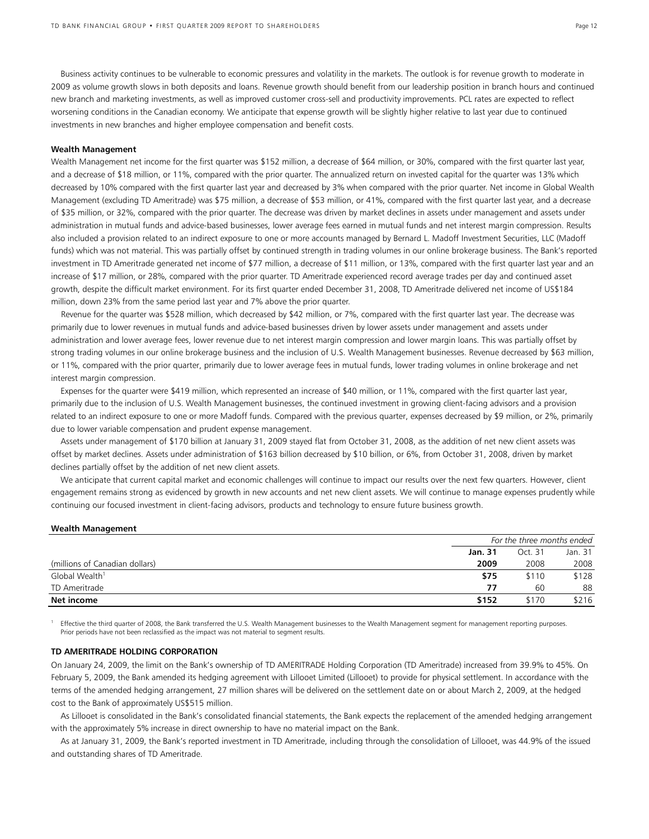Business activity continues to be vulnerable to economic pressures and volatility in the markets. The outlook is for revenue growth to moderate in 2009 as volume growth slows in both deposits and loans. Revenue growth should benefit from our leadership position in branch hours and continued new branch and marketing investments, as well as improved customer cross-sell and productivity improvements. PCL rates are expected to reflect worsening conditions in the Canadian economy. We anticipate that expense growth will be slightly higher relative to last year due to continued investments in new branches and higher employee compensation and benefit costs.

### **Wealth Management**

Wealth Management net income for the first quarter was \$152 million, a decrease of \$64 million, or 30%, compared with the first quarter last year, and a decrease of \$18 million, or 11%, compared with the prior quarter. The annualized return on invested capital for the quarter was 13% which decreased by 10% compared with the first quarter last year and decreased by 3% when compared with the prior quarter. Net income in Global Wealth Management (excluding TD Ameritrade) was \$75 million, a decrease of \$53 million, or 41%, compared with the first quarter last year, and a decrease of \$35 million, or 32%, compared with the prior quarter. The decrease was driven by market declines in assets under management and assets under administration in mutual funds and advice-based businesses, lower average fees earned in mutual funds and net interest margin compression. Results also included a provision related to an indirect exposure to one or more accounts managed by Bernard L. Madoff Investment Securities, LLC (Madoff funds) which was not material. This was partially offset by continued strength in trading volumes in our online brokerage business. The Bank's reported investment in TD Ameritrade generated net income of \$77 million, a decrease of \$11 million, or 13%, compared with the first quarter last year and an increase of \$17 million, or 28%, compared with the prior quarter. TD Ameritrade experienced record average trades per day and continued asset growth, despite the difficult market environment. For its first quarter ended December 31, 2008, TD Ameritrade delivered net income of US\$184 million, down 23% from the same period last year and 7% above the prior quarter.

Revenue for the quarter was \$528 million, which decreased by \$42 million, or 7%, compared with the first quarter last year. The decrease was primarily due to lower revenues in mutual funds and advice-based businesses driven by lower assets under management and assets under administration and lower average fees, lower revenue due to net interest margin compression and lower margin loans. This was partially offset by strong trading volumes in our online brokerage business and the inclusion of U.S. Wealth Management businesses. Revenue decreased by \$63 million, or 11%, compared with the prior quarter, primarily due to lower average fees in mutual funds, lower trading volumes in online brokerage and net interest margin compression.

Expenses for the quarter were \$419 million, which represented an increase of \$40 million, or 11%, compared with the first quarter last year, primarily due to the inclusion of U.S. Wealth Management businesses, the continued investment in growing client-facing advisors and a provision related to an indirect exposure to one or more Madoff funds. Compared with the previous quarter, expenses decreased by \$9 million, or 2%, primarily due to lower variable compensation and prudent expense management.

Assets under management of \$170 billion at January 31, 2009 stayed flat from October 31, 2008, as the addition of net new client assets was offset by market declines. Assets under administration of \$163 billion decreased by \$10 billion, or 6%, from October 31, 2008, driven by market declines partially offset by the addition of net new client assets.

We anticipate that current capital market and economic challenges will continue to impact our results over the next few quarters. However, client engagement remains strong as evidenced by growth in new accounts and net new client assets. We will continue to manage expenses prudently while continuing our focused investment in client-facing advisors, products and technology to ensure future business growth.

### **Wealth Management**

|                                | For the three months ended |         |         |
|--------------------------------|----------------------------|---------|---------|
|                                | <b>Jan. 31</b>             | Oct. 31 | Jan. 31 |
| (millions of Canadian dollars) | 2009                       | 2008    | 2008    |
| Global Wealth <sup>1</sup>     | \$75                       | \$110   | \$128   |
| TD Ameritrade                  | 77                         | 60      | 88      |
| Net income                     | \$152                      | \$170   | \$216   |

<sup>1</sup> Effective the third quarter of 2008, the Bank transferred the U.S. Wealth Management businesses to the Wealth Management segment for management reporting purposes. Prior periods have not been reclassified as the impact was not material to segment results.

## **TD AMERITRADE HOLDING CORPORATION**

On January 24, 2009, the limit on the Bank's ownership of TD AMERITRADE Holding Corporation (TD Ameritrade) increased from 39.9% to 45%. On February 5, 2009, the Bank amended its hedging agreement with Lillooet Limited (Lillooet) to provide for physical settlement. In accordance with the terms of the amended hedging arrangement, 27 million shares will be delivered on the settlement date on or about March 2, 2009, at the hedged cost to the Bank of approximately US\$515 million.

As Lillooet is consolidated in the Bank's consolidated financial statements, the Bank expects the replacement of the amended hedging arrangement with the approximately 5% increase in direct ownership to have no material impact on the Bank.

As at January 31, 2009, the Bank's reported investment in TD Ameritrade, including through the consolidation of Lillooet, was 44.9% of the issued and outstanding shares of TD Ameritrade.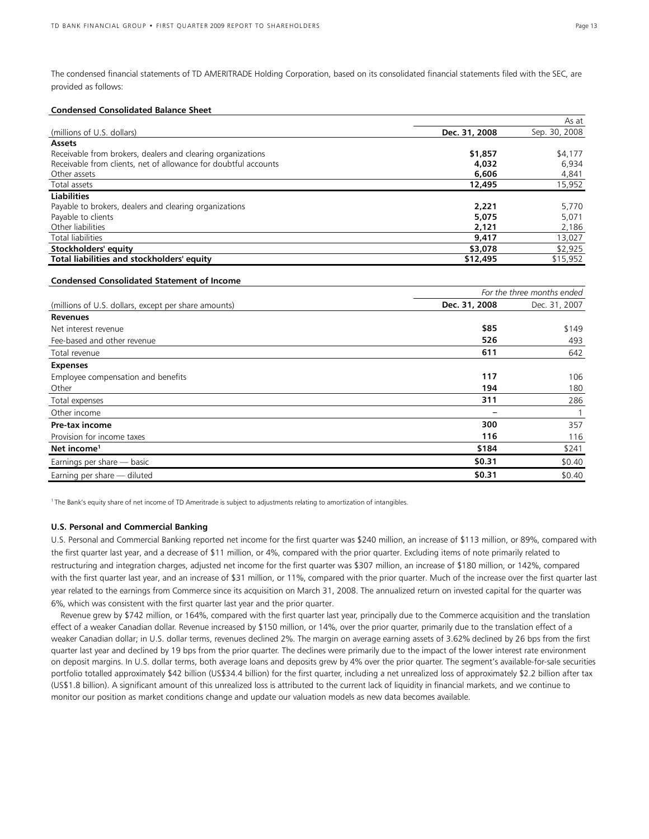The condensed financial statements of TD AMERITRADE Holding Corporation, based on its consolidated financial statements filed with the SEC, are provided as follows:

## **Condensed Consolidated Balance Sheet**

|                                                                 |               | As at         |
|-----------------------------------------------------------------|---------------|---------------|
| (millions of U.S. dollars)                                      | Dec. 31, 2008 | Sep. 30, 2008 |
| <b>Assets</b>                                                   |               |               |
| Receivable from brokers, dealers and clearing organizations     | \$1,857       | \$4,177       |
| Receivable from clients, net of allowance for doubtful accounts | 4,032         | 6.934         |
| Other assets                                                    | 6,606         | 4,841         |
| Total assets                                                    | 12,495        | 15,952        |
| <b>Liabilities</b>                                              |               |               |
| Payable to brokers, dealers and clearing organizations          | 2,221         | 5,770         |
| Payable to clients                                              | 5,075         | 5,071         |
| Other liabilities                                               | 2,121         | 2,186         |
| Total liabilities                                               | 9,417         | 13,027        |
| Stockholders' equity                                            | \$3,078       | \$2,925       |
| Total liabilities and stockholders' equity                      | \$12,495      | \$15,952      |

## **Condensed Consolidated Statement of Income**

|                                                      |               | For the three months ended |
|------------------------------------------------------|---------------|----------------------------|
| (millions of U.S. dollars, except per share amounts) | Dec. 31, 2008 | Dec. 31, 2007              |
| <b>Revenues</b>                                      |               |                            |
| Net interest revenue                                 | \$85          | \$149                      |
| Fee-based and other revenue                          | 526           | 493                        |
| Total revenue                                        | 611           | 642                        |
| <b>Expenses</b>                                      |               |                            |
| Employee compensation and benefits                   | 117           | 106                        |
| Other                                                | 194           | 180                        |
| Total expenses                                       | 311           | 286                        |
| Other income                                         |               |                            |
| <b>Pre-tax income</b>                                | 300           | 357                        |
| Provision for income taxes                           | 116           | 116                        |
| Net income <sup>1</sup>                              | \$184         | \$241                      |
| Earnings per share - basic                           | \$0.31        | \$0.40                     |
| Earning per share - diluted                          | \$0.31        | \$0.40                     |

<sup>1</sup>The Bank's equity share of net income of TD Ameritrade is subject to adjustments relating to amortization of intangibles.

### **U.S. Personal and Commercial Banking**

U.S. Personal and Commercial Banking reported net income for the first quarter was \$240 million, an increase of \$113 million, or 89%, compared with the first quarter last year, and a decrease of \$11 million, or 4%, compared with the prior quarter. Excluding items of note primarily related to restructuring and integration charges, adjusted net income for the first quarter was \$307 million, an increase of \$180 million, or 142%, compared with the first quarter last year, and an increase of \$31 million, or 11%, compared with the prior quarter. Much of the increase over the first quarter last year related to the earnings from Commerce since its acquisition on March 31, 2008. The annualized return on invested capital for the quarter was 6%, which was consistent with the first quarter last year and the prior quarter.

Revenue grew by \$742 million, or 164%, compared with the first quarter last year, principally due to the Commerce acquisition and the translation effect of a weaker Canadian dollar. Revenue increased by \$150 million, or 14%, over the prior quarter, primarily due to the translation effect of a weaker Canadian dollar; in U.S. dollar terms, revenues declined 2%. The margin on average earning assets of 3.62% declined by 26 bps from the first quarter last year and declined by 19 bps from the prior quarter. The declines were primarily due to the impact of the lower interest rate environment on deposit margins. In U.S. dollar terms, both average loans and deposits grew by 4% over the prior quarter. The segment's available-for-sale securities portfolio totalled approximately \$42 billion (US\$34.4 billion) for the first quarter, including a net unrealized loss of approximately \$2.2 billion after tax (US\$1.8 billion). A significant amount of this unrealized loss is attributed to the current lack of liquidity in financial markets, and we continue to monitor our position as market conditions change and update our valuation models as new data becomes available.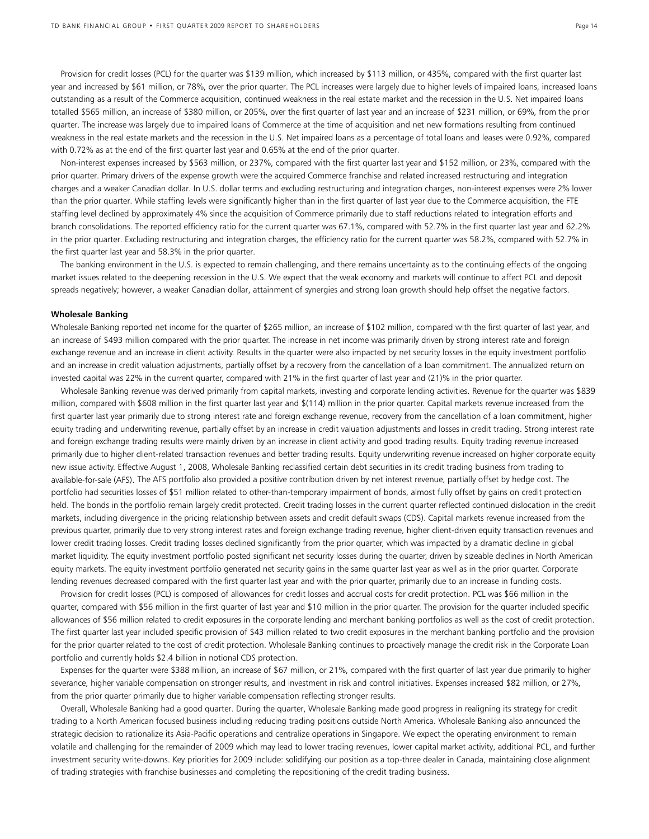Provision for credit losses (PCL) for the quarter was \$139 million, which increased by \$113 million, or 435%, compared with the first quarter last year and increased by \$61 million, or 78%, over the prior quarter. The PCL increases were largely due to higher levels of impaired loans, increased loans outstanding as a result of the Commerce acquisition, continued weakness in the real estate market and the recession in the U.S. Net impaired loans totalled \$565 million, an increase of \$380 million, or 205%, over the first quarter of last year and an increase of \$231 million, or 69%, from the prior quarter. The increase was largely due to impaired loans of Commerce at the time of acquisition and net new formations resulting from continued weakness in the real estate markets and the recession in the U.S. Net impaired loans as a percentage of total loans and leases were 0.92%, compared with 0.72% as at the end of the first quarter last year and 0.65% at the end of the prior quarter.

Non-interest expenses increased by \$563 million, or 237%, compared with the first quarter last year and \$152 million, or 23%, compared with the prior quarter. Primary drivers of the expense growth were the acquired Commerce franchise and related increased restructuring and integration charges and a weaker Canadian dollar. In U.S. dollar terms and excluding restructuring and integration charges, non-interest expenses were 2% lower than the prior quarter. While staffing levels were significantly higher than in the first quarter of last year due to the Commerce acquisition, the FTE staffing level declined by approximately 4% since the acquisition of Commerce primarily due to staff reductions related to integration efforts and branch consolidations. The reported efficiency ratio for the current quarter was 67.1%, compared with 52.7% in the first quarter last year and 62.2% in the prior quarter. Excluding restructuring and integration charges, the efficiency ratio for the current quarter was 58.2%, compared with 52.7% in the first quarter last year and 58.3% in the prior quarter.

The banking environment in the U.S. is expected to remain challenging, and there remains uncertainty as to the continuing effects of the ongoing market issues related to the deepening recession in the U.S. We expect that the weak economy and markets will continue to affect PCL and deposit spreads negatively; however, a weaker Canadian dollar, attainment of synergies and strong loan growth should help offset the negative factors.

#### **Wholesale Banking**

Wholesale Banking reported net income for the quarter of \$265 million, an increase of \$102 million, compared with the first quarter of last year, and an increase of \$493 million compared with the prior quarter. The increase in net income was primarily driven by strong interest rate and foreign exchange revenue and an increase in client activity. Results in the quarter were also impacted by net security losses in the equity investment portfolio and an increase in credit valuation adjustments, partially offset by a recovery from the cancellation of a loan commitment. The annualized return on invested capital was 22% in the current quarter, compared with 21% in the first quarter of last year and (21)% in the prior quarter.

Wholesale Banking revenue was derived primarily from capital markets, investing and corporate lending activities. Revenue for the quarter was \$839 million, compared with \$608 million in the first quarter last year and \$(114) million in the prior quarter. Capital markets revenue increased from the first quarter last year primarily due to strong interest rate and foreign exchange revenue, recovery from the cancellation of a loan commitment, higher equity trading and underwriting revenue, partially offset by an increase in credit valuation adjustments and losses in credit trading. Strong interest rate and foreign exchange trading results were mainly driven by an increase in client activity and good trading results. Equity trading revenue increased primarily due to higher client-related transaction revenues and better trading results. Equity underwriting revenue increased on higher corporate equity new issue activity. Effective August 1, 2008, Wholesale Banking reclassified certain debt securities in its credit trading business from trading to available-for-sale (AFS). The AFS portfolio also provided a positive contribution driven by net interest revenue, partially offset by hedge cost. The portfolio had securities losses of \$51 million related to other-than-temporary impairment of bonds, almost fully offset by gains on credit protection held. The bonds in the portfolio remain largely credit protected. Credit trading losses in the current quarter reflected continued dislocation in the credit markets, including divergence in the pricing relationship between assets and credit default swaps (CDS). Capital markets revenue increased from the previous quarter, primarily due to very strong interest rates and foreign exchange trading revenue, higher client-driven equity transaction revenues and lower credit trading losses. Credit trading losses declined significantly from the prior quarter, which was impacted by a dramatic decline in global market liquidity. The equity investment portfolio posted significant net security losses during the quarter, driven by sizeable declines in North American equity markets. The equity investment portfolio generated net security gains in the same quarter last year as well as in the prior quarter. Corporate lending revenues decreased compared with the first quarter last year and with the prior quarter, primarily due to an increase in funding costs.

Provision for credit losses (PCL) is composed of allowances for credit losses and accrual costs for credit protection. PCL was \$66 million in the quarter, compared with \$56 million in the first quarter of last year and \$10 million in the prior quarter. The provision for the quarter included specific allowances of \$56 million related to credit exposures in the corporate lending and merchant banking portfolios as well as the cost of credit protection. The first quarter last year included specific provision of \$43 million related to two credit exposures in the merchant banking portfolio and the provision for the prior quarter related to the cost of credit protection. Wholesale Banking continues to proactively manage the credit risk in the Corporate Loan portfolio and currently holds \$2.4 billion in notional CDS protection.

Expenses for the quarter were \$388 million, an increase of \$67 million, or 21%, compared with the first quarter of last year due primarily to higher severance, higher variable compensation on stronger results, and investment in risk and control initiatives. Expenses increased \$82 million, or 27%, from the prior quarter primarily due to higher variable compensation reflecting stronger results.

Overall, Wholesale Banking had a good quarter. During the quarter, Wholesale Banking made good progress in realigning its strategy for credit trading to a North American focused business including reducing trading positions outside North America. Wholesale Banking also announced the strategic decision to rationalize its Asia-Pacific operations and centralize operations in Singapore. We expect the operating environment to remain volatile and challenging for the remainder of 2009 which may lead to lower trading revenues, lower capital market activity, additional PCL, and further investment security write-downs. Key priorities for 2009 include: solidifying our position as a top-three dealer in Canada, maintaining close alignment of trading strategies with franchise businesses and completing the repositioning of the credit trading business.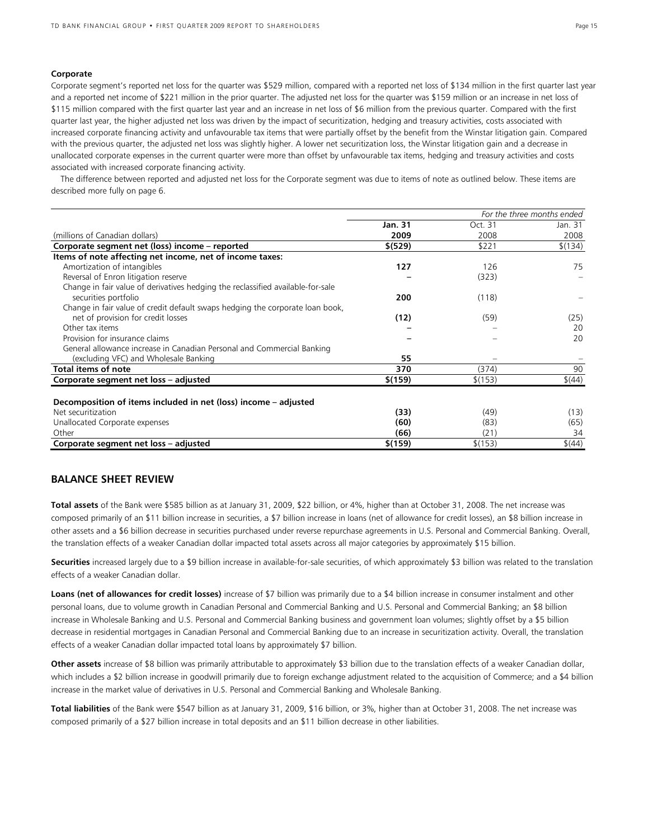# **Corporate**

Corporate segment's reported net loss for the quarter was \$529 million, compared with a reported net loss of \$134 million in the first quarter last year and a reported net income of \$221 million in the prior quarter. The adjusted net loss for the quarter was \$159 million or an increase in net loss of \$115 million compared with the first quarter last year and an increase in net loss of \$6 million from the previous quarter. Compared with the first quarter last year, the higher adjusted net loss was driven by the impact of securitization, hedging and treasury activities, costs associated with increased corporate financing activity and unfavourable tax items that were partially offset by the benefit from the Winstar litigation gain. Compared with the previous quarter, the adjusted net loss was slightly higher. A lower net securitization loss, the Winstar litigation gain and a decrease in unallocated corporate expenses in the current quarter were more than offset by unfavourable tax items, hedging and treasury activities and costs associated with increased corporate financing activity.

The difference between reported and adjusted net loss for the Corporate segment was due to items of note as outlined below. These items are described more fully on page 6.

|                                                                                 |                |         | For the three months ended |
|---------------------------------------------------------------------------------|----------------|---------|----------------------------|
|                                                                                 | <b>Jan. 31</b> | Oct. 31 | Jan. 31                    |
| (millions of Canadian dollars)                                                  | 2009           | 2008    | 2008                       |
| Corporate segment net (loss) income - reported                                  | \$ (529)       | \$221   | \$(134)                    |
| Items of note affecting net income, net of income taxes:                        |                |         |                            |
| Amortization of intangibles                                                     | 127            | 126     | 75                         |
| Reversal of Enron litigation reserve                                            |                | (323)   |                            |
| Change in fair value of derivatives hedging the reclassified available-for-sale |                |         |                            |
| securities portfolio                                                            | 200            | (118)   |                            |
| Change in fair value of credit default swaps hedging the corporate loan book,   |                |         |                            |
| net of provision for credit losses                                              | (12)           | (59)    | (25)                       |
| Other tax items                                                                 |                |         | 20                         |
| Provision for insurance claims                                                  |                |         | 20                         |
| General allowance increase in Canadian Personal and Commercial Banking          |                |         |                            |
| (excluding VFC) and Wholesale Banking                                           | 55             |         |                            |
| Total items of note                                                             | 370            | (374)   | 90                         |
| Corporate segment net loss - adjusted                                           | \$(159)        | \$(153) | \$(44)                     |
| Decomposition of items included in net (loss) income – adjusted                 |                |         |                            |
| Net securitization                                                              | (33)           | (49)    | (13)                       |
| Unallocated Corporate expenses                                                  | (60)           | (83)    | (65)                       |
| Other                                                                           | (66)           | (21)    | 34                         |
| Corporate segment net loss - adjusted                                           | \$(159)        | \$(153) | \$(44)                     |

# **BALANCE SHEET REVIEW**

**Total assets** of the Bank were \$585 billion as at January 31, 2009, \$22 billion, or 4%, higher than at October 31, 2008. The net increase was composed primarily of an \$11 billion increase in securities, a \$7 billion increase in loans (net of allowance for credit losses), an \$8 billion increase in other assets and a \$6 billion decrease in securities purchased under reverse repurchase agreements in U.S. Personal and Commercial Banking. Overall, the translation effects of a weaker Canadian dollar impacted total assets across all major categories by approximately \$15 billion.

**Securities** increased largely due to a \$9 billion increase in available-for-sale securities, of which approximately \$3 billion was related to the translation effects of a weaker Canadian dollar.

**Loans (net of allowances for credit losses)** increase of \$7 billion was primarily due to a \$4 billion increase in consumer instalment and other personal loans, due to volume growth in Canadian Personal and Commercial Banking and U.S. Personal and Commercial Banking; an \$8 billion increase in Wholesale Banking and U.S. Personal and Commercial Banking business and government loan volumes; slightly offset by a \$5 billion decrease in residential mortgages in Canadian Personal and Commercial Banking due to an increase in securitization activity. Overall, the translation effects of a weaker Canadian dollar impacted total loans by approximately \$7 billion.

**Other assets** increase of \$8 billion was primarily attributable to approximately \$3 billion due to the translation effects of a weaker Canadian dollar, which includes a \$2 billion increase in goodwill primarily due to foreign exchange adjustment related to the acquisition of Commerce; and a \$4 billion increase in the market value of derivatives in U.S. Personal and Commercial Banking and Wholesale Banking.

**Total liabilities** of the Bank were \$547 billion as at January 31, 2009, \$16 billion, or 3%, higher than at October 31, 2008. The net increase was composed primarily of a \$27 billion increase in total deposits and an \$11 billion decrease in other liabilities.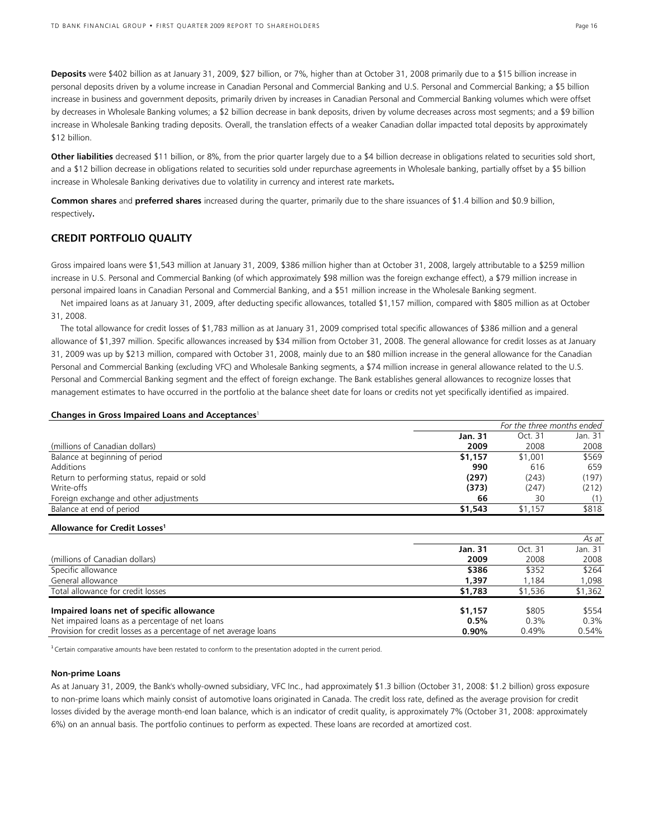**Deposits** were \$402 billion as at January 31, 2009, \$27 billion, or 7%, higher than at October 31, 2008 primarily due to a \$15 billion increase in personal deposits driven by a volume increase in Canadian Personal and Commercial Banking and U.S. Personal and Commercial Banking; a \$5 billion increase in business and government deposits, primarily driven by increases in Canadian Personal and Commercial Banking volumes which were offset by decreases in Wholesale Banking volumes; a \$2 billion decrease in bank deposits, driven by volume decreases across most segments; and a \$9 billion increase in Wholesale Banking trading deposits. Overall, the translation effects of a weaker Canadian dollar impacted total deposits by approximately \$12 billion.

**Other liabilities** decreased \$11 billion, or 8%, from the prior quarter largely due to a \$4 billion decrease in obligations related to securities sold short, and a \$12 billion decrease in obligations related to securities sold under repurchase agreements in Wholesale banking, partially offset by a \$5 billion increase in Wholesale Banking derivatives due to volatility in currency and interest rate markets**.** 

**Common shares** and **preferred shares** increased during the quarter, primarily due to the share issuances of \$1.4 billion and \$0.9 billion, respectively**.**

# **CREDIT PORTFOLIO QUALITY**

Gross impaired loans were \$1,543 million at January 31, 2009, \$386 million higher than at October 31, 2008, largely attributable to a \$259 million increase in U.S. Personal and Commercial Banking (of which approximately \$98 million was the foreign exchange effect), a \$79 million increase in personal impaired loans in Canadian Personal and Commercial Banking, and a \$51 million increase in the Wholesale Banking segment.

Net impaired loans as at January 31, 2009, after deducting specific allowances, totalled \$1,157 million, compared with \$805 million as at October 31, 2008.

The total allowance for credit losses of \$1,783 million as at January 31, 2009 comprised total specific allowances of \$386 million and a general allowance of \$1,397 million. Specific allowances increased by \$34 million from October 31, 2008. The general allowance for credit losses as at January 31, 2009 was up by \$213 million, compared with October 31, 2008, mainly due to an \$80 million increase in the general allowance for the Canadian Personal and Commercial Banking (excluding VFC) and Wholesale Banking segments, a \$74 million increase in general allowance related to the U.S. Personal and Commercial Banking segment and the effect of foreign exchange. The Bank establishes general allowances to recognize losses that management estimates to have occurred in the portfolio at the balance sheet date for loans or credits not yet specifically identified as impaired.

### **Changes in Gross Impaired Loans and Acceptances**<sup>1</sup>

|                                             | For the three months ended |         |         |
|---------------------------------------------|----------------------------|---------|---------|
|                                             | Jan. 31                    | Oct. 31 | Jan. 31 |
| (millions of Canadian dollars)              | 2009                       | 2008    | 2008    |
| Balance at beginning of period              | \$1,157                    | \$1,001 | \$569   |
| Additions                                   | 990                        | 616     | 659     |
| Return to performing status, repaid or sold | (297)                      | (243)   | (197)   |
| Write-offs                                  | (373)                      | (247)   | (212)   |
| Foreign exchange and other adjustments      | 66                         | 30      | (1)     |
| Balance at end of period                    | \$1,543                    | \$1,157 | \$818   |

#### **Allowance for Credit Losses1**

|                                                                  |          |         | As at   |
|------------------------------------------------------------------|----------|---------|---------|
|                                                                  | Jan. 31  | Oct. 31 | Jan. 31 |
| (millions of Canadian dollars)                                   | 2009     | 2008    | 2008    |
| Specific allowance                                               | \$386    | \$352   | \$264   |
| General allowance                                                | 1.397    | 1.184   | 1.098   |
| Total allowance for credit losses                                | \$1,783  | \$1,536 | \$1,362 |
| Impaired loans net of specific allowance                         | \$1,157  | \$805   | \$554   |
| Net impaired loans as a percentage of net loans                  | 0.5%     | 0.3%    | 0.3%    |
| Provision for credit losses as a percentage of net average loans | $0.90\%$ | 0.49%   | 0.54%   |

 $1$  Certain comparative amounts have been restated to conform to the presentation adopted in the current period.

### **Non-prime Loans**

As at January 31, 2009, the Bank's wholly-owned subsidiary, VFC Inc., had approximately \$1.3 billion (October 31, 2008: \$1.2 billion) gross exposure to non-prime loans which mainly consist of automotive loans originated in Canada. The credit loss rate, defined as the average provision for credit losses divided by the average month-end loan balance, which is an indicator of credit quality, is approximately 7% (October 31, 2008: approximately 6%) on an annual basis. The portfolio continues to perform as expected. These loans are recorded at amortized cost.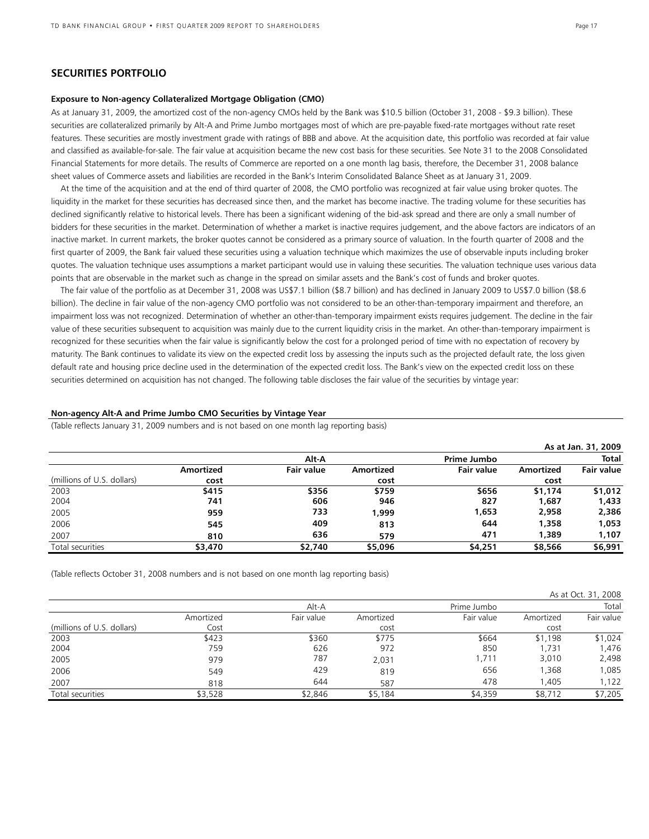# **SECURITIES PORTFOLIO**

### **Exposure to Non-agency Collateralized Mortgage Obligation (CMO)**

As at January 31, 2009, the amortized cost of the non-agency CMOs held by the Bank was \$10.5 billion (October 31, 2008 - \$9.3 billion). These securities are collateralized primarily by Alt-A and Prime Jumbo mortgages most of which are pre-payable fixed-rate mortgages without rate reset features. These securities are mostly investment grade with ratings of BBB and above. At the acquisition date, this portfolio was recorded at fair value and classified as available-for-sale. The fair value at acquisition became the new cost basis for these securities. See Note 31 to the 2008 Consolidated Financial Statements for more details. The results of Commerce are reported on a one month lag basis, therefore, the December 31, 2008 balance sheet values of Commerce assets and liabilities are recorded in the Bank's Interim Consolidated Balance Sheet as at January 31, 2009.

At the time of the acquisition and at the end of third quarter of 2008, the CMO portfolio was recognized at fair value using broker quotes. The liquidity in the market for these securities has decreased since then, and the market has become inactive. The trading volume for these securities has declined significantly relative to historical levels. There has been a significant widening of the bid-ask spread and there are only a small number of bidders for these securities in the market. Determination of whether a market is inactive requires judgement, and the above factors are indicators of an inactive market. In current markets, the broker quotes cannot be considered as a primary source of valuation. In the fourth quarter of 2008 and the first quarter of 2009, the Bank fair valued these securities using a valuation technique which maximizes the use of observable inputs including broker quotes. The valuation technique uses assumptions a market participant would use in valuing these securities. The valuation technique uses various data points that are observable in the market such as change in the spread on similar assets and the Bank's cost of funds and broker quotes.

The fair value of the portfolio as at December 31, 2008 was US\$7.1 billion (\$8.7 billion) and has declined in January 2009 to US\$7.0 billion (\$8.6 billion). The decline in fair value of the non-agency CMO portfolio was not considered to be an other-than-temporary impairment and therefore, an impairment loss was not recognized. Determination of whether an other-than-temporary impairment exists requires judgement. The decline in the fair value of these securities subsequent to acquisition was mainly due to the current liquidity crisis in the market. An other-than-temporary impairment is recognized for these securities when the fair value is significantly below the cost for a prolonged period of time with no expectation of recovery by maturity. The Bank continues to validate its view on the expected credit loss by assessing the inputs such as the projected default rate, the loss given default rate and housing price decline used in the determination of the expected credit loss. The Bank's view on the expected credit loss on these securities determined on acquisition has not changed. The following table discloses the fair value of the securities by vintage year:

### **Non-agency Alt-A and Prime Jumbo CMO Securities by Vintage Year**

(Table reflects January 31, 2009 numbers and is not based on one month lag reporting basis)

|                            |           |                   |           |                   |           | As at Jan. 31, 2009 |
|----------------------------|-----------|-------------------|-----------|-------------------|-----------|---------------------|
|                            |           | Alt A             |           | Prime Jumbo       |           | <b>Total</b>        |
|                            | Amortized | <b>Fair value</b> | Amortized | <b>Fair value</b> | Amortized | <b>Fair value</b>   |
| (millions of U.S. dollars) | cost      |                   | cost      |                   | cost      |                     |
| 2003                       | \$415     | \$356             | \$759     | \$656             | \$1,174   | \$1,012             |
| 2004                       | 741       | 606               | 946       | 827               | 1,687     | 1,433               |
| 2005                       | 959       | 733               | 1.999     | 1,653             | 2,958     | 2,386               |
| 2006                       | 545       | 409               | 813       | 644               | 1,358     | 1,053               |
| 2007                       | 810       | 636               | 579       | 471               | 1,389     | 1,107               |
| Total securities           | \$3,470   | \$2,740           | \$5,096   | \$4,251           | \$8,566   | \$6,991             |

(Table reflects October 31, 2008 numbers and is not based on one month lag reporting basis)

|                            |           |            |           |             |           | As at Oct. 31, 2008 |
|----------------------------|-----------|------------|-----------|-------------|-----------|---------------------|
|                            |           | Alt-A      |           | Prime Jumbo |           | Total               |
|                            | Amortized | Fair value | Amortized | Fair value  | Amortized | Fair value          |
| (millions of U.S. dollars) | Cost      |            | cost      |             | cost      |                     |
| 2003                       | \$423     | \$360      | \$775     | \$664       | \$1,198   | \$1,024             |
| 2004                       | 759       | 626        | 972       | 850         | 1.731     | 1,476               |
| 2005                       | 979       | 787        | 2,031     | 1,711       | 3,010     | 2,498               |
| 2006                       | 549       | 429        | 819       | 656         | 1,368     | 1,085               |
| 2007                       | 818       | 644        | 587       | 478         | 1,405     | 1,122               |
| Total securities           | \$3,528   | \$2,846    | \$5,184   | \$4,359     | \$8,712   | \$7,205             |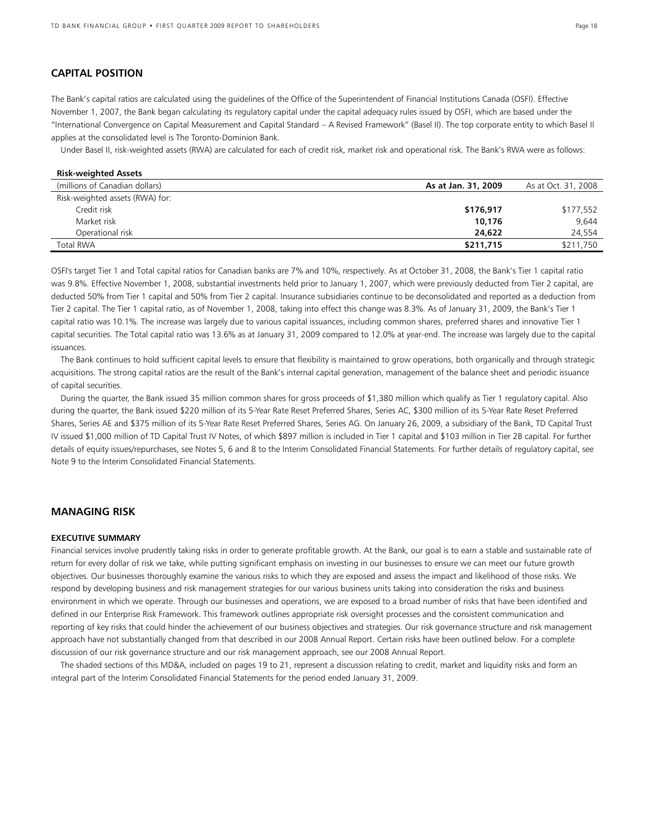# **CAPITAL POSITION**

The Bank's capital ratios are calculated using the guidelines of the Office of the Superintendent of Financial Institutions Canada (OSFI). Effective November 1, 2007, the Bank began calculating its regulatory capital under the capital adequacy rules issued by OSFI, which are based under the "International Convergence on Capital Measurement and Capital Standard – A Revised Framework" (Basel II). The top corporate entity to which Basel II applies at the consolidated level is The Toronto-Dominion Bank.

Under Basel II, risk-weighted assets (RWA) are calculated for each of credit risk, market risk and operational risk. The Bank's RWA were as follows:

| <b>Risk-weighted Assets</b>     |                     |                     |
|---------------------------------|---------------------|---------------------|
| (millions of Canadian dollars)  | As at Jan. 31, 2009 | As at Oct. 31, 2008 |
| Risk-weighted assets (RWA) for: |                     |                     |
| Credit risk                     | \$176,917           | \$177,552           |
| Market risk                     | 10.176              | 9,644               |
| Operational risk                | 24,622              | 24,554              |
| <b>Total RWA</b>                | \$211,715           | \$211,750           |

OSFI's target Tier 1 and Total capital ratios for Canadian banks are 7% and 10%, respectively. As at October 31, 2008, the Bank's Tier 1 capital ratio was 9.8%. Effective November 1, 2008, substantial investments held prior to January 1, 2007, which were previously deducted from Tier 2 capital, are deducted 50% from Tier 1 capital and 50% from Tier 2 capital. Insurance subsidiaries continue to be deconsolidated and reported as a deduction from Tier 2 capital. The Tier 1 capital ratio, as of November 1, 2008, taking into effect this change was 8.3%. As of January 31, 2009, the Bank's Tier 1 capital ratio was 10.1%. The increase was largely due to various capital issuances, including common shares, preferred shares and innovative Tier 1 capital securities. The Total capital ratio was 13.6% as at January 31, 2009 compared to 12.0% at year-end. The increase was largely due to the capital issuances.

The Bank continues to hold sufficient capital levels to ensure that flexibility is maintained to grow operations, both organically and through strategic acquisitions. The strong capital ratios are the result of the Bank's internal capital generation, management of the balance sheet and periodic issuance of capital securities.

During the quarter, the Bank issued 35 million common shares for gross proceeds of \$1,380 million which qualify as Tier 1 regulatory capital. Also during the quarter, the Bank issued \$220 million of its 5-Year Rate Reset Preferred Shares, Series AC, \$300 million of its 5-Year Rate Reset Preferred Shares, Series AE and \$375 million of its 5-Year Rate Reset Preferred Shares, Series AG. On January 26, 2009, a subsidiary of the Bank, TD Capital Trust IV issued \$1,000 million of TD Capital Trust IV Notes, of which \$897 million is included in Tier 1 capital and \$103 million in Tier 2B capital. For further details of equity issues/repurchases, see Notes 5, 6 and 8 to the Interim Consolidated Financial Statements. For further details of regulatory capital, see Note 9 to the Interim Consolidated Financial Statements.

# **MANAGING RISK**

# **EXECUTIVE SUMMARY**

Financial services involve prudently taking risks in order to generate profitable growth. At the Bank, our goal is to earn a stable and sustainable rate of return for every dollar of risk we take, while putting significant emphasis on investing in our businesses to ensure we can meet our future growth objectives. Our businesses thoroughly examine the various risks to which they are exposed and assess the impact and likelihood of those risks. We respond by developing business and risk management strategies for our various business units taking into consideration the risks and business environment in which we operate. Through our businesses and operations, we are exposed to a broad number of risks that have been identified and defined in our Enterprise Risk Framework. This framework outlines appropriate risk oversight processes and the consistent communication and reporting of key risks that could hinder the achievement of our business objectives and strategies. Our risk governance structure and risk management approach have not substantially changed from that described in our 2008 Annual Report. Certain risks have been outlined below. For a complete discussion of our risk governance structure and our risk management approach, see our 2008 Annual Report.

The shaded sections of this MD&A, included on pages 19 to 21, represent a discussion relating to credit, market and liquidity risks and form an integral part of the Interim Consolidated Financial Statements for the period ended January 31, 2009.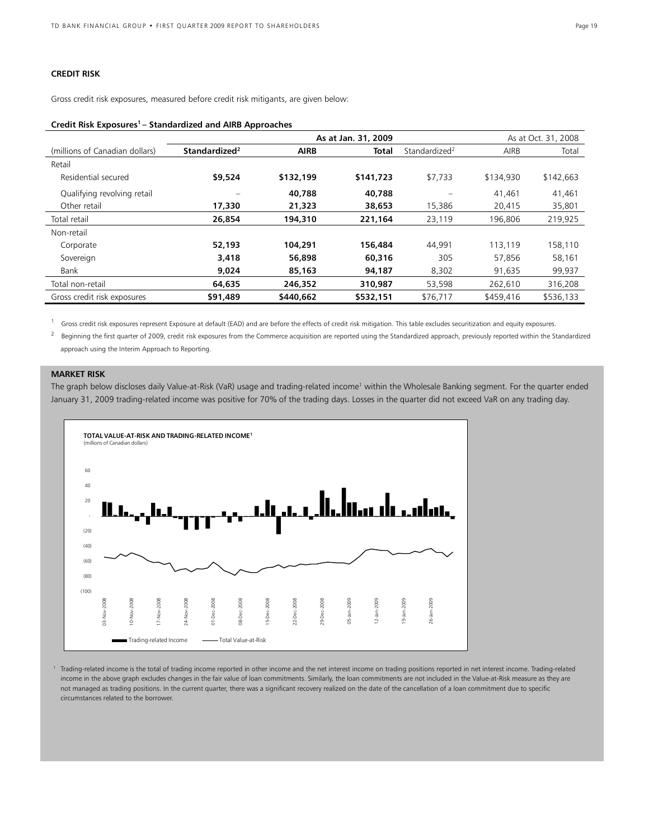# **CREDIT RISK**

Gross credit risk exposures, measured before credit risk mitigants, are given below:

### **Credit Risk Exposures1 – Standardized and AIRB Approaches**

|                                |                           |             | As at Oct. 31, 2008 |                           |           |           |
|--------------------------------|---------------------------|-------------|---------------------|---------------------------|-----------|-----------|
| (millions of Canadian dollars) | Standardized <sup>2</sup> | <b>AIRB</b> | <b>Total</b>        | Standardized <sup>2</sup> | AIRB      | Total     |
| Retail                         |                           |             |                     |                           |           |           |
| Residential secured            | \$9,524                   | \$132,199   | \$141,723           | \$7,733                   | \$134,930 | \$142,663 |
| Qualifying revolving retail    | $\equiv$                  | 40.788      | 40.788              | $\equiv$                  | 41,461    | 41,461    |
| Other retail                   | 17,330                    | 21,323      | 38,653              | 15,386                    | 20.415    | 35,801    |
| Total retail                   | 26,854                    | 194,310     | 221,164             | 23,119                    | 196,806   | 219,925   |
| Non-retail                     |                           |             |                     |                           |           |           |
| Corporate                      | 52,193                    | 104,291     | 156,484             | 44.991                    | 113.119   | 158,110   |
| Sovereign                      | 3,418                     | 56,898      | 60,316              | 305                       | 57,856    | 58,161    |
| Bank                           | 9,024                     | 85,163      | 94,187              | 8,302                     | 91,635    | 99,937    |
| Total non-retail               | 64,635                    | 246,352     | 310.987             | 53,598                    | 262,610   | 316,208   |
| Gross credit risk exposures    | \$91,489                  | \$440,662   | \$532,151           | \$76,717                  | \$459,416 | \$536,133 |

<sup>1</sup> Gross credit risk exposures represent Exposure at default (EAD) and are before the effects of credit risk mitigation. This table excludes securitization and equity exposures.

<sup>2</sup> Beginning the first quarter of 2009, credit risk exposures from the Commerce acquisition are reported using the Standardized approach, previously reported within the Standardized approach using the Interim Approach to Reporting.

# **MARKET RISK**

The graph below discloses daily Value-at-Risk (VaR) usage and trading-related income<sup>1</sup> within the Wholesale Banking segment. For the quarter ended January 31, 2009 trading-related income was positive for 70% of the trading days. Losses in the quarter did not exceed VaR on any trading day.



<sup>1</sup> Trading-related income is the total of trading income reported in other income and the net interest income on trading positions reported in net interest income. Trading-related income in the above graph excludes changes in the fair value of loan commitments. Similarly, the loan commitments are not included in the Value-at-Risk measure as they are not managed as trading positions. In the current quarter, there was a significant recovery realized on the date of the cancellation of a loan commitment due to specific circumstances related to the borrower.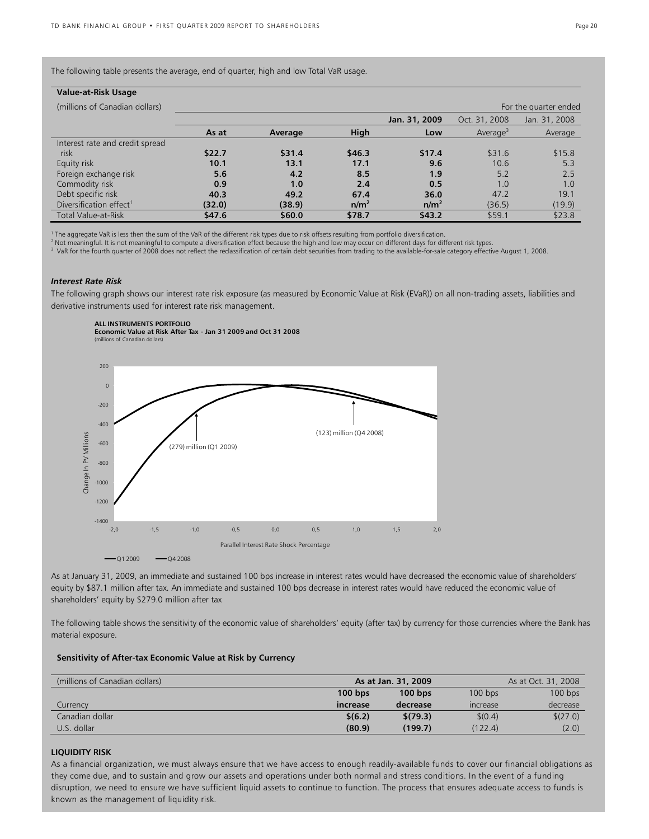| Value-at-Risk Usage                 |        |         |                  |                  |                      |                       |
|-------------------------------------|--------|---------|------------------|------------------|----------------------|-----------------------|
| (millions of Canadian dollars)      |        |         |                  |                  |                      | For the quarter ended |
|                                     |        |         |                  | Jan. 31, 2009    | Oct. 31, 2008        | Jan. 31, 2008         |
|                                     | As at  | Average | <b>High</b>      | Low              | Average <sup>3</sup> | Average               |
| Interest rate and credit spread     |        |         |                  |                  |                      |                       |
| risk                                | \$22.7 | \$31.4  | \$46.3           | \$17.4           | \$31.6               | \$15.8                |
| Equity risk                         | 10.1   | 13.1    | 17.1             | 9.6              | 10.6                 | 5.3                   |
| Foreign exchange risk               | 5.6    | 4.2     | 8.5              | 1.9              | 5.2                  | 2.5                   |
| Commodity risk                      | 0.9    | 1.0     | 2.4              | 0.5              | 1.0                  | 1.0                   |
| Debt specific risk                  | 40.3   | 49.2    | 67.4             | 36.0             | 47.2                 | 19.1                  |
| Diversification effect <sup>1</sup> | (32.0) | (38.9)  | n/m <sup>2</sup> | n/m <sup>2</sup> | (36.5)               | (19.9)                |
| <b>Total Value-at-Risk</b>          | \$47.6 | \$60.0  | \$78.7           | \$43.2           | \$59.1               | \$23.8                |

<sup>1</sup> The aggregate VaR is less then the sum of the VaR of the different risk types due to risk offsets resulting from portfolio diversification.

<sup>2</sup> Not meaningful. It is not meaningful to compute a diversification effect because the high and low may occur on different days for different risk types.

<sup>3</sup> VaR for the fourth quarter of 2008 does not reflect the reclassification of certain debt securities from trading to the available-for-sale category effective August 1, 2008.

# *Interest Rate Risk*

**ALL INSTRUMENTS PORTFOLIO**

The following graph shows our interest rate risk exposure (as measured by Economic Value at Risk (EVaR)) on all non-trading assets, liabilities and derivative instruments used for interest rate risk management.



As at January 31, 2009, an immediate and sustained 100 bps increase in interest rates would have decreased the economic value of shareholders' equity by \$87.1 million after tax. An immediate and sustained 100 bps decrease in interest rates would have reduced the economic value of shareholders' equity by \$279.0 million after tax

The following table shows the sensitivity of the economic value of shareholders' equity (after tax) by currency for those currencies where the Bank has material exposure.

# **Sensitivity of After-tax Economic Value at Risk by Currency**

| (millions of Canadian dollars) | As at Jan. 31, 2009 |           |                 | As at Oct. 31, 2008 |
|--------------------------------|---------------------|-----------|-----------------|---------------------|
|                                | $100$ bps           | $100$ bps | $100$ bps       | $100$ bps           |
| Currency                       | increase            | decrease  | <b>Increase</b> | decrease            |
| Canadian dollar                | \$(6.2)             | \$(79.3)  | \$(0.4)         | \$(27.0)            |
| U.S. dollar                    | (80.9)              | (199.7)   | (122.4)         | (2.0)               |

# **LIQUIDITY RISK**

As a financial organization, we must always ensure that we have access to enough readily-available funds to cover our financial obligations as they come due, and to sustain and grow our assets and operations under both normal and stress conditions. In the event of a funding disruption, we need to ensure we have sufficient liquid assets to continue to function. The process that ensures adequate access to funds is known as the management of liquidity risk.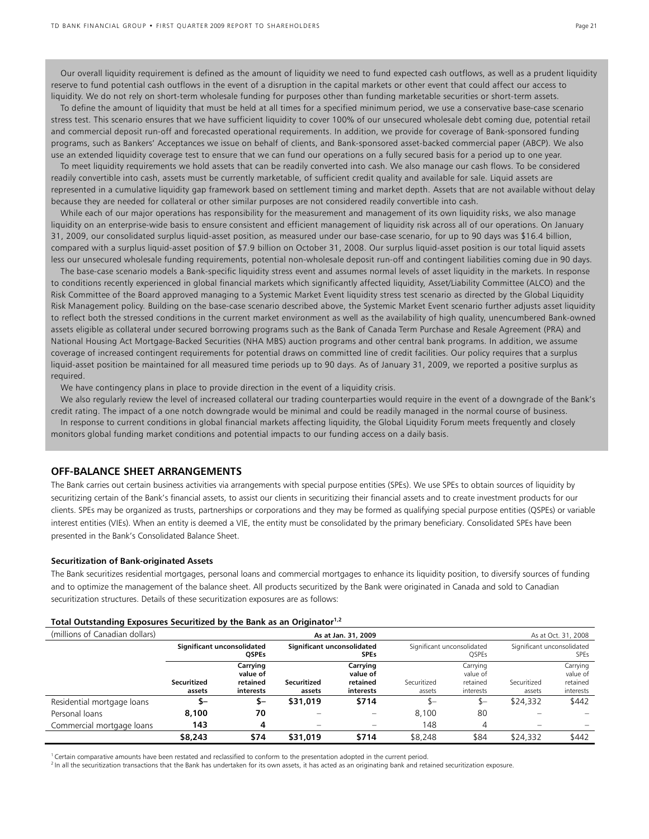Our overall liquidity requirement is defined as the amount of liquidity we need to fund expected cash outflows, as well as a prudent liquidity reserve to fund potential cash outflows in the event of a disruption in the capital markets or other event that could affect our access to liquidity. We do not rely on short-term wholesale funding for purposes other than funding marketable securities or short-term assets.

To define the amount of liquidity that must be held at all times for a specified minimum period, we use a conservative base-case scenario stress test. This scenario ensures that we have sufficient liquidity to cover 100% of our unsecured wholesale debt coming due, potential retail and commercial deposit run-off and forecasted operational requirements. In addition, we provide for coverage of Bank-sponsored funding programs, such as Bankers' Acceptances we issue on behalf of clients, and Bank-sponsored asset-backed commercial paper (ABCP). We also use an extended liquidity coverage test to ensure that we can fund our operations on a fully secured basis for a period up to one year.

To meet liquidity requirements we hold assets that can be readily converted into cash. We also manage our cash flows. To be considered readily convertible into cash, assets must be currently marketable, of sufficient credit quality and available for sale. Liquid assets are represented in a cumulative liquidity gap framework based on settlement timing and market depth. Assets that are not available without delay because they are needed for collateral or other similar purposes are not considered readily convertible into cash.

While each of our major operations has responsibility for the measurement and management of its own liquidity risks, we also manage liquidity on an enterprise-wide basis to ensure consistent and efficient management of liquidity risk across all of our operations. On January 31, 2009, our consolidated surplus liquid-asset position, as measured under our base-case scenario, for up to 90 days was \$16.4 billion, compared with a surplus liquid-asset position of \$7.9 billion on October 31, 2008. Our surplus liquid-asset position is our total liquid assets less our unsecured wholesale funding requirements, potential non-wholesale deposit run-off and contingent liabilities coming due in 90 days.

The base-case scenario models a Bank-specific liquidity stress event and assumes normal levels of asset liquidity in the markets. In response to conditions recently experienced in global financial markets which significantly affected liquidity, Asset/Liability Committee (ALCO) and the Risk Committee of the Board approved managing to a Systemic Market Event liquidity stress test scenario as directed by the Global Liquidity Risk Management policy. Building on the base-case scenario described above, the Systemic Market Event scenario further adjusts asset liquidity to reflect both the stressed conditions in the current market environment as well as the availability of high quality, unencumbered Bank-owned assets eligible as collateral under secured borrowing programs such as the Bank of Canada Term Purchase and Resale Agreement (PRA) and National Housing Act Mortgage-Backed Securities (NHA MBS) auction programs and other central bank programs. In addition, we assume coverage of increased contingent requirements for potential draws on committed line of credit facilities. Our policy requires that a surplus liquid-asset position be maintained for all measured time periods up to 90 days. As of January 31, 2009, we reported a positive surplus as required.

We have contingency plans in place to provide direction in the event of a liquidity crisis.

We also regularly review the level of increased collateral our trading counterparties would require in the event of a downgrade of the Bank's credit rating. The impact of a one notch downgrade would be minimal and could be readily managed in the normal course of business. In response to current conditions in global financial markets affecting liquidity, the Global Liquidity Forum meets frequently and closely monitors global funding market conditions and potential impacts to our funding access on a daily basis.

# **OFF-BALANCE SHEET ARRANGEMENTS**

The Bank carries out certain business activities via arrangements with special purpose entities (SPEs). We use SPEs to obtain sources of liquidity by securitizing certain of the Bank's financial assets, to assist our clients in securitizing their financial assets and to create investment products for our clients. SPEs may be organized as trusts, partnerships or corporations and they may be formed as qualifying special purpose entities (QSPEs) or variable interest entities (VIEs). When an entity is deemed a VIE, the entity must be consolidated by the primary beneficiary. Consolidated SPEs have been presented in the Bank's Consolidated Balance Sheet.

### **Securitization of Bank-originated Assets**

The Bank securitizes residential mortgages, personal loans and commercial mortgages to enhance its liquidity position, to diversify sources of funding and to optimize the management of the balance sheet. All products securitized by the Bank were originated in Canada and sold to Canadian securitization structures. Details of these securitization exposures are as follows:

### **Total Outstanding Exposures Securitized by the Bank as an Originator1,2**

| (millions of Canadian dollars) |                                            |                                               |                                           | As at Jan. 31, 2009                           | As at Oct. 31, 2008                        |                                               |                            |                                               |
|--------------------------------|--------------------------------------------|-----------------------------------------------|-------------------------------------------|-----------------------------------------------|--------------------------------------------|-----------------------------------------------|----------------------------|-----------------------------------------------|
|                                | Significant unconsolidated<br><b>OSPEs</b> |                                               | Significant unconsolidated<br><b>SPEs</b> |                                               | Significant unconsolidated<br><b>QSPEs</b> |                                               | Significant unconsolidated | <b>SPEs</b>                                   |
|                                | Securitized<br>assets                      | Carrying<br>value of<br>retained<br>interests | Securitized<br>assets                     | Carrying<br>value of<br>retained<br>interests | Securitized<br>assets                      | Carrying<br>value of<br>retained<br>interests | Securitized<br>assets      | Carrying<br>value of<br>retained<br>interests |
| Residential mortgage loans     | \$–                                        | \$–                                           | \$31,019                                  | \$714                                         | $S-$                                       | \$—                                           | \$24,332                   | \$442                                         |
| Personal loans                 | 8,100                                      | 70                                            |                                           |                                               | 8.100                                      | 80                                            |                            |                                               |
| Commercial mortgage loans      | 143                                        | 4                                             | $\overline{\phantom{0}}$                  | $\overline{\phantom{0}}$                      | 148                                        | 4                                             | $\overline{\phantom{0}}$   |                                               |
|                                | \$8,243                                    | \$74                                          | \$31,019                                  | \$714                                         | \$8,248                                    | \$84                                          | \$24,332                   | \$442                                         |

<sup>1</sup> Certain comparative amounts have been restated and reclassified to conform to the presentation adopted in the current period.

<sup>2</sup> In all the securitization transactions that the Bank has undertaken for its own assets, it has acted as an originating bank and retained securitization exposure.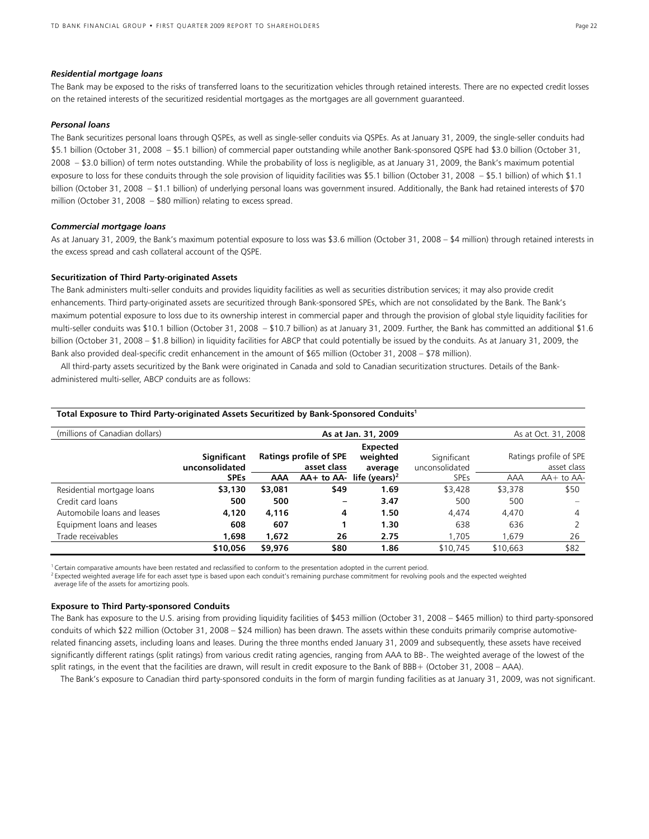### *Residential mortgage loans*

The Bank may be exposed to the risks of transferred loans to the securitization vehicles through retained interests. There are no expected credit losses on the retained interests of the securitized residential mortgages as the mortgages are all government guaranteed.

### *Personal loans*

The Bank securitizes personal loans through QSPEs, as well as single-seller conduits via QSPEs. As at January 31, 2009, the single-seller conduits had \$5.1 billion (October 31, 2008 – \$5.1 billion) of commercial paper outstanding while another Bank-sponsored QSPE had \$3.0 billion (October 31, 2008 – \$3.0 billion) of term notes outstanding. While the probability of loss is negligible, as at January 31, 2009, the Bank's maximum potential exposure to loss for these conduits through the sole provision of liquidity facilities was \$5.1 billion (October 31, 2008 – \$5.1 billion) of which \$1.1 billion (October 31, 2008 – \$1.1 billion) of underlying personal loans was government insured. Additionally, the Bank had retained interests of \$70 million (October 31, 2008 – \$80 million) relating to excess spread.

### *Commercial mortgage loans*

As at January 31, 2009, the Bank's maximum potential exposure to loss was \$3.6 million (October 31, 2008 – \$4 million) through retained interests in the excess spread and cash collateral account of the QSPE.

### **Securitization of Third Party-originated Assets**

The Bank administers multi-seller conduits and provides liquidity facilities as well as securities distribution services; it may also provide credit enhancements. Third party-originated assets are securitized through Bank-sponsored SPEs, which are not consolidated by the Bank. The Bank's maximum potential exposure to loss due to its ownership interest in commercial paper and through the provision of global style liquidity facilities for multi-seller conduits was \$10.1 billion (October 31, 2008 – \$10.7 billion) as at January 31, 2009. Further, the Bank has committed an additional \$1.6 billion (October 31, 2008 – \$1.8 billion) in liquidity facilities for ABCP that could potentially be issued by the conduits. As at January 31, 2009, the Bank also provided deal-specific credit enhancement in the amount of \$65 million (October 31, 2008 – \$78 million).

All third-party assets securitized by the Bank were originated in Canada and sold to Canadian securitization structures. Details of the Bankadministered multi-seller, ABCP conduits are as follows:

| (millions of Canadian dollars) | As at Jan. 31, 2009<br>As at Oct. 31, 2008 |                                              |      |                                          |             |                                 |                               |  |                                       |
|--------------------------------|--------------------------------------------|----------------------------------------------|------|------------------------------------------|-------------|---------------------------------|-------------------------------|--|---------------------------------------|
|                                | Significant<br>unconsolidated              | <b>Ratings profile of SPE</b><br>asset class |      |                                          |             | Expected<br>weighted<br>average | Significant<br>unconsolidated |  | Ratings profile of SPE<br>asset class |
|                                | <b>SPEs</b>                                | AAA                                          |      | $AA+$ to $AA-$ life (years) <sup>2</sup> | <b>SPEs</b> | AAA                             | $AA+$ to $AA-$                |  |                                       |
| Residential mortgage loans     | \$3,130                                    | \$3,081                                      | \$49 | 1.69                                     | \$3,428     | \$3,378                         | \$50                          |  |                                       |
| Credit card loans              | 500                                        | 500                                          |      | 3.47                                     | 500         | 500                             | -                             |  |                                       |
| Automobile loans and leases    | 4,120                                      | 4,116                                        | 4    | 1.50                                     | 4.474       | 4,470                           | 4                             |  |                                       |
| Equipment loans and leases     | 608                                        | 607                                          |      | 1.30                                     | 638         | 636                             |                               |  |                                       |
| Trade receivables              | 1,698                                      | 1,672                                        | 26   | 2.75                                     | 1.705       | 1.679                           | 26                            |  |                                       |
|                                | \$10,056                                   | \$9,976                                      | \$80 | 1.86                                     | \$10,745    | \$10,663                        | \$82                          |  |                                       |

### **Total Exposure to Third Party-originated Assets Securitized by Bank-Sponsored Conduits1**

 $1$  Certain comparative amounts have been restated and reclassified to conform to the presentation adopted in the current period.

<sup>2</sup> Expected weighted average life for each asset type is based upon each conduit's remaining purchase commitment for revolving pools and the expected weighted average life of the assets for amortizing pools.

### **Exposure to Third Party-sponsored Conduits**

The Bank has exposure to the U.S. arising from providing liquidity facilities of \$453 million (October 31, 2008 – \$465 million) to third party-sponsored conduits of which \$22 million (October 31, 2008 – \$24 million) has been drawn. The assets within these conduits primarily comprise automotiverelated financing assets, including loans and leases. During the three months ended January 31, 2009 and subsequently, these assets have received significantly different ratings (split ratings) from various credit rating agencies, ranging from AAA to BB-. The weighted average of the lowest of the split ratings, in the event that the facilities are drawn, will result in credit exposure to the Bank of BBB+ (October 31, 2008 – AAA).

The Bank's exposure to Canadian third party-sponsored conduits in the form of margin funding facilities as at January 31, 2009, was not significant.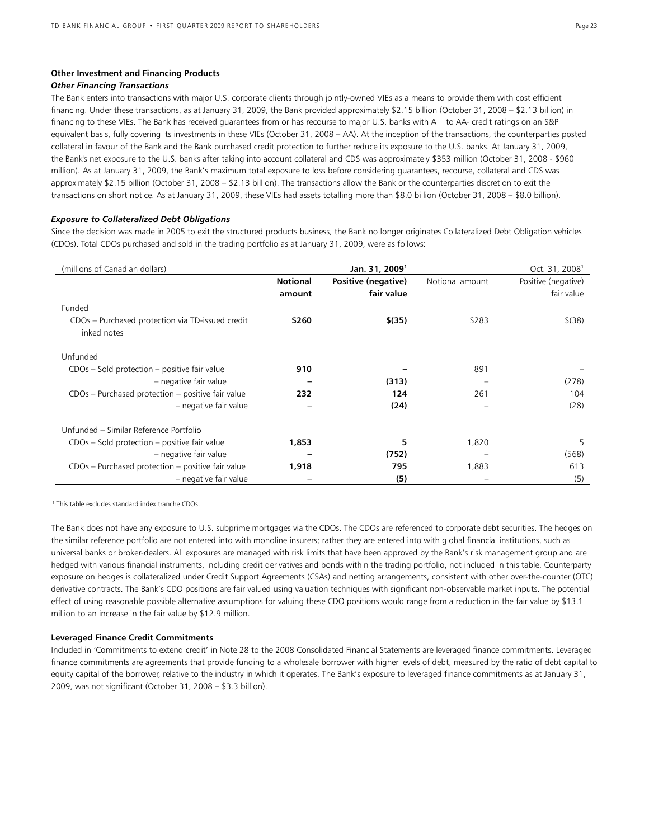# **Other Investment and Financing Products**

# *Other Financing Transactions*

The Bank enters into transactions with major U.S. corporate clients through jointly-owned VIEs as a means to provide them with cost efficient financing. Under these transactions, as at January 31, 2009, the Bank provided approximately \$2.15 billion (October 31, 2008 – \$2.13 billion) in financing to these VIEs. The Bank has received guarantees from or has recourse to major U.S. banks with A+ to AA- credit ratings on an S&P equivalent basis, fully covering its investments in these VIEs (October 31, 2008 – AA). At the inception of the transactions, the counterparties posted collateral in favour of the Bank and the Bank purchased credit protection to further reduce its exposure to the U.S. banks. At January 31, 2009, the Bank's net exposure to the U.S. banks after taking into account collateral and CDS was approximately \$353 million (October 31, 2008 - \$960 million). As at January 31, 2009, the Bank's maximum total exposure to loss before considering guarantees, recourse, collateral and CDS was approximately \$2.15 billion (October 31, 2008 – \$2.13 billion). The transactions allow the Bank or the counterparties discretion to exit the transactions on short notice. As at January 31, 2009, these VIEs had assets totalling more than \$8.0 billion (October 31, 2008 – \$8.0 billion).

# *Exposure to Collateralized Debt Obligations*

Since the decision was made in 2005 to exit the structured products business, the Bank no longer originates Collateralized Debt Obligation vehicles (CDOs). Total CDOs purchased and sold in the trading portfolio as at January 31, 2009, were as follows:

| (millions of Canadian dollars)                                   |                 | Jan. 31, 2009 <sup>1</sup> |                 | Oct. 31, 2008 <sup>1</sup> |
|------------------------------------------------------------------|-----------------|----------------------------|-----------------|----------------------------|
|                                                                  | <b>Notional</b> | Positive (negative)        | Notional amount | Positive (negative)        |
|                                                                  | amount          | fair value                 |                 | fair value                 |
| Funded                                                           |                 |                            |                 |                            |
| CDOs - Purchased protection via TD-issued credit<br>linked notes | \$260           | \$(35)                     | \$283           | $$^{(38)}$                 |
| Unfunded                                                         |                 |                            |                 |                            |
| CDOs - Sold protection - positive fair value                     | 910             |                            | 891             |                            |
| - negative fair value                                            |                 | (313)                      |                 | (278)                      |
| CDOs - Purchased protection - positive fair value                | 232             | 124                        | 261             | 104                        |
| - negative fair value                                            |                 | (24)                       |                 | (28)                       |
| Unfunded – Similar Reference Portfolio                           |                 |                            |                 |                            |
| CDOs - Sold protection - positive fair value                     | 1,853           | 5                          | 1,820           | 5                          |
| - negative fair value                                            |                 | (752)                      |                 | (568)                      |
| CDOs - Purchased protection - positive fair value                | 1,918           | 795                        | 1,883           | 613                        |
| - negative fair value                                            |                 | (5)                        |                 | (5)                        |

<sup>1</sup> This table excludes standard index tranche CDOs.

The Bank does not have any exposure to U.S. subprime mortgages via the CDOs. The CDOs are referenced to corporate debt securities. The hedges on the similar reference portfolio are not entered into with monoline insurers; rather they are entered into with global financial institutions, such as universal banks or broker-dealers. All exposures are managed with risk limits that have been approved by the Bank's risk management group and are hedged with various financial instruments, including credit derivatives and bonds within the trading portfolio, not included in this table. Counterparty exposure on hedges is collateralized under Credit Support Agreements (CSAs) and netting arrangements, consistent with other over-the-counter (OTC) derivative contracts. The Bank's CDO positions are fair valued using valuation techniques with significant non-observable market inputs. The potential effect of using reasonable possible alternative assumptions for valuing these CDO positions would range from a reduction in the fair value by \$13.1 million to an increase in the fair value by \$12.9 million.

### **Leveraged Finance Credit Commitments**

Included in 'Commitments to extend credit' in Note 28 to the 2008 Consolidated Financial Statements are leveraged finance commitments. Leveraged finance commitments are agreements that provide funding to a wholesale borrower with higher levels of debt, measured by the ratio of debt capital to equity capital of the borrower, relative to the industry in which it operates. The Bank's exposure to leveraged finance commitments as at January 31, 2009, was not significant (October 31, 2008 – \$3.3 billion).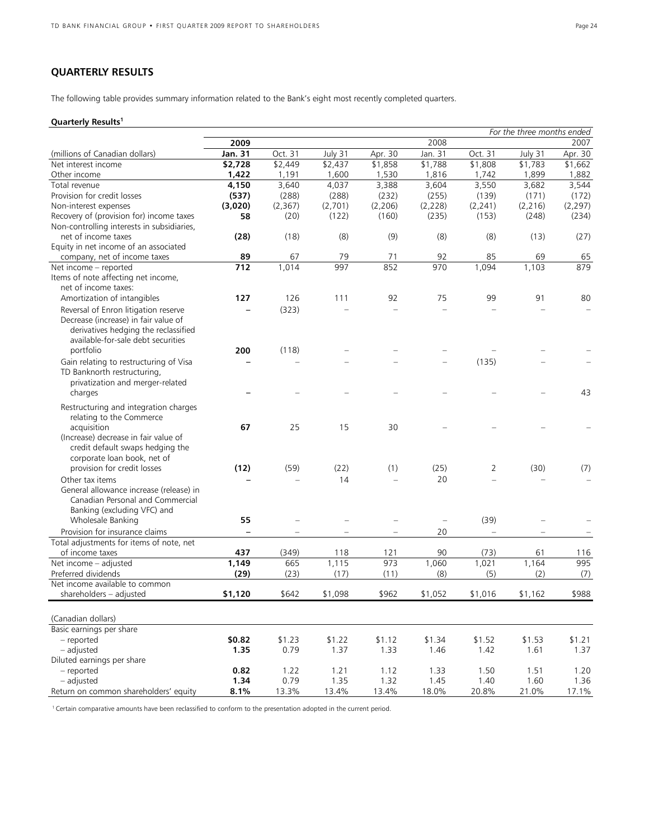# **QUARTERLY RESULTS**

The following table provides summary information related to the Bank's eight most recently completed quarters.

# **Quarterly Results1**

|                                                                 |                  |          |                     |          |                          |          | For the three months ended |          |
|-----------------------------------------------------------------|------------------|----------|---------------------|----------|--------------------------|----------|----------------------------|----------|
|                                                                 | 2009             |          |                     |          | 2008                     |          |                            | 2007     |
| (millions of Canadian dollars)                                  | Jan. 31          | Oct. 31  | July 31             | Apr. 30  | Jan. 31                  | Oct. 31  | July 31                    | Apr. 30  |
| Net interest income                                             | \$2,728          | \$2,449  | $\overline{$}2,437$ | \$1,858  | \$1,788                  | \$1,808  | $\overline{51,783}$        | \$1,662  |
| Other income                                                    | 1,422            | 1,191    | 1,600               | 1,530    | 1,816                    | 1,742    | 1,899                      | 1,882    |
| Total revenue                                                   | 4,150            | 3,640    | 4,037               | 3,388    | 3,604                    | 3,550    | 3,682                      | 3,544    |
| Provision for credit losses                                     | (537)            | (288)    | (288)               | (232)    | (255)                    | (139)    | (171)                      | (172)    |
| Non-interest expenses                                           | (3,020)          | (2, 367) | (2,701)             | (2, 206) | (2,228)                  | (2, 241) | (2, 216)                   | (2, 297) |
| Recovery of (provision for) income taxes                        | 58               | (20)     | (122)               | (160)    | (235)                    | (153)    | (248)                      | (234)    |
| Non-controlling interests in subsidiaries,                      |                  |          |                     |          |                          |          |                            |          |
| net of income taxes                                             | (28)             | (18)     | (8)                 | (9)      | (8)                      | (8)      | (13)                       | (27)     |
| Equity in net income of an associated                           |                  |          |                     |          |                          |          |                            |          |
| company, net of income taxes                                    | 89               | 67       | 79                  | 71       | 92                       | 85       | 69                         | 65       |
| Net income - reported                                           | $\overline{712}$ | 1,014    | 997                 | 852      | 970                      | 1,094    | 1,103                      | 879      |
| Items of note affecting net income,                             |                  |          |                     |          |                          |          |                            |          |
| net of income taxes:                                            |                  |          |                     |          |                          |          |                            |          |
| Amortization of intangibles                                     | 127              | 126      | 111                 | 92       | 75                       | 99       | 91                         | 80       |
| Reversal of Enron litigation reserve                            |                  | (323)    |                     |          |                          |          |                            |          |
| Decrease (increase) in fair value of                            |                  |          |                     |          |                          |          |                            |          |
| derivatives hedging the reclassified                            |                  |          |                     |          |                          |          |                            |          |
| available-for-sale debt securities                              |                  |          |                     |          |                          |          |                            |          |
| portfolio                                                       | 200              | (118)    |                     |          |                          |          |                            |          |
| Gain relating to restructuring of Visa                          |                  |          |                     |          |                          | (135)    |                            |          |
| TD Banknorth restructuring,                                     |                  |          |                     |          |                          |          |                            |          |
| privatization and merger-related                                |                  |          |                     |          |                          |          |                            |          |
| charges                                                         |                  |          |                     |          |                          |          |                            | 43       |
|                                                                 |                  |          |                     |          |                          |          |                            |          |
| Restructuring and integration charges                           |                  |          |                     |          |                          |          |                            |          |
| relating to the Commerce                                        |                  | 25       | 15                  | 30       |                          |          |                            |          |
| acquisition                                                     | 67               |          |                     |          |                          |          |                            |          |
| (Increase) decrease in fair value of                            |                  |          |                     |          |                          |          |                            |          |
| credit default swaps hedging the<br>corporate loan book, net of |                  |          |                     |          |                          |          |                            |          |
| provision for credit losses                                     | (12)             | (59)     | (22)                | (1)      | (25)                     |          | (30)                       |          |
|                                                                 |                  |          |                     |          |                          | 2        |                            | (7)      |
| Other tax items                                                 |                  |          | 14                  |          | 20                       |          |                            |          |
| General allowance increase (release) in                         |                  |          |                     |          |                          |          |                            |          |
| Canadian Personal and Commercial                                |                  |          |                     |          |                          |          |                            |          |
| Banking (excluding VFC) and                                     |                  |          |                     |          |                          |          |                            |          |
| Wholesale Banking                                               | 55               |          |                     |          | $\overline{\phantom{0}}$ | (39)     |                            |          |
| Provision for insurance claims                                  |                  |          |                     |          | 20                       |          |                            |          |
| Total adjustments for items of note, net                        |                  |          |                     |          |                          |          |                            |          |
| of income taxes                                                 | 437              | (349)    | 118                 | 121      | 90                       | (73)     | 61                         | 116      |
| Net income - adjusted                                           | 1,149            | 665      | 1,115               | 973      | 1,060                    | 1,021    | 1,164                      | 995      |
| Preferred dividends                                             | (29)             | (23)     | (17)                | (11)     | (8)                      | (5)      | (2)                        | (7)      |
| Net income available to common                                  |                  | \$642    | \$1,098             |          |                          | \$1,016  |                            | \$988    |
| shareholders - adjusted                                         | \$1,120          |          |                     | \$962    | \$1,052                  |          | \$1,162                    |          |
|                                                                 |                  |          |                     |          |                          |          |                            |          |
| (Canadian dollars)                                              |                  |          |                     |          |                          |          |                            |          |
| Basic earnings per share                                        |                  |          |                     |          |                          |          |                            |          |
| - reported                                                      | \$0.82           | \$1.23   | \$1.22              | \$1.12   | \$1.34                   | \$1.52   | \$1.53                     | \$1.21   |
| - adjusted                                                      | 1.35             | 0.79     | 1.37                | 1.33     | 1.46                     | 1.42     | 1.61                       | 1.37     |
| Diluted earnings per share                                      |                  |          |                     |          |                          |          |                            |          |
| - reported                                                      | 0.82             | 1.22     | 1.21                | 1.12     | 1.33                     | 1.50     | 1.51                       | 1.20     |
| - adjusted                                                      | 1.34             | 0.79     | 1.35                | 1.32     | 1.45                     | 1.40     | 1.60                       | 1.36     |
| Return on common shareholders' equity                           | 8.1%             | 13.3%    | 13.4%               | 13.4%    | 18.0%                    | 20.8%    | 21.0%                      | 17.1%    |

 $1$  Certain comparative amounts have been reclassified to conform to the presentation adopted in the current period.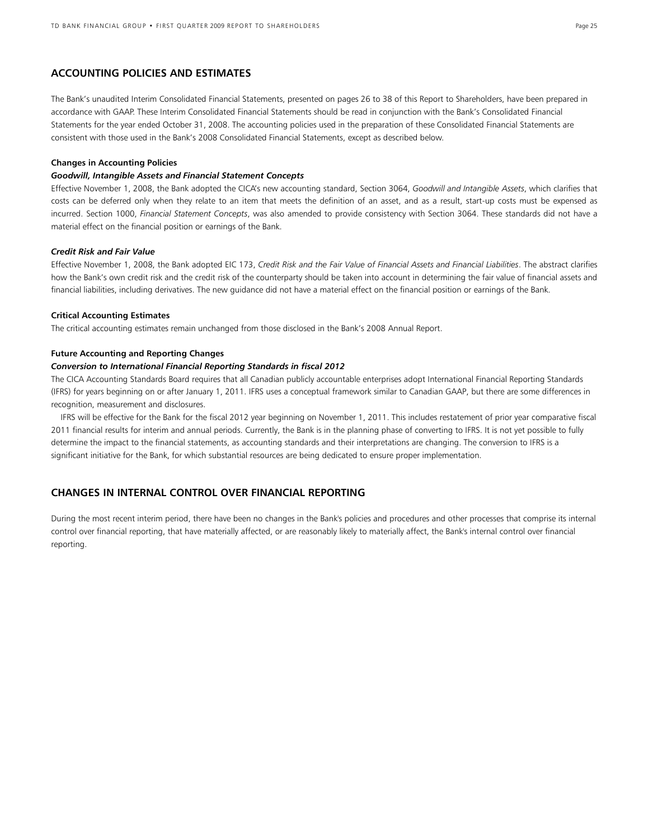# **ACCOUNTING POLICIES AND ESTIMATES**

The Bank's unaudited Interim Consolidated Financial Statements, presented on pages 26 to 38 of this Report to Shareholders, have been prepared in accordance with GAAP. These Interim Consolidated Financial Statements should be read in conjunction with the Bank's Consolidated Financial Statements for the year ended October 31, 2008. The accounting policies used in the preparation of these Consolidated Financial Statements are consistent with those used in the Bank's 2008 Consolidated Financial Statements, except as described below.

### **Changes in Accounting Policies**

# *Goodwill, Intangible Assets and Financial Statement Concepts*

Effective November 1, 2008, the Bank adopted the CICA's new accounting standard, Section 3064, *Goodwill and Intangible Assets*, which clarifies that costs can be deferred only when they relate to an item that meets the definition of an asset, and as a result, start-up costs must be expensed as incurred. Section 1000, *Financial Statement Concepts*, was also amended to provide consistency with Section 3064. These standards did not have a material effect on the financial position or earnings of the Bank.

### *Credit Risk and Fair Value*

Effective November 1, 2008, the Bank adopted EIC 173, *Credit Risk and the Fair Value of Financial Assets and Financial Liabilities*. The abstract clarifies how the Bank's own credit risk and the credit risk of the counterparty should be taken into account in determining the fair value of financial assets and financial liabilities, including derivatives. The new guidance did not have a material effect on the financial position or earnings of the Bank.

## **Critical Accounting Estimates**

The critical accounting estimates remain unchanged from those disclosed in the Bank's 2008 Annual Report.

### **Future Accounting and Reporting Changes**

### *Conversion to International Financial Reporting Standards in fiscal 2012*

The CICA Accounting Standards Board requires that all Canadian publicly accountable enterprises adopt International Financial Reporting Standards (IFRS) for years beginning on or after January 1, 2011. IFRS uses a conceptual framework similar to Canadian GAAP, but there are some differences in recognition, measurement and disclosures.

IFRS will be effective for the Bank for the fiscal 2012 year beginning on November 1, 2011. This includes restatement of prior year comparative fiscal 2011 financial results for interim and annual periods. Currently, the Bank is in the planning phase of converting to IFRS. It is not yet possible to fully determine the impact to the financial statements, as accounting standards and their interpretations are changing. The conversion to IFRS is a significant initiative for the Bank, for which substantial resources are being dedicated to ensure proper implementation.

# **CHANGES IN INTERNAL CONTROL OVER FINANCIAL REPORTING**

During the most recent interim period, there have been no changes in the Bank's policies and procedures and other processes that comprise its internal control over financial reporting, that have materially affected, or are reasonably likely to materially affect, the Bank's internal control over financial reporting.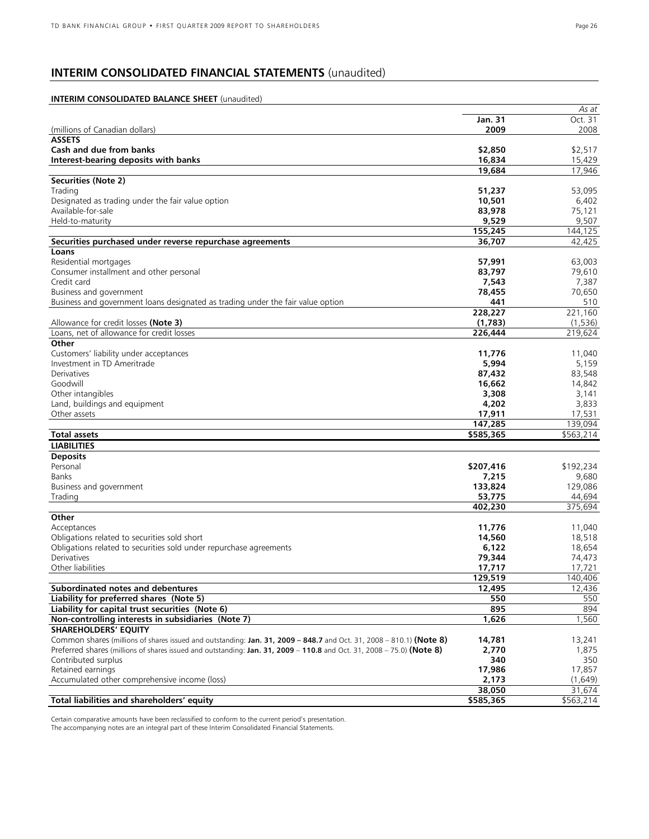# **INTERIM CONSOLIDATED FINANCIAL STATEMENTS** (unaudited)

# **INTERIM CONSOLIDATED BALANCE SHEET** (unaudited)

|                                                                                                                       |                 | As at     |
|-----------------------------------------------------------------------------------------------------------------------|-----------------|-----------|
|                                                                                                                       | Jan. 31         | Oct. 31   |
| (millions of Canadian dollars)                                                                                        | 2009            | 2008      |
| <b>ASSETS</b>                                                                                                         |                 |           |
| Cash and due from banks                                                                                               | \$2,850         | \$2,517   |
| Interest-bearing deposits with banks                                                                                  | 16,834          | 15,429    |
|                                                                                                                       | 19,684          | 17,946    |
| <b>Securities (Note 2)</b>                                                                                            |                 |           |
| Trading                                                                                                               | 51,237          | 53,095    |
| Designated as trading under the fair value option                                                                     | 10,501          | 6,402     |
| Available-for-sale                                                                                                    | 83,978          | 75,121    |
| Held-to-maturity                                                                                                      | 9,529           | 9,507     |
|                                                                                                                       | 155,245         | 144,125   |
| Securities purchased under reverse repurchase agreements                                                              | 36,707          | 42,425    |
| Loans                                                                                                                 |                 |           |
| Residential mortgages                                                                                                 | 57,991          | 63,003    |
| Consumer installment and other personal                                                                               | 83,797          | 79,610    |
| Credit card                                                                                                           | 7,543           | 7,387     |
| Business and government                                                                                               | 78,455          | 70,650    |
| Business and government loans designated as trading under the fair value option                                       | 441             | 510       |
|                                                                                                                       | 228,227         | 221,160   |
| Allowance for credit losses (Note 3)                                                                                  | (1,783)         | (1,536)   |
| Loans, net of allowance for credit losses                                                                             | 226,444         | 219,624   |
| Other                                                                                                                 |                 |           |
| Customers' liability under acceptances                                                                                | 11,776          | 11,040    |
| Investment in TD Ameritrade                                                                                           | 5,994           | 5,159     |
| Derivatives                                                                                                           | 87,432          | 83,548    |
| Goodwill                                                                                                              | 16,662          | 14,842    |
| Other intangibles                                                                                                     | 3,308           | 3,141     |
| Land, buildings and equipment                                                                                         |                 | 3,833     |
| Other assets                                                                                                          | 4,202<br>17,911 | 17,531    |
|                                                                                                                       | 147,285         | 139,094   |
| <b>Total assets</b>                                                                                                   | \$585,365       | \$563,214 |
|                                                                                                                       |                 |           |
| <b>LIABILITIES</b>                                                                                                    |                 |           |
| <b>Deposits</b>                                                                                                       |                 |           |
| Personal                                                                                                              | \$207,416       | \$192,234 |
| <b>Banks</b>                                                                                                          | 7,215           | 9,680     |
| Business and government                                                                                               | 133,824         | 129,086   |
| Trading                                                                                                               | 53,775          | 44,694    |
|                                                                                                                       | 402,230         | 375,694   |
| Other                                                                                                                 |                 |           |
| Acceptances                                                                                                           | 11,776          | 11,040    |
| Obligations related to securities sold short                                                                          | 14,560          | 18,518    |
| Obligations related to securities sold under repurchase agreements                                                    | 6,122           | 18,654    |
| Derivatives                                                                                                           | 79,344          | 74,473    |
| Other liabilities                                                                                                     | 17,717          | 17,721    |
|                                                                                                                       | 129,519         | 140,406   |
| Subordinated notes and debentures                                                                                     | 12,495          | 12,436    |
| Liability for preferred shares (Note 5)                                                                               | 550             | 550       |
| Liability for capital trust securities (Note 6)                                                                       | 895             | 894       |
| Non-controlling interests in subsidiaries (Note 7)                                                                    | 1,626           | 1,560     |
| <b>SHAREHOLDERS' EQUITY</b>                                                                                           |                 |           |
| Common shares (millions of shares issued and outstanding: Jan. 31, 2009 - 848.7 and Oct. 31, 2008 - 810.1) (Note 8)   | 14,781          | 13,241    |
| Preferred shares (millions of shares issued and outstanding: Jan. 31, 2009 – 110.8 and Oct. 31, 2008 – 75.0) (Note 8) | 2,770           | 1,875     |
| Contributed surplus                                                                                                   | 340             | 350       |
| Retained earnings                                                                                                     | 17,986          | 17,857    |
| Accumulated other comprehensive income (loss)                                                                         | 2,173           | (1,649)   |
|                                                                                                                       | 38,050          | 31,674    |
| Total liabilities and shareholders' equity                                                                            | \$585,365       | \$563,214 |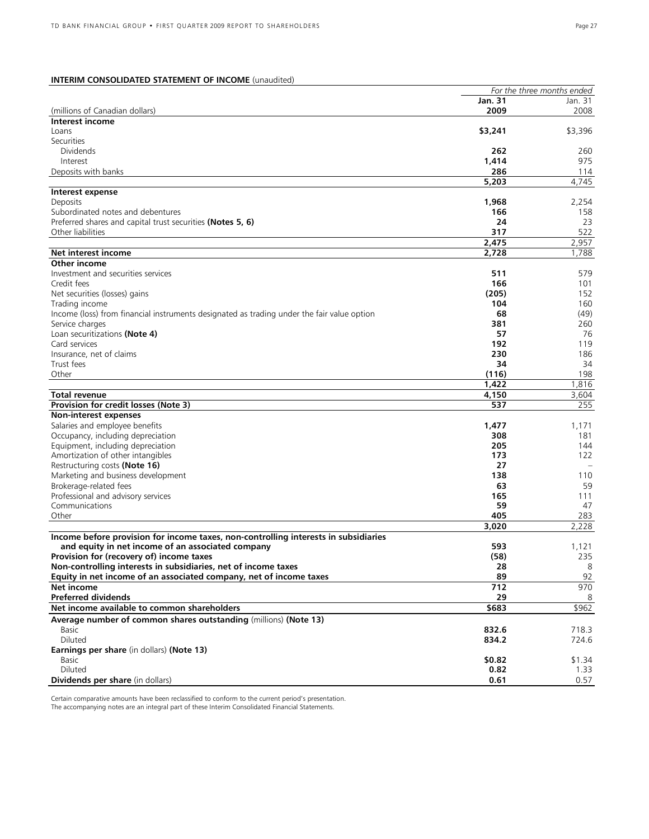# **INTERIM CONSOLIDATED STATEMENT OF INCOME** (unaudited)

|                                                                                            |           | For the three months ended |
|--------------------------------------------------------------------------------------------|-----------|----------------------------|
|                                                                                            | Jan. 31   | Jan. 31                    |
| (millions of Canadian dollars)                                                             | 2009      | 2008                       |
| Interest income                                                                            |           |                            |
| Loans                                                                                      | \$3,241   | \$3,396                    |
| Securities                                                                                 |           |                            |
| <b>Dividends</b>                                                                           | 262       | 260                        |
| Interest                                                                                   | 1,414     | 975                        |
| Deposits with banks                                                                        | 286       | 114                        |
|                                                                                            | 5,203     | 4,745                      |
| Interest expense                                                                           |           |                            |
| Deposits                                                                                   | 1,968     | 2,254                      |
| Subordinated notes and debentures                                                          | 166       | 158                        |
| Preferred shares and capital trust securities (Notes 5, 6)                                 | 24        | 23                         |
| Other liabilities                                                                          | 317       | 522                        |
|                                                                                            | 2,475     | 2,957                      |
| Net interest income                                                                        | 2,728     | 1,788                      |
| Other income                                                                               |           |                            |
| Investment and securities services                                                         | 511       | 579                        |
| Credit fees                                                                                | 166       | 101                        |
| Net securities (losses) gains                                                              | (205)     | 152                        |
| Trading income                                                                             | 104       | 160                        |
| Income (loss) from financial instruments designated as trading under the fair value option | 68        | (49)                       |
| Service charges                                                                            | 381       | 260                        |
| Loan securitizations (Note 4)                                                              | 57        | 76                         |
| Card services                                                                              | 192       | 119                        |
| Insurance, net of claims                                                                   | 230       | 186                        |
| Trust fees                                                                                 | 34        | 34                         |
| Other                                                                                      | (116)     | 198                        |
|                                                                                            | 1,422     | 1,816                      |
| Total revenue                                                                              | 4,150     | 3,604                      |
| Provision for credit losses (Note 3)                                                       | 537       | 255                        |
| Non-interest expenses                                                                      |           |                            |
| Salaries and employee benefits                                                             | 1,477     | 1,171                      |
| Occupancy, including depreciation                                                          | 308       | 181                        |
| Equipment, including depreciation                                                          | 205       | 144                        |
| Amortization of other intangibles                                                          | 173       | 122                        |
| Restructuring costs (Note 16)                                                              | 27<br>138 | 110                        |
| Marketing and business development                                                         | 63        | 59                         |
| Brokerage-related fees                                                                     | 165       |                            |
| Professional and advisory services<br>Communications                                       | 59        | 111<br>47                  |
| Other                                                                                      | 405       | 283                        |
|                                                                                            | 3,020     | 2,228                      |
| Income before provision for income taxes, non-controlling interests in subsidiaries        |           |                            |
| and equity in net income of an associated company                                          | 593       | 1,121                      |
| Provision for (recovery of) income taxes                                                   | (58)      | 235                        |
| Non-controlling interests in subsidiaries, net of income taxes                             | 28        | 8                          |
| Equity in net income of an associated company, net of income taxes                         | 89        | 92                         |
| Net income                                                                                 | 712       | 970                        |
| <b>Preferred dividends</b>                                                                 | 29        | 8                          |
| Net income available to common shareholders                                                | \$683     | $\overline{$}962$          |
| Average number of common shares outstanding (millions) (Note 13)                           |           |                            |
| Basic                                                                                      | 832.6     | 718.3                      |
| Diluted                                                                                    | 834.2     | 724.6                      |
| Earnings per share (in dollars) (Note 13)                                                  |           |                            |
| Basic                                                                                      | \$0.82    | \$1.34                     |
| <b>Diluted</b>                                                                             | 0.82      | 1.33                       |
| Dividends per share (in dollars)                                                           | 0.61      | 0.57                       |
|                                                                                            |           |                            |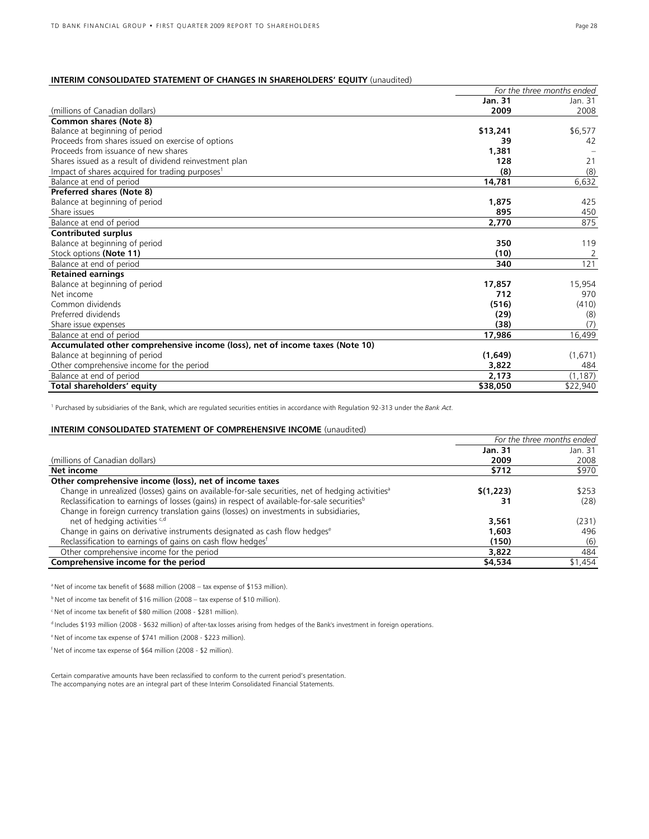# **INTERIM CONSOLIDATED STATEMENT OF CHANGES IN SHAREHOLDERS' EQUITY** (unaudited)

|                                                                              | For the three months ended |          |
|------------------------------------------------------------------------------|----------------------------|----------|
|                                                                              | <b>Jan. 31</b>             | Jan. 31  |
| (millions of Canadian dollars)                                               | 2009                       | 2008     |
| Common shares (Note 8)                                                       |                            |          |
| Balance at beginning of period                                               | \$13,241                   | \$6,577  |
| Proceeds from shares issued on exercise of options                           | 39                         | 42       |
| Proceeds from issuance of new shares                                         | 1,381                      |          |
| Shares issued as a result of dividend reinvestment plan                      | 128                        | 21       |
| Impact of shares acquired for trading purposes <sup>1</sup>                  | (8)                        | (8)      |
| Balance at end of period                                                     | 14,781                     | 6,632    |
| Preferred shares (Note 8)                                                    |                            |          |
| Balance at beginning of period                                               | 1,875                      | 425      |
| Share issues                                                                 | 895                        | 450      |
| Balance at end of period                                                     | 2,770                      | 875      |
| <b>Contributed surplus</b>                                                   |                            |          |
| Balance at beginning of period                                               | 350                        | 119      |
| Stock options (Note 11)                                                      | (10)                       | 2        |
| Balance at end of period                                                     | 340                        | 121      |
| <b>Retained earnings</b>                                                     |                            |          |
| Balance at beginning of period                                               | 17,857                     | 15,954   |
| Net income                                                                   | 712                        | 970      |
| Common dividends                                                             | (516)                      | (410)    |
| Preferred dividends                                                          | (29)                       | (8)      |
| Share issue expenses                                                         | (38)                       | (7)      |
| Balance at end of period                                                     | 17,986                     | 16,499   |
| Accumulated other comprehensive income (loss), net of income taxes (Note 10) |                            |          |
| Balance at beginning of period                                               | (1,649)                    | (1,671)  |
| Other comprehensive income for the period                                    | 3,822                      | 484      |
| Balance at end of period                                                     | 2,173                      | (1, 187) |
| Total shareholders' equity                                                   | \$38,050                   | \$22,940 |

<sup>1</sup> Purchased by subsidiaries of the Bank, which are regulated securities entities in accordance with Regulation 92-313 under the *Bank Act.*

# **INTERIM CONSOLIDATED STATEMENT OF COMPREHENSIVE INCOME** (unaudited)

|                                                                                                              | For the three months ended |         |  |
|--------------------------------------------------------------------------------------------------------------|----------------------------|---------|--|
|                                                                                                              | <b>Jan. 31</b>             | Jan. 31 |  |
| (millions of Canadian dollars)                                                                               | 2009                       | 2008    |  |
| Net income                                                                                                   | \$712                      | \$970   |  |
| Other comprehensive income (loss), net of income taxes                                                       |                            |         |  |
| Change in unrealized (losses) gains on available-for-sale securities, net of hedging activities <sup>a</sup> | \$(1,223)                  | \$253   |  |
| Reclassification to earnings of losses (gains) in respect of available-for-sale securities <sup>b</sup>      | 31                         | (28)    |  |
| Change in foreign currency translation gains (losses) on investments in subsidiaries,                        |                            |         |  |
| net of hedging activities c,d                                                                                | 3,561                      | (231)   |  |
| Change in gains on derivative instruments designated as cash flow hedges <sup>e</sup>                        | 1,603                      | 496     |  |
| Reclassification to earnings of gains on cash flow hedges <sup>f</sup>                                       | (150)                      | (6)     |  |
| Other comprehensive income for the period                                                                    | 3,822                      | 484     |  |
| Comprehensive income for the period                                                                          | \$4,534                    | \$1,454 |  |

<sup>a</sup> Net of income tax benefit of \$688 million (2008 – tax expense of \$153 million).

 $<sup>b</sup>$  Net of income tax benefit of \$16 million (2008 – tax expense of \$10 million).</sup>

<sup>c</sup> Net of income tax benefit of \$80 million (2008 - \$281 million).

d Includes \$193 million (2008 - \$632 million) of after-tax losses arising from hedges of the Bank's investment in foreign operations.

e Net of income tax expense of \$741 million (2008 - \$223 million).

 $f$ Net of income tax expense of \$64 million (2008 - \$2 million).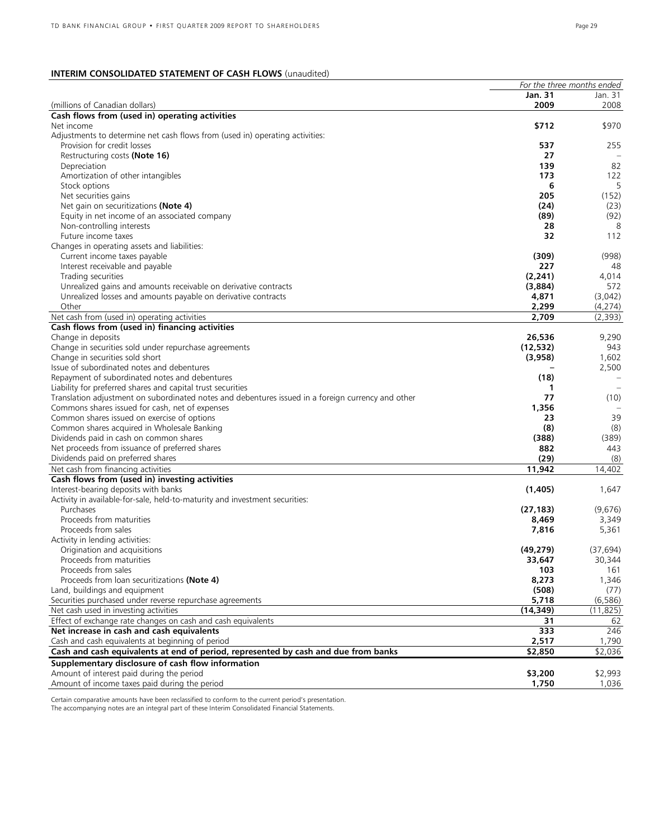# **INTERIM CONSOLIDATED STATEMENT OF CASH FLOWS** (unaudited)

|                                                                                                           | For the three months ended |                  |
|-----------------------------------------------------------------------------------------------------------|----------------------------|------------------|
|                                                                                                           | <b>Jan. 31</b>             | Jan. 31          |
| (millions of Canadian dollars)                                                                            | 2009                       | 2008             |
| Cash flows from (used in) operating activities                                                            |                            |                  |
| Net income                                                                                                | \$712                      | \$970            |
| Adjustments to determine net cash flows from (used in) operating activities:                              |                            |                  |
| Provision for credit losses                                                                               | 537                        | 255              |
| Restructuring costs (Note 16)                                                                             | 27                         |                  |
| Depreciation                                                                                              | 139                        | 82<br>122        |
| Amortization of other intangibles                                                                         | 173                        | 5                |
| Stock options                                                                                             | 6<br>205                   | (152)            |
| Net securities gains<br>Net gain on securitizations (Note 4)                                              | (24)                       | (23)             |
| Equity in net income of an associated company                                                             | (89)                       | (92)             |
| Non-controlling interests                                                                                 | 28                         | 8                |
| Future income taxes                                                                                       | 32                         | 112              |
| Changes in operating assets and liabilities:                                                              |                            |                  |
| Current income taxes payable                                                                              | (309)                      | (998)            |
| Interest receivable and payable                                                                           | 227                        | 48               |
| Trading securities                                                                                        | (2, 241)                   | 4,014            |
| Unrealized gains and amounts receivable on derivative contracts                                           | (3,884)                    | 572              |
| Unrealized losses and amounts payable on derivative contracts                                             | 4,871                      | (3,042)          |
| Other                                                                                                     | 2,299                      | (4,274)          |
| Net cash from (used in) operating activities                                                              | 2,709                      | (2,393)          |
| Cash flows from (used in) financing activities                                                            |                            |                  |
| Change in deposits                                                                                        | 26,536                     | 9,290            |
| Change in securities sold under repurchase agreements                                                     | (12, 532)                  | 943              |
| Change in securities sold short                                                                           | (3,958)                    | 1,602            |
| Issue of subordinated notes and debentures                                                                |                            | 2,500            |
| Repayment of subordinated notes and debentures                                                            | (18)                       | $\frac{1}{2}$    |
| Liability for preferred shares and capital trust securities                                               | 1                          |                  |
| Translation adjustment on subordinated notes and debentures issued in a foreign currency and other        | 77                         | (10)             |
| Commons shares issued for cash, net of expenses                                                           | 1,356                      |                  |
| Common shares issued on exercise of options                                                               | 23                         | 39               |
| Common shares acquired in Wholesale Banking                                                               | (8)                        | (8)              |
| Dividends paid in cash on common shares                                                                   | (388)                      | (389)            |
| Net proceeds from issuance of preferred shares                                                            | 882                        | 443              |
| Dividends paid on preferred shares                                                                        | (29)                       | (8)              |
| Net cash from financing activities                                                                        | 11,942                     | 14,402           |
| Cash flows from (used in) investing activities                                                            |                            |                  |
| Interest-bearing deposits with banks                                                                      | (1,405)                    | 1,647            |
| Activity in available-for-sale, held-to-maturity and investment securities:                               |                            |                  |
| Purchases                                                                                                 | (27, 183)                  | (9,676)          |
| Proceeds from maturities                                                                                  | 8,469                      | 3,349            |
| Proceeds from sales                                                                                       | 7,816                      | 5,361            |
| Activity in lending activities:                                                                           |                            |                  |
| Origination and acquisitions                                                                              | (49, 279)                  | (37, 694)        |
| Proceeds from maturities                                                                                  | 33,647                     | 30,344           |
| Proceeds from sales                                                                                       | 103                        | 161              |
| Proceeds from loan securitizations (Note 4)                                                               | 8,273                      | 1,346            |
| Land, buildings and equipment                                                                             | (508)<br>5,718             | (77)<br>(6, 586) |
| Securities purchased under reverse repurchase agreements<br>Net cash used in investing activities         | (14, 349)                  | (11, 825)        |
|                                                                                                           |                            |                  |
| Effect of exchange rate changes on cash and cash equivalents<br>Net increase in cash and cash equivalents | 31<br>333                  | 62<br>246        |
| Cash and cash equivalents at beginning of period                                                          | 2,517                      | 1,790            |
| Cash and cash equivalents at end of period, represented by cash and due from banks                        | \$2,850                    | \$2,036          |
| Supplementary disclosure of cash flow information                                                         |                            |                  |
| Amount of interest paid during the period                                                                 | \$3,200                    | \$2,993          |
| Amount of income taxes paid during the period                                                             | 1,750                      | 1.036            |
|                                                                                                           |                            |                  |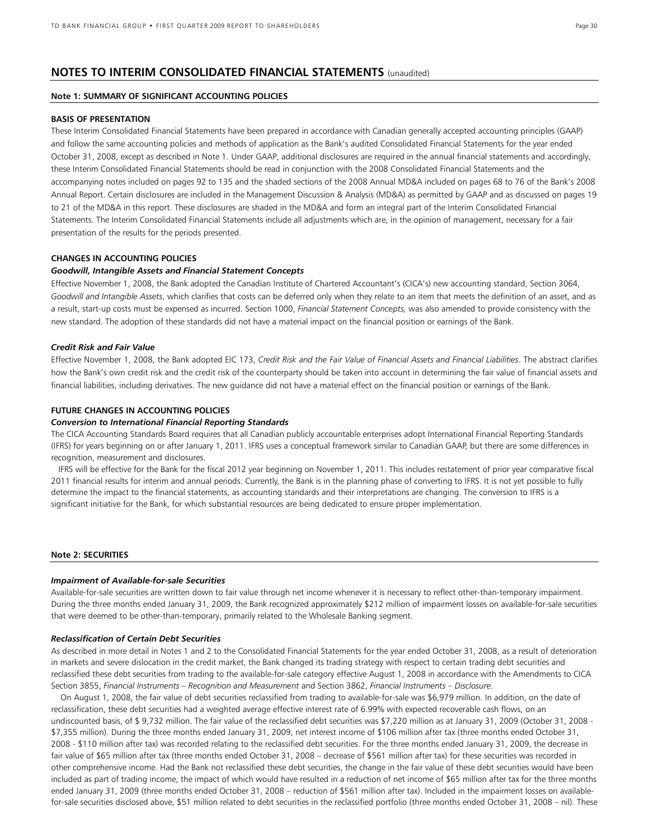# **NOTES TO INTERIM CONSOLIDATED FINANCIAL STATEMENTS** (unaudited)

# **Note 1: SUMMARY OF SIGNIFICANT ACCOUNTING POLICIES**

### **BASIS OF PRESENTATION**

These Interim Consolidated Financial Statements have been prepared in accordance with Canadian generally accepted accounting principles (GAAP) and follow the same accounting policies and methods of application as the Bank's audited Consolidated Financial Statements for the year ended October 31, 2008, except as described in Note 1. Under GAAP, additional disclosures are required in the annual financial statements and accordingly, these Interim Consolidated Financial Statements should be read in conjunction with the 2008 Consolidated Financial Statements and the accompanying notes included on pages 92 to 135 and the shaded sections of the 2008 Annual MD&A included on pages 68 to 76 of the Bank's 2008 Annual Report. Certain disclosures are included in the Management Discussion & Analysis (MD&A) as permitted by GAAP and as discussed on pages 19 to 21 of the MD&A in this report. These disclosures are shaded in the MD&A and form an integral part of the Interim Consolidated Financial Statements. The Interim Consolidated Financial Statements include all adjustments which are, in the opinion of management, necessary for a fair presentation of the results for the periods presented.

## **CHANGES IN ACCOUNTING POLICIES**

### *Goodwill, Intangible Assets and Financial Statement Concepts*

Effective November 1, 2008, the Bank adopted the Canadian Institute of Chartered Accountant's (CICA's) new accounting standard, Section 3064, *Goodwill and Intangible Assets*, which clarifies that costs can be deferred only when they relate to an item that meets the definition of an asset, and as a result, start-up costs must be expensed as incurred. Section 1000, *Financial Statement Concepts,* was also amended to provide consistency with the new standard. The adoption of these standards did not have a material impact on the financial position or earnings of the Bank.

### *Credit Risk and Fair Value*

Effective November 1, 2008, the Bank adopted EIC 173, *Credit Risk and the Fair Value of Financial Assets and Financial Liabilities*. The abstract clarifies how the Bank's own credit risk and the credit risk of the counterparty should be taken into account in determining the fair value of financial assets and financial liabilities, including derivatives. The new guidance did not have a material effect on the financial position or earnings of the Bank.

### **FUTURE CHANGES IN ACCOUNTING POLICIES**

# *Conversion to International Financial Reporting Standards*

The CICA Accounting Standards Board requires that all Canadian publicly accountable enterprises adopt International Financial Reporting Standards (IFRS) for years beginning on or after January 1, 2011. IFRS uses a conceptual framework similar to Canadian GAAP, but there are some differences in recognition, measurement and disclosures.

 IFRS will be effective for the Bank for the fiscal 2012 year beginning on November 1, 2011. This includes restatement of prior year comparative fiscal 2011 financial results for interim and annual periods. Currently, the Bank is in the planning phase of converting to IFRS. It is not yet possible to fully determine the impact to the financial statements, as accounting standards and their interpretations are changing. The conversion to IFRS is a significant initiative for the Bank, for which substantial resources are being dedicated to ensure proper implementation.

# **Note 2: SECURITIES**

### *Impairment of Available-for-sale Securities*

Available-for-sale securities are written down to fair value through net income whenever it is necessary to reflect other-than-temporary impairment. During the three months ended January 31, 2009, the Bank recognized approximately \$212 million of impairment losses on available-for-sale securities that were deemed to be other-than-temporary, primarily related to the Wholesale Banking segment.

### *Reclassification of Certain Debt Securities*

As described in more detail in Notes 1 and 2 to the Consolidated Financial Statements for the year ended October 31, 2008, as a result of deterioration in markets and severe dislocation in the credit market, the Bank changed its trading strategy with respect to certain trading debt securities and reclassified these debt securities from trading to the available-for-sale category effective August 1, 2008 in accordance with the Amendments to CICA Section 3855, *Financial Instruments – Recognition and Measurement* and Section 3862, *Financial Instruments – Disclosure.*

On August 1, 2008, the fair value of debt securities reclassified from trading to available-for-sale was \$6,979 million. In addition, on the date of reclassification, these debt securities had a weighted average effective interest rate of 6.99% with expected recoverable cash flows, on an undiscounted basis, of \$ 9,732 million. The fair value of the reclassified debt securities was \$7,220 million as at January 31, 2009 (October 31, 2008 - \$7,355 million). During the three months ended January 31, 2009, net interest income of \$106 million after tax (three months ended October 31, 2008 - \$110 million after tax) was recorded relating to the reclassified debt securities. For the three months ended January 31, 2009, the decrease in fair value of \$65 million after tax (three months ended October 31, 2008 – decrease of \$561 million after tax) for these securities was recorded in other comprehensive income. Had the Bank not reclassified these debt securities, the change in the fair value of these debt securities would have been included as part of trading income, the impact of which would have resulted in a reduction of net income of \$65 million after tax for the three months ended January 31, 2009 (three months ended October 31, 2008 – reduction of \$561 million after tax). Included in the impairment losses on availablefor-sale securities disclosed above, \$51 million related to debt securities in the reclassified portfolio (three months ended October 31, 2008 – nil). These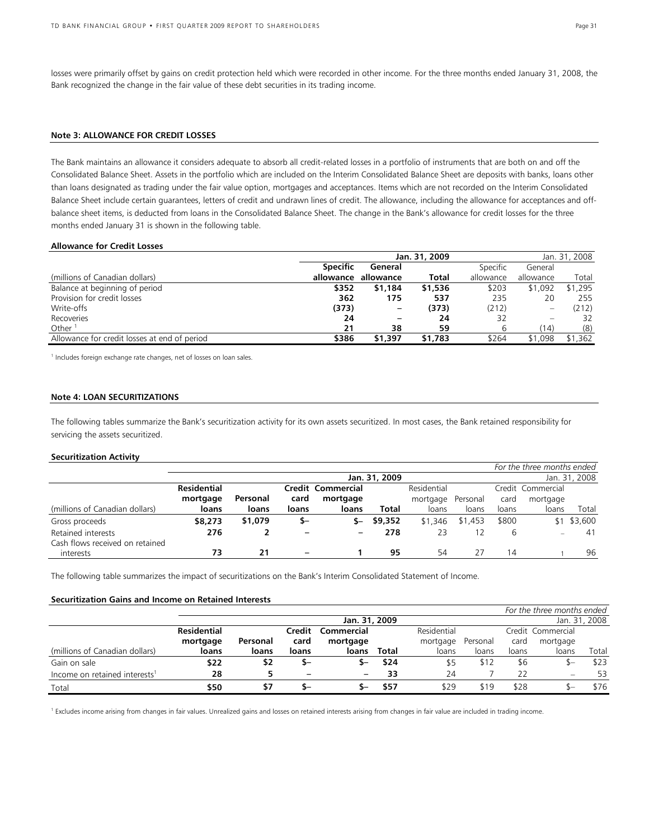losses were primarily offset by gains on credit protection held which were recorded in other income. For the three months ended January 31, 2008, the Bank recognized the change in the fair value of these debt securities in its trading income.

# **Note 3: ALLOWANCE FOR CREDIT LOSSES**

The Bank maintains an allowance it considers adequate to absorb all credit-related losses in a portfolio of instruments that are both on and off the Consolidated Balance Sheet. Assets in the portfolio which are included on the Interim Consolidated Balance Sheet are deposits with banks, loans other than loans designated as trading under the fair value option, mortgages and acceptances. Items which are not recorded on the Interim Consolidated Balance Sheet include certain guarantees, letters of credit and undrawn lines of credit. The allowance, including the allowance for acceptances and offbalance sheet items, is deducted from loans in the Consolidated Balance Sheet. The change in the Bank's allowance for credit losses for the three months ended January 31 is shown in the following table.

### **Allowance for Credit Losses**

|                                              |                 | Jan. 31, 2008       |         |                 |                                |         |
|----------------------------------------------|-----------------|---------------------|---------|-----------------|--------------------------------|---------|
|                                              | <b>Specific</b> | General             |         | <b>Specific</b> | General                        |         |
| (millions of Canadian dollars)               |                 | allowance allowance | Total   | allowance       | allowance                      | Total   |
| Balance at beginning of period               | \$352           | \$1,184             | \$1,536 | \$203           | \$1,092                        | \$1,295 |
| Provision for credit losses                  | 362             | 175                 | 537     | 235             | 20                             | 255     |
| Write-offs                                   | (373)           |                     | (373)   | (212)           | $\qquad \qquad \longleftarrow$ | (212)   |
| Recoveries                                   | 24              |                     | 24      | 32              |                                | 32      |
| Other $1$                                    | 21              | 38                  | 59      | 6               | (14)                           | (8)     |
| Allowance for credit losses at end of period | \$386           | \$1,397             | \$1,783 | \$264           | \$1,098                        | \$1,362 |

<sup>1</sup> Includes foreign exchange rate changes, net of losses on loan sales.

# **Note 4: LOAN SECURITIZATIONS**

The following tables summarize the Bank's securitization activity for its own assets securitized. In most cases, the Bank retained responsibility for servicing the assets securitized.

### **Securitization Activity**

|                                 |                                |          |       |                   |         |             |          |       | For the three months ended |         |
|---------------------------------|--------------------------------|----------|-------|-------------------|---------|-------------|----------|-------|----------------------------|---------|
|                                 | Jan. 31, 2009<br>Jan. 31, 2008 |          |       |                   |         |             |          |       |                            |         |
|                                 | <b>Residential</b>             |          |       | Credit Commercial |         | Residential |          |       | Credit Commercial          |         |
|                                 | mortgage                       | Personal | card  | mortgage          |         | mortgage    | Personal | card  | mortgage                   |         |
| (millions of Canadian dollars)  | loans                          | loans    | loans | loans             | Total   | loans       | loans    | loans | loans                      | Total   |
| Gross proceeds                  | \$8,273                        | \$1,079  | \$–   | $S-$              | \$9,352 | \$1,346     | \$1,453  | \$800 | \$1                        | \$3,600 |
| Retained interests              | 276                            |          |       | -                 | 278     | 23          |          |       |                            | 41      |
| Cash flows received on retained |                                |          |       |                   |         |             |          |       |                            |         |
| interests                       | 73                             | 21       |       |                   | 95      | 54          | 27       | 14    |                            | 96      |

The following table summarizes the impact of securitizations on the Bank's Interim Consolidated Statement of Income.

# **Securitization Gains and Income on Retained Interests**

|                                           |               |          |                   |            |       |             |          |       | For the three months ended |       |
|-------------------------------------------|---------------|----------|-------------------|------------|-------|-------------|----------|-------|----------------------------|-------|
|                                           | Jan. 31, 2009 |          |                   |            |       |             |          |       | Jan. 31, 2008              |       |
|                                           | Residential   |          | Credit            | Commercial |       | Residential |          |       | Credit Commercial          |       |
|                                           | mortgage      | Personal | card              | mortgage   |       | mortgage    | Personal | card  | mortgage                   |       |
| (millions of Canadian dollars)            | loans         | loans    | loans             | loans      | Total | loans       | loans    | loans | loans                      | Total |
| Gain on sale                              | \$22          | \$2      | S-                | ъ-         | \$24  | \$5         | \$12     | \$6   | S—                         | \$23  |
| Income on retained interests <sup>1</sup> | 28            |          | $\qquad \qquad -$ |            | 33    | 24          |          | 22    |                            | 53    |
| Total                                     | \$50          | \$7      | ъ–                |            | \$57  | \$29        | \$19     | \$28  | ъ—                         | \$76  |

<sup>1</sup> Excludes income arising from changes in fair values. Unrealized gains and losses on retained interests arising from changes in fair value are included in trading income.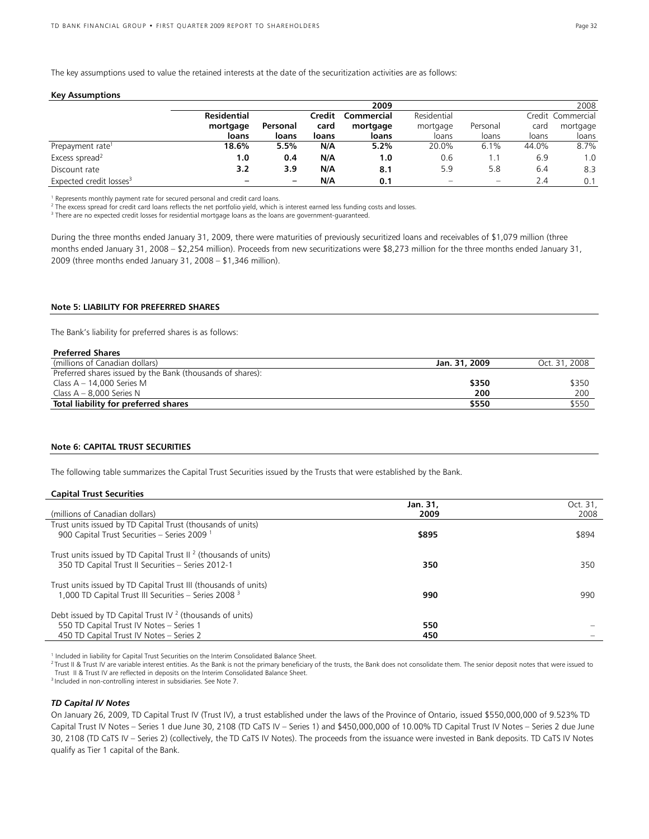The key assumptions used to value the retained interests at the date of the securitization activities are as follows:

#### **Key Assumptions**

|                                     |             |          |        | 2009       |             |          |       | 2008              |
|-------------------------------------|-------------|----------|--------|------------|-------------|----------|-------|-------------------|
|                                     | Residential |          | Credit | Commercial | Residential |          |       | Credit Commercial |
|                                     | mortgage    | Personal | card   | mortgage   | mortgage    | Personal | card  | mortgage          |
|                                     | loans       | loans    | loans  | loans      | loans       | loans    | loans | loans             |
| Prepayment rate <sup>1</sup>        | 18.6%       | 5.5%     | N/A    | 5.2%       | 20.0%       | 6.1%     | 44.0% | 8.7%              |
| Excess spread <sup>2</sup>          | 1.0         | 0.4      | N/A    | 1.0        | 0.6         |          | 6.9   | 1.0               |
| Discount rate                       | 3.2         | 3.9      | N/A    | 8.1        | 5.9         | 5.8      | 6.4   | 8.3               |
| Expected credit losses <sup>3</sup> |             | -        | N/A    | 0.1        | -           | -        | 2.4   | 0.1               |

<sup>1</sup> Represents monthly payment rate for secured personal and credit card loans.

<sup>2</sup> The excess spread for credit card loans reflects the net portfolio yield, which is interest earned less funding costs and losses.

<sup>3</sup> There are no expected credit losses for residential mortgage loans as the loans are government-guaranteed.

During the three months ended January 31, 2009, there were maturities of previously securitized loans and receivables of \$1,079 million (three months ended January 31, 2008 – \$2,254 million). Proceeds from new securitizations were \$8,273 million for the three months ended January 31, 2009 (three months ended January 31, 2008 – \$1,346 million).

### **Note 5: LIABILITY FOR PREFERRED SHARES**

The Bank's liability for preferred shares is as follows:

| Jan. 31, 2009 | Oct. 31, 2008 |
|---------------|---------------|
|               |               |
| \$350         | \$350         |
| 200           | 200           |
| \$550         | \$550         |
|               |               |

### **Note 6: CAPITAL TRUST SECURITIES**

The following table summarizes the Capital Trust Securities issued by the Trusts that were established by the Bank.

### **Capital Trust Securities**

|                                                                                                                                     | Jan. 31, | Oct. 31, |
|-------------------------------------------------------------------------------------------------------------------------------------|----------|----------|
| (millions of Canadian dollars)                                                                                                      | 2009     | 2008     |
| Trust units issued by TD Capital Trust (thousands of units)<br>900 Capital Trust Securities - Series 2009 <sup>1</sup>              | \$895    | \$894    |
| Trust units issued by TD Capital Trust $II^2$ (thousands of units)<br>350 TD Capital Trust II Securities - Series 2012-1            | 350      | 350      |
| Trust units issued by TD Capital Trust III (thousands of units)<br>1,000 TD Capital Trust III Securities - Series 2008 <sup>3</sup> | 990      | 990      |
| Debt issued by TD Capital Trust IV $2$ (thousands of units)                                                                         |          |          |
| 550 TD Capital Trust IV Notes - Series 1                                                                                            | 550      |          |
| 450 TD Capital Trust IV Notes - Series 2                                                                                            | 450      |          |

<sup>1</sup> Included in liability for Capital Trust Securities on the Interim Consolidated Balance Sheet.

<sup>2</sup> Trust II & Trust IV are variable interest entities. As the Bank is not the primary beneficiary of the trusts, the Bank does not consolidate them. The senior deposit notes that were issued to Trust II & Trust IV are reflected in deposits on the Interim Consolidated Balance Sheet. 3 Included in non-controlling interest in subsidiaries. See Note 7.

# *TD Capital IV Notes*

On January 26, 2009, TD Capital Trust IV (Trust IV), a trust established under the laws of the Province of Ontario, issued \$550,000,000 of 9.523% TD Capital Trust IV Notes – Series 1 due June 30, 2108 (TD CaTS IV – Series 1) and \$450,000,000 of 10.00% TD Capital Trust IV Notes – Series 2 due June 30, 2108 (TD CaTS IV – Series 2) (collectively, the TD CaTS IV Notes). The proceeds from the issuance were invested in Bank deposits. TD CaTS IV Notes qualify as Tier 1 capital of the Bank.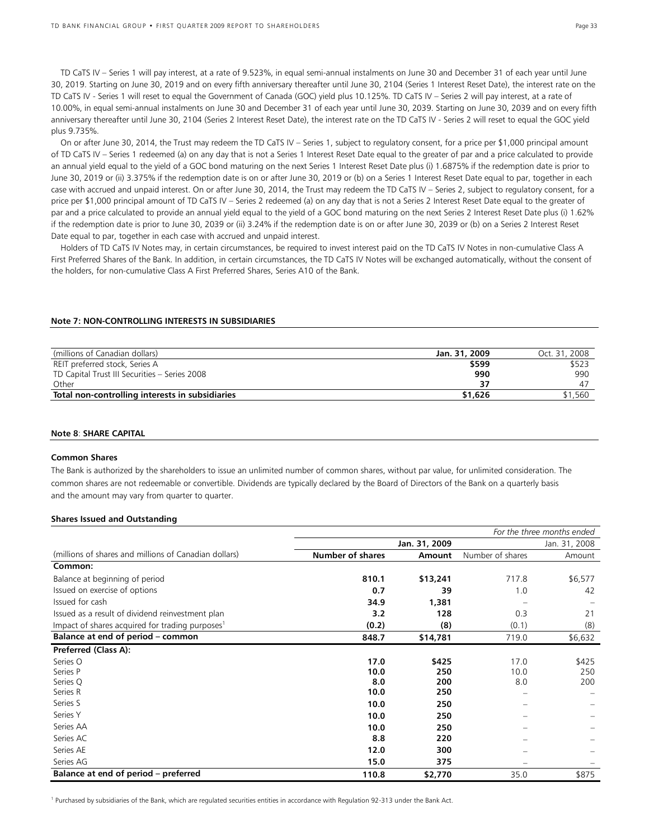TD CaTS IV – Series 1 will pay interest, at a rate of 9.523%, in equal semi-annual instalments on June 30 and December 31 of each year until June 30, 2019. Starting on June 30, 2019 and on every fifth anniversary thereafter until June 30, 2104 (Series 1 Interest Reset Date), the interest rate on the TD CaTS IV - Series 1 will reset to equal the Government of Canada (GOC) yield plus 10.125%. TD CaTS IV – Series 2 will pay interest, at a rate of 10.00%, in equal semi-annual instalments on June 30 and December 31 of each year until June 30, 2039. Starting on June 30, 2039 and on every fifth anniversary thereafter until June 30, 2104 (Series 2 Interest Reset Date), the interest rate on the TD CaTS IV - Series 2 will reset to equal the GOC yield plus 9.735%.

On or after June 30, 2014, the Trust may redeem the TD CaTS IV – Series 1, subject to regulatory consent, for a price per \$1,000 principal amount of TD CaTS IV – Series 1 redeemed (a) on any day that is not a Series 1 Interest Reset Date equal to the greater of par and a price calculated to provide an annual yield equal to the yield of a GOC bond maturing on the next Series 1 Interest Reset Date plus (i) 1.6875% if the redemption date is prior to June 30, 2019 or (ii) 3.375% if the redemption date is on or after June 30, 2019 or (b) on a Series 1 Interest Reset Date equal to par, together in each case with accrued and unpaid interest. On or after June 30, 2014, the Trust may redeem the TD CaTS IV – Series 2, subject to regulatory consent, for a price per \$1,000 principal amount of TD CaTS IV – Series 2 redeemed (a) on any day that is not a Series 2 Interest Reset Date equal to the greater of par and a price calculated to provide an annual yield equal to the yield of a GOC bond maturing on the next Series 2 Interest Reset Date plus (i) 1.62% if the redemption date is prior to June 30, 2039 or (ii) 3.24% if the redemption date is on or after June 30, 2039 or (b) on a Series 2 Interest Reset Date equal to par, together in each case with accrued and unpaid interest.

Holders of TD CaTS IV Notes may, in certain circumstances, be required to invest interest paid on the TD CaTS IV Notes in non-cumulative Class A First Preferred Shares of the Bank. In addition, in certain circumstances, the TD CaTS IV Notes will be exchanged automatically, without the consent of the holders, for non-cumulative Class A First Preferred Shares, Series A10 of the Bank.

### **Note 7: NON-CONTROLLING INTERESTS IN SUBSIDIARIES**

| (millions of Canadian dollars)                  | Jan. 31, 2009 | Oct. 31, 2008 |
|-------------------------------------------------|---------------|---------------|
| REIT preferred stock, Series A                  | \$599         | \$523         |
| TD Capital Trust III Securities - Series 2008   | 990           | 990           |
| Other                                           |               |               |
| Total non-controlling interests in subsidiaries | \$1,626       | \$1,560       |

### **Note 8**: **SHARE CAPITAL**

### **Common Shares**

The Bank is authorized by the shareholders to issue an unlimited number of common shares, without par value, for unlimited consideration. The common shares are not redeemable or convertible. Dividends are typically declared by the Board of Directors of the Bank on a quarterly basis and the amount may vary from quarter to quarter.

### **Shares Issued and Outstanding**

|                                                             |                         |               |                  | For the three months ended |
|-------------------------------------------------------------|-------------------------|---------------|------------------|----------------------------|
|                                                             |                         | Jan. 31, 2009 |                  | Jan. 31, 2008              |
| (millions of shares and millions of Canadian dollars)       | <b>Number of shares</b> | Amount        | Number of shares | Amount                     |
| Common:                                                     |                         |               |                  |                            |
| Balance at beginning of period                              | 810.1                   | \$13,241      | 717.8            | \$6,577                    |
| Issued on exercise of options                               | 0.7                     | 39            | 1.0              | 42                         |
| Issued for cash                                             | 34.9                    | 1,381         |                  |                            |
| Issued as a result of dividend reinvestment plan            | 3.2                     | 128           | 0.3              | 21                         |
| Impact of shares acquired for trading purposes <sup>1</sup> | (0.2)                   | (8)           | (0.1)            | (8)                        |
| Balance at end of period - common                           | 848.7                   | \$14,781      | 719.0            | \$6,632                    |
| Preferred (Class A):                                        |                         |               |                  |                            |
| Series O                                                    | 17.0                    | \$425         | 17.0             | \$425                      |
| Series P                                                    | 10.0                    | 250           | 10.0             | 250                        |
| Series Q                                                    | 8.0                     | 200           | 8.0              | 200                        |
| Series R                                                    | 10.0                    | 250           |                  |                            |
| Series S                                                    | 10.0                    | 250           |                  |                            |
| Series Y                                                    | 10.0                    | 250           |                  |                            |
| Series AA                                                   | 10.0                    | 250           |                  |                            |
| Series AC                                                   | 8.8                     | 220           |                  |                            |
| Series AE                                                   | 12.0                    | 300           |                  |                            |
| Series AG                                                   | 15.0                    | 375           |                  |                            |
| Balance at end of period – preferred                        | 110.8                   | \$2,770       | 35.0             | \$875                      |

<sup>1</sup> Purchased by subsidiaries of the Bank, which are regulated securities entities in accordance with Regulation 92-313 under the Bank Act.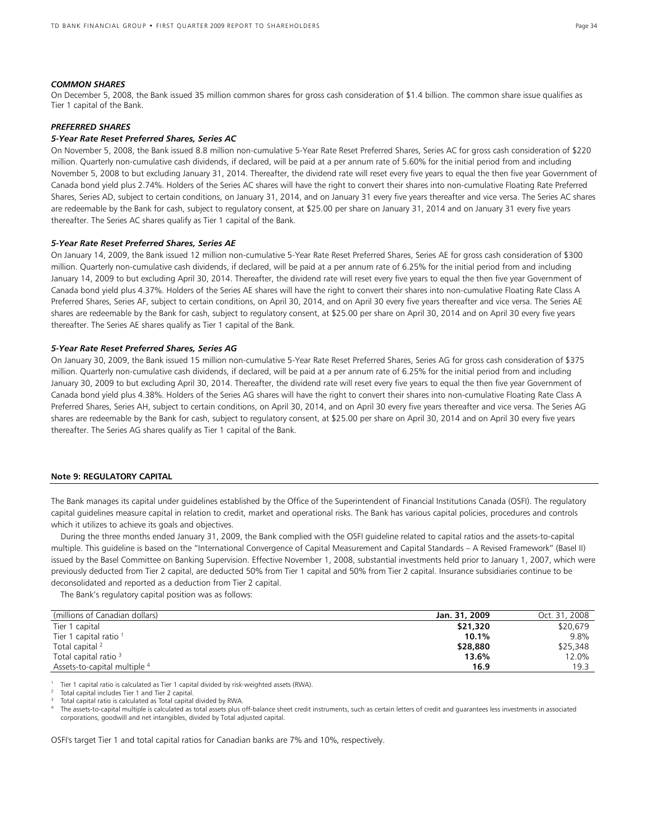### *COMMON SHARES*

On December 5, 2008, the Bank issued 35 million common shares for gross cash consideration of \$1.4 billion. The common share issue qualifies as Tier 1 capital of the Bank.

## *PREFERRED SHARES*

# *5-Year Rate Reset Preferred Shares, Series AC*

On November 5, 2008, the Bank issued 8.8 million non-cumulative 5-Year Rate Reset Preferred Shares, Series AC for gross cash consideration of \$220 million. Quarterly non-cumulative cash dividends, if declared, will be paid at a per annum rate of 5.60% for the initial period from and including November 5, 2008 to but excluding January 31, 2014. Thereafter, the dividend rate will reset every five years to equal the then five year Government of Canada bond yield plus 2.74%. Holders of the Series AC shares will have the right to convert their shares into non-cumulative Floating Rate Preferred Shares, Series AD, subject to certain conditions, on January 31, 2014, and on January 31 every five years thereafter and vice versa. The Series AC shares are redeemable by the Bank for cash, subject to regulatory consent, at \$25.00 per share on January 31, 2014 and on January 31 every five years thereafter. The Series AC shares qualify as Tier 1 capital of the Bank.

### *5-Year Rate Reset Preferred Shares, Series AE*

On January 14, 2009, the Bank issued 12 million non-cumulative 5-Year Rate Reset Preferred Shares, Series AE for gross cash consideration of \$300 million. Quarterly non-cumulative cash dividends, if declared, will be paid at a per annum rate of 6.25% for the initial period from and including January 14, 2009 to but excluding April 30, 2014. Thereafter, the dividend rate will reset every five years to equal the then five year Government of Canada bond yield plus 4.37%. Holders of the Series AE shares will have the right to convert their shares into non-cumulative Floating Rate Class A Preferred Shares, Series AF, subject to certain conditions, on April 30, 2014, and on April 30 every five years thereafter and vice versa. The Series AE shares are redeemable by the Bank for cash, subject to regulatory consent, at \$25.00 per share on April 30, 2014 and on April 30 every five years thereafter. The Series AE shares qualify as Tier 1 capital of the Bank.

### *5-Year Rate Reset Preferred Shares, Series AG*

On January 30, 2009, the Bank issued 15 million non-cumulative 5-Year Rate Reset Preferred Shares, Series AG for gross cash consideration of \$375 million. Quarterly non-cumulative cash dividends, if declared, will be paid at a per annum rate of 6.25% for the initial period from and including January 30, 2009 to but excluding April 30, 2014. Thereafter, the dividend rate will reset every five years to equal the then five year Government of Canada bond yield plus 4.38%. Holders of the Series AG shares will have the right to convert their shares into non-cumulative Floating Rate Class A Preferred Shares, Series AH, subject to certain conditions, on April 30, 2014, and on April 30 every five years thereafter and vice versa. The Series AG shares are redeemable by the Bank for cash, subject to regulatory consent, at \$25.00 per share on April 30, 2014 and on April 30 every five years thereafter. The Series AG shares qualify as Tier 1 capital of the Bank.

# **Note 9: REGULATORY CAPITAL**

The Bank manages its capital under guidelines established by the Office of the Superintendent of Financial Institutions Canada (OSFI). The regulatory capital guidelines measure capital in relation to credit, market and operational risks. The Bank has various capital policies, procedures and controls which it utilizes to achieve its goals and objectives.

During the three months ended January 31, 2009, the Bank complied with the OSFI guideline related to capital ratios and the assets-to-capital multiple. This guideline is based on the "International Convergence of Capital Measurement and Capital Standards – A Revised Framework" (Basel II) issued by the Basel Committee on Banking Supervision. Effective November 1, 2008, substantial investments held prior to January 1, 2007, which were previously deducted from Tier 2 capital, are deducted 50% from Tier 1 capital and 50% from Tier 2 capital. Insurance subsidiaries continue to be deconsolidated and reported as a deduction from Tier 2 capital.

The Bank's regulatory capital position was as follows:

| (millions of Canadian dollars)   | Jan. 31, 2009 | Oct. 31, 2008 |
|----------------------------------|---------------|---------------|
| Tier 1 capital                   | \$21,320      | \$20,679      |
| Tier 1 capital ratio $1$         | 10.1%         | 9.8%          |
| Total capital <sup>2</sup>       | \$28,880      | \$25,348      |
| Total capital ratio <sup>3</sup> | 13.6%         | 12.0%         |
| Assets-to-capital multiple 4     | 16.9          | 19.3          |

<sup>1</sup> Tier 1 capital ratio is calculated as Tier 1 capital divided by risk-weighted assets (RWA).

The assets-to-capital multiple is calculated as total assets plus off-balance sheet credit instruments, such as certain letters of credit and guarantees less investments in associated corporations, goodwill and net intangibles, divided by Total adjusted capital.

OSFI's target Tier 1 and total capital ratios for Canadian banks are 7% and 10%, respectively.

Total capital includes Tier 1 and Tier 2 capital.

Total capital ratio is calculated as Total capital divided by RWA.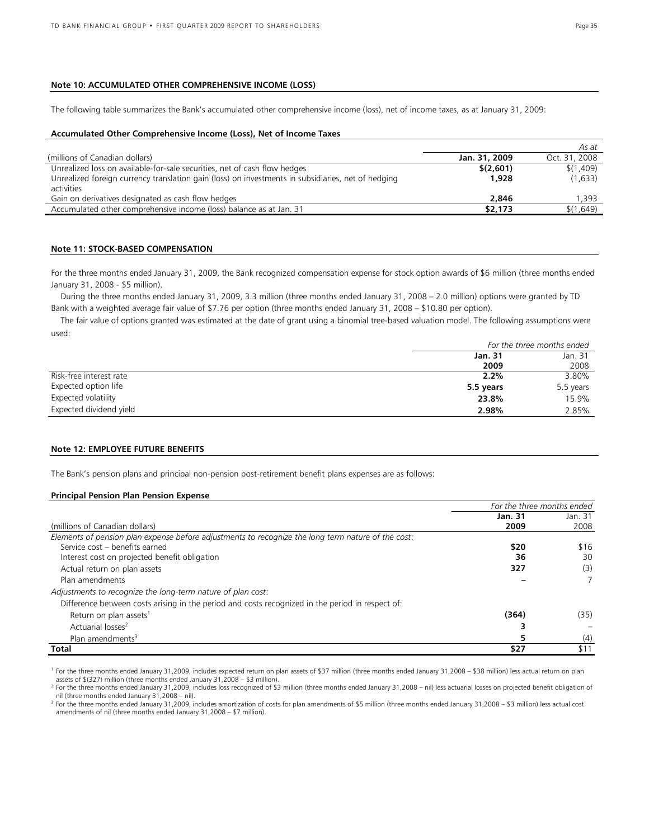# **Note 10: ACCUMULATED OTHER COMPREHENSIVE INCOME (LOSS)**

The following table summarizes the Bank's accumulated other comprehensive income (loss), net of income taxes, as at January 31, 2009:

### **Accumulated Other Comprehensive Income (Loss), Net of Income Taxes**

|                                                                                                    |               | As at         |
|----------------------------------------------------------------------------------------------------|---------------|---------------|
| (millions of Canadian dollars)                                                                     | Jan. 31, 2009 | Oct. 31, 2008 |
| Unrealized loss on available-for-sale securities, net of cash flow hedges                          | \$(2,601)     | \$(1,409)     |
| Unrealized foreign currency translation gain (loss) on investments in subsidiaries, net of hedging | 1.928         | (1,633)       |
| activities                                                                                         |               |               |
| Gain on derivatives designated as cash flow hedges                                                 | 2,846         | 1,393         |
| Accumulated other comprehensive income (loss) balance as at Jan. 31                                | \$2,173       | \$(1,649)     |

### **Note 11: STOCK-BASED COMPENSATION**

For the three months ended January 31, 2009, the Bank recognized compensation expense for stock option awards of \$6 million (three months ended January 31, 2008 - \$5 million).

During the three months ended January 31, 2009, 3.3 million (three months ended January 31, 2008 – 2.0 million) options were granted by TD Bank with a weighted average fair value of \$7.76 per option (three months ended January 31, 2008 – \$10.80 per option).

The fair value of options granted was estimated at the date of grant using a binomial tree-based valuation model. The following assumptions were used:

|                         | For the three months ended |           |
|-------------------------|----------------------------|-----------|
|                         | Jan. 31                    | Jan. 31   |
|                         | 2009                       | 2008      |
| Risk-free interest rate | 2.2%                       | 3.80%     |
| Expected option life    | 5.5 years                  | 5.5 years |
| Expected volatility     | 23.8%                      | 15.9%     |
| Expected dividend yield | 2.98%                      | 2.85%     |

# **Note 12: EMPLOYEE FUTURE BENEFITS**

The Bank's pension plans and principal non-pension post-retirement benefit plans expenses are as follows:

### **Principal Pension Plan Pension Expense**

|                                                                                                    | For the three months ended |         |
|----------------------------------------------------------------------------------------------------|----------------------------|---------|
|                                                                                                    | Jan. 31                    | Jan. 31 |
| (millions of Canadian dollars)                                                                     | 2009                       | 2008    |
| Elements of pension plan expense before adjustments to recognize the long term nature of the cost: |                            |         |
| Service cost - benefits earned                                                                     | \$20                       | \$16    |
| Interest cost on projected benefit obligation                                                      | 36                         | 30      |
| Actual return on plan assets                                                                       | 327                        | (3)     |
| Plan amendments                                                                                    |                            |         |
| Adjustments to recognize the long-term nature of plan cost:                                        |                            |         |
| Difference between costs arising in the period and costs recognized in the period in respect of:   |                            |         |
| Return on plan assets <sup>1</sup>                                                                 | (364)                      | (35)    |
| Actuarial losses <sup>2</sup>                                                                      |                            |         |
| Plan amendments <sup>3</sup>                                                                       |                            | (4)     |
| Total                                                                                              | \$27                       | \$11    |

<sup>1</sup> For the three months ended January 31,2009, includes expected return on plan assets of \$37 million (three months ended January 31,2008 – \$38 million) less actual return on plan<br>assets of \$(327) million (three months en

<sup>2</sup> For the three months ended January 31,2009, includes loss recognized of \$3 million (three months ended January 31,2008 – nil) less actuarial losses on projected benefit obligation of nil (three months ended January 31,

<sup>3</sup> For the three months ended January 31,2009, includes amortization of costs for plan amendments of \$5 million (three months ended January 31,2008 - \$3 million) less actual cost amendments of nil (three months ended January 31,2008 – \$7 million).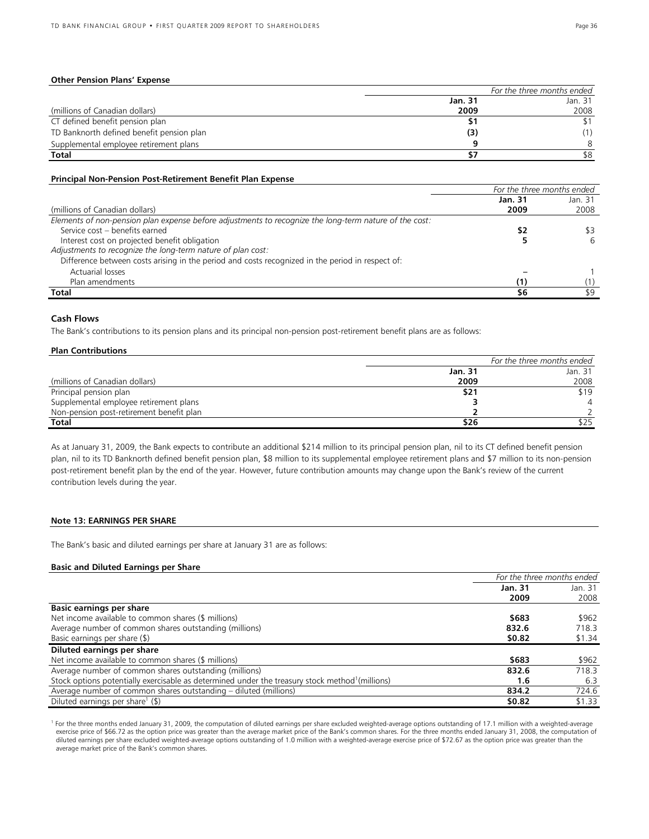# **Other Pension Plans' Expense**

|                                           | For the three months ended |         |  |
|-------------------------------------------|----------------------------|---------|--|
|                                           | Jan. 31                    | Jan. 31 |  |
| (millions of Canadian dollars)            | 2009                       | 2008    |  |
| CT defined benefit pension plan           |                            |         |  |
| TD Banknorth defined benefit pension plan | (3)                        |         |  |
| Supplemental employee retirement plans    |                            | 8       |  |
| Total                                     |                            | \$8     |  |

### **Principal Non-Pension Post-Retirement Benefit Plan Expense**

|                                                                                                        | For the three months ended |         |
|--------------------------------------------------------------------------------------------------------|----------------------------|---------|
|                                                                                                        | Jan. 31                    | Jan. 31 |
| (millions of Canadian dollars)                                                                         | 2009                       | 2008    |
| Elements of non-pension plan expense before adjustments to recognize the long-term nature of the cost: |                            |         |
| Service cost - benefits earned                                                                         | \$2                        | \$3     |
| Interest cost on projected benefit obligation                                                          |                            | 6       |
| Adjustments to recognize the long-term nature of plan cost:                                            |                            |         |
| Difference between costs arising in the period and costs recognized in the period in respect of:       |                            |         |
| Actuarial losses                                                                                       |                            |         |
| Plan amendments                                                                                        | (1)                        |         |
| Total                                                                                                  | \$6                        | \$9     |

### **Cash Flows**

The Bank's contributions to its pension plans and its principal non-pension post-retirement benefit plans are as follows:

# **Plan Contributions**

|                                          | For the three months ended |         |  |
|------------------------------------------|----------------------------|---------|--|
|                                          | Jan. 31                    | Jan. 31 |  |
| (millions of Canadian dollars)           | 2009                       | 2008    |  |
| Principal pension plan                   | \$21                       | \$19    |  |
| Supplemental employee retirement plans   |                            |         |  |
| Non-pension post-retirement benefit plan |                            |         |  |
| Total                                    | \$26                       | 525     |  |

As at January 31, 2009, the Bank expects to contribute an additional \$214 million to its principal pension plan, nil to its CT defined benefit pension plan, nil to its TD Banknorth defined benefit pension plan, \$8 million to its supplemental employee retirement plans and \$7 million to its non-pension post-retirement benefit plan by the end of the year. However, future contribution amounts may change upon the Bank's review of the current contribution levels during the year.

## **Note 13: EARNINGS PER SHARE**

The Bank's basic and diluted earnings per share at January 31 are as follows:

### **Basic and Diluted Earnings per Share**

|                                                                                                             | For the three months ended |         |
|-------------------------------------------------------------------------------------------------------------|----------------------------|---------|
|                                                                                                             | Jan. 31                    | Jan. 31 |
|                                                                                                             | 2009                       | 2008    |
| <b>Basic earnings per share</b>                                                                             |                            |         |
| Net income available to common shares (\$ millions)                                                         | \$683                      | \$962   |
| Average number of common shares outstanding (millions)                                                      | 832.6                      | 718.3   |
| Basic earnings per share (\$)                                                                               | \$0.82                     | \$1.34  |
| Diluted earnings per share                                                                                  |                            |         |
| Net income available to common shares (\$ millions)                                                         | \$683                      | \$962   |
| Average number of common shares outstanding (millions)                                                      | 832.6                      | 718.3   |
| Stock options potentially exercisable as determined under the treasury stock method <sup>1</sup> (millions) | 1.6                        | 6.3     |
| Average number of common shares outstanding – diluted (millions)                                            | 834.2                      | 724.6   |
| Diluted earnings per share <sup>1</sup> (\$)                                                                | \$0.82                     | \$1.33  |

<sup>1</sup> For the three months ended January 31, 2009, the computation of diluted earnings per share excluded weighted-average options outstanding of 17.1 million with a weighted-average exercise price of \$66.72 as the option price was greater than the average market price of the Bank's common shares. For the three months ended January 31, 2008, the computation of diluted earnings per share excluded weighted-average options outstanding of 1.0 million with a weighted-average exercise price of \$72.67 as the option price was greater than the average market price of the Bank's common shares.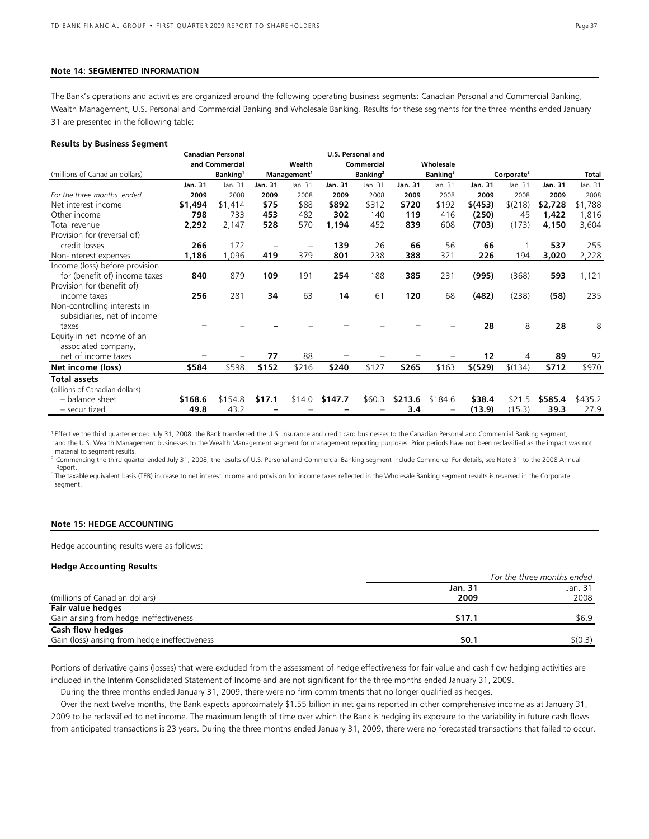### **Note 14: SEGMENTED INFORMATION**

The Bank's operations and activities are organized around the following operating business segments: Canadian Personal and Commercial Banking, Wealth Management, U.S. Personal and Commercial Banking and Wholesale Banking. Results for these segments for the three months ended January 31 are presented in the following table:

### **Results by Business Segment**

|                                |                | <b>Canadian Personal</b> |         |                         |                | <b>U.S. Personal and</b> |                |                      |          |                        |         |         |
|--------------------------------|----------------|--------------------------|---------|-------------------------|----------------|--------------------------|----------------|----------------------|----------|------------------------|---------|---------|
|                                |                | and Commercial           |         | Wealth                  |                | Commercial               |                | Wholesale            |          |                        |         |         |
| (millions of Canadian dollars) |                | Banking <sup>1</sup>     |         | Management <sup>1</sup> |                | Banking <sup>2</sup>     |                | Banking <sup>3</sup> |          | Corporate <sup>3</sup> |         | Total   |
|                                | <b>Jan. 31</b> | Jan. 31                  | Jan. 31 | Jan. 31                 | <b>Jan. 31</b> | Jan. 31                  | <b>Jan. 31</b> | Jan. 31              | Jan. 31  | Jan. 31                | Jan. 31 | Jan. 31 |
| For the three months ended     | 2009           | 2008                     | 2009    | 2008                    | 2009           | 2008                     | 2009           | 2008                 | 2009     | 2008                   | 2009    | 2008    |
| Net interest income            | \$1,494        | \$1,414                  | \$75    | \$88                    | \$892          | \$312                    | \$720          | \$192                | \$(453)  | \$(218)                | \$2,728 | \$1,788 |
| Other income                   | 798            | 733                      | 453     | 482                     | 302            | 140                      | 119            | 416                  | (250)    | 45                     | 1,422   | 1,816   |
| Total revenue                  | 2,292          | 2,147                    | 528     | 570                     | 1,194          | 452                      | 839            | 608                  | (703)    | (173)                  | 4,150   | 3,604   |
| Provision for (reversal of)    |                |                          |         |                         |                |                          |                |                      |          |                        |         |         |
| credit losses                  | 266            | 172                      |         |                         | 139            | 26                       | 66             | 56                   | 66       |                        | 537     | 255     |
| Non-interest expenses          | 1,186          | ,096                     | 419     | 379                     | 801            | 238                      | 388            | 321                  | 226      | 194                    | 3,020   | 2,228   |
| Income (loss) before provision |                |                          |         |                         |                |                          |                |                      |          |                        |         |         |
| for (benefit of) income taxes  | 840            | 879                      | 109     | 191                     | 254            | 188                      | 385            | 231                  | (995)    | (368)                  | 593     | 1,121   |
| Provision for (benefit of)     |                |                          |         |                         |                |                          |                |                      |          |                        |         |         |
| income taxes                   | 256            | 281                      | 34      | 63                      | 14             | 61                       | 120            | 68                   | (482)    | (238)                  | (58)    | 235     |
| Non-controlling interests in   |                |                          |         |                         |                |                          |                |                      |          |                        |         |         |
| subsidiaries, net of income    |                |                          |         |                         |                |                          |                |                      |          |                        |         |         |
| taxes                          |                |                          |         |                         |                |                          |                |                      | 28       | 8                      | 28      | 8       |
| Equity in net income of an     |                |                          |         |                         |                |                          |                |                      |          |                        |         |         |
| associated company,            |                |                          |         |                         |                |                          |                |                      |          |                        |         |         |
| net of income taxes            |                |                          | 77      | 88                      |                |                          |                |                      | 12       | 4                      | 89      | 92      |
| Net income (loss)              | \$584          | \$598                    | \$152   | \$216                   | \$240          | \$127                    | \$265          | \$163                | \$ (529) | \$(134)                | \$712   | \$970   |
| <b>Total assets</b>            |                |                          |         |                         |                |                          |                |                      |          |                        |         |         |
| (billions of Canadian dollars) |                |                          |         |                         |                |                          |                |                      |          |                        |         |         |
| - balance sheet                | \$168.6        | \$154.8                  | \$17.1  | \$14.0                  | \$147.7        | \$60.3                   | \$213.6        | \$184.6              | \$38.4   | \$21.5                 | \$585.4 | \$435.2 |
| - securitized                  | 49.8           | 43.2                     |         |                         |                |                          | 3.4            |                      | (13.9)   | (15.3)                 | 39.3    | 27.9    |

<sup>1</sup> Effective the third quarter ended July 31, 2008, the Bank transferred the U.S. insurance and credit card businesses to the Canadian Personal and Commercial Banking segment, and the U.S. Wealth Management businesses to the Wealth Management segment for management reporting purposes. Prior periods have not been reclassified as the impact was not material to segment results.

<sup>2</sup> Commencing the third quarter ended July 31, 2008, the results of U.S. Personal and Commercial Banking segment include Commerce. For details, see Note 31 to the 2008 Annual Report.

<sup>3</sup> The taxable equivalent basis (TEB) increase to net interest income and provision for income taxes reflected in the Wholesale Banking segment results is reversed in the Corporate segment.

# **Note 15: HEDGE ACCOUNTING**

Hedge accounting results were as follows:

### **Hedge Accounting Results**

|                                                | For the three months ended |         |  |
|------------------------------------------------|----------------------------|---------|--|
|                                                | Jan. 31                    | Jan. 31 |  |
| (millions of Canadian dollars)                 | 2009                       | 2008    |  |
| Fair value hedges                              |                            |         |  |
| Gain arising from hedge ineffectiveness        | \$17.1                     | \$6.9   |  |
| Cash flow hedges                               |                            |         |  |
| Gain (loss) arising from hedge ineffectiveness | \$0.1                      | \$(0.3) |  |

Portions of derivative gains (losses) that were excluded from the assessment of hedge effectiveness for fair value and cash flow hedging activities are included in the Interim Consolidated Statement of Income and are not significant for the three months ended January 31, 2009.

During the three months ended January 31, 2009, there were no firm commitments that no longer qualified as hedges.

Over the next twelve months, the Bank expects approximately \$1.55 billion in net gains reported in other comprehensive income as at January 31, 2009 to be reclassified to net income. The maximum length of time over which the Bank is hedging its exposure to the variability in future cash flows from anticipated transactions is 23 years. During the three months ended January 31, 2009, there were no forecasted transactions that failed to occur.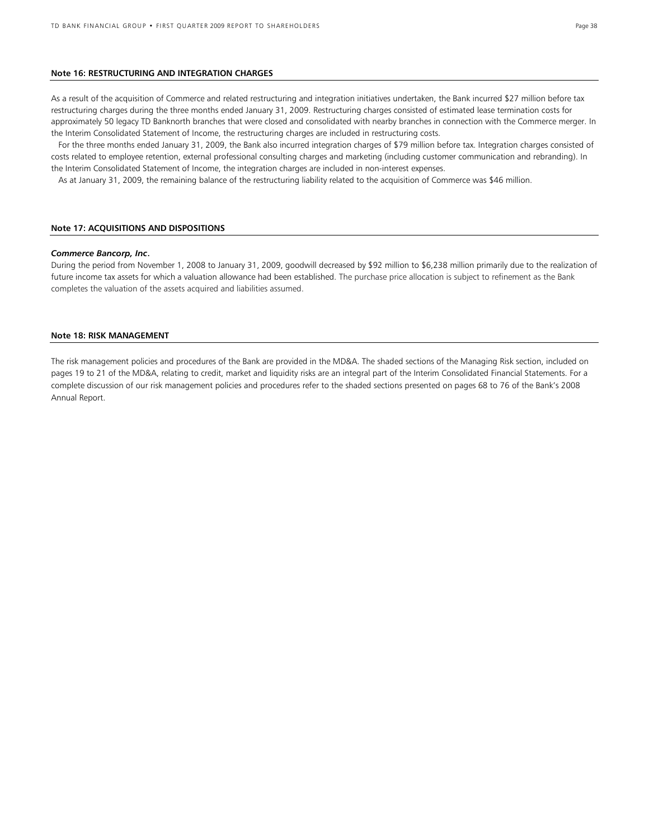# **Note 16: RESTRUCTURING AND INTEGRATION CHARGES**

As a result of the acquisition of Commerce and related restructuring and integration initiatives undertaken, the Bank incurred \$27 million before tax restructuring charges during the three months ended January 31, 2009. Restructuring charges consisted of estimated lease termination costs for approximately 50 legacy TD Banknorth branches that were closed and consolidated with nearby branches in connection with the Commerce merger. In the Interim Consolidated Statement of Income, the restructuring charges are included in restructuring costs.

 For the three months ended January 31, 2009, the Bank also incurred integration charges of \$79 million before tax. Integration charges consisted of costs related to employee retention, external professional consulting charges and marketing (including customer communication and rebranding). In the Interim Consolidated Statement of Income, the integration charges are included in non-interest expenses.

As at January 31, 2009, the remaining balance of the restructuring liability related to the acquisition of Commerce was \$46 million.

### **Note 17: ACQUISITIONS AND DISPOSITIONS**

#### *Commerce Bancorp, Inc*.

During the period from November 1, 2008 to January 31, 2009, goodwill decreased by \$92 million to \$6,238 million primarily due to the realization of future income tax assets for which a valuation allowance had been established. The purchase price allocation is subject to refinement as the Bank completes the valuation of the assets acquired and liabilities assumed.

### **Note 18: RISK MANAGEMENT**

The risk management policies and procedures of the Bank are provided in the MD&A. The shaded sections of the Managing Risk section, included on pages 19 to 21 of the MD&A, relating to credit, market and liquidity risks are an integral part of the Interim Consolidated Financial Statements. For a complete discussion of our risk management policies and procedures refer to the shaded sections presented on pages 68 to 76 of the Bank's 2008 Annual Report.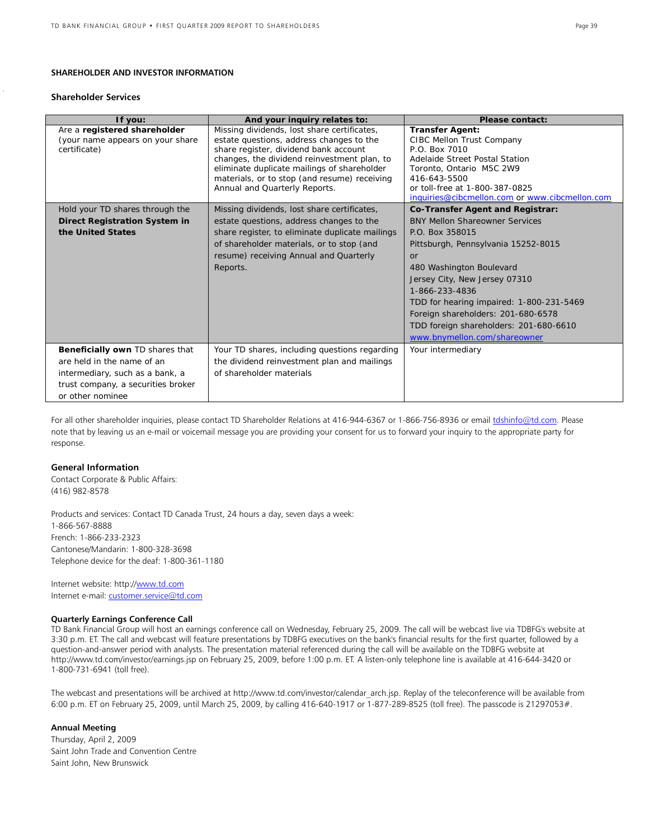### **SHAREHOLDER AND INVESTOR INFORMATION**

#### **Shareholder Services**

| If you:                                                                                                                                                    | And your inquiry relates to:                                                                                                                                                                                                                                                                                    | <b>Please contact:</b>                                                                                                                                                                                                                                                                                                                                                                      |
|------------------------------------------------------------------------------------------------------------------------------------------------------------|-----------------------------------------------------------------------------------------------------------------------------------------------------------------------------------------------------------------------------------------------------------------------------------------------------------------|---------------------------------------------------------------------------------------------------------------------------------------------------------------------------------------------------------------------------------------------------------------------------------------------------------------------------------------------------------------------------------------------|
| Are a registered shareholder<br>(your name appears on your share<br>certificate)                                                                           | Missing dividends, lost share certificates,<br>estate questions, address changes to the<br>share register, dividend bank account<br>changes, the dividend reinvestment plan, to<br>eliminate duplicate mailings of shareholder<br>materials, or to stop (and resume) receiving<br>Annual and Quarterly Reports. | <b>Transfer Agent:</b><br>CIBC Mellon Trust Company<br>P.O. Box 7010<br>Adelaide Street Postal Station<br>Toronto, Ontario M5C 2W9<br>416-643-5500<br>or toll-free at 1-800-387-0825<br>inquiries@cibcmellon.com or www.cibcmellon.com                                                                                                                                                      |
| Hold your TD shares through the<br><b>Direct Registration System in</b><br>the United States                                                               | Missing dividends, lost share certificates,<br>estate questions, address changes to the<br>share register, to eliminate duplicate mailings<br>of shareholder materials, or to stop (and<br>resume) receiving Annual and Quarterly<br>Reports.                                                                   | <b>Co-Transfer Agent and Registrar:</b><br><b>BNY Mellon Shareowner Services</b><br>P.O. Box 358015<br>Pittsburgh, Pennsylvania 15252-8015<br>or<br>480 Washington Boulevard<br>Jersey City, New Jersey 07310<br>1-866-233-4836<br>TDD for hearing impaired: 1-800-231-5469<br>Foreign shareholders: 201-680-6578<br>TDD foreign shareholders: 201-680-6610<br>www.bnymellon.com/shareowner |
| Beneficially own TD shares that<br>are held in the name of an<br>intermediary, such as a bank, a<br>trust company, a securities broker<br>or other nominee | Your TD shares, including questions regarding<br>the dividend reinvestment plan and mailings<br>of shareholder materials                                                                                                                                                                                        | Your intermediary                                                                                                                                                                                                                                                                                                                                                                           |

For all other shareholder inquiries, please contact TD Shareholder Relations at 416-944-6367 or 1-866-756-8936 or email [tdshinfo@td.com.](mailto:tdshinfo@td.com) Please note that by leaving us an e-mail or voicemail message you are providing your consent for us to forward your inquiry to the appropriate party for response.

# **General Information**

Contact Corporate & Public Affairs: (416) 982-8578

Products and services: Contact TD Canada Trust, 24 hours a day, seven days a week: 1-866-567-8888 French: 1-866-233-2323 Cantonese/Mandarin: 1-800-328-3698 Telephone device for the deaf: 1-800-361-1180

Internet website: http://www.td.com Internet e-mail[: customer.service@td.com](mailto:customer.service@td.com)

### **Quarterly Earnings Conference Call**

TD Bank Financial Group will host an earnings conference call on Wednesday, February 25, 2009. The call will be webcast live via TDBFG's website at 3:30 p.m. ET. The call and webcast will feature presentations by TDBFG executives on the bank's financial results for the first quarter, followed by a question-and-answer period with analysts. The presentation material referenced during the call will be available on the TDBFG website at http://www.td.com/investor/earnings.jsp on February 25, 2009, before 1:00 p.m. ET. A listen-only telephone line is available at 416-644-3420 or 1-800-731-6941 (toll free).

The webcast and presentations will be archived at http://www.td.com/investor/calendar arch.jsp. Replay of the teleconference will be available from 6:00 p.m. ET on February 25, 2009, until March 25, 2009, by calling 416-640-1917 or 1-877-289-8525 (toll free). The passcode is 21297053#.

# **Annual Meeting**

Thursday, April 2, 2009 Saint John Trade and Convention Centre Saint John, New Brunswick